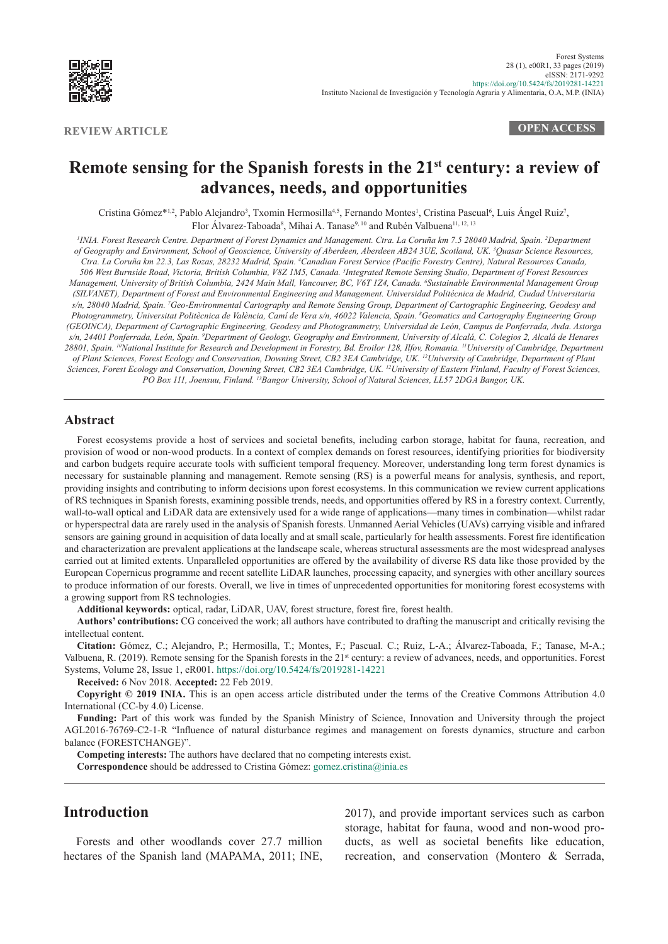

**REVIEW ARTICLE OPEN ACCESS**

# **Remote sensing for the Spanish forests in the 21st century: a review of advances, needs, and opportunities**

Cristina Gómez\*<sup>1,2</sup>, Pablo Alejandro<sup>3</sup>, Txomin Hermosilla<sup>4,5</sup>, Fernando Montes<sup>1</sup>, Cristina Pascual<sup>6</sup>, Luis Ángel Ruiz<sup>7</sup>, Flor Álvarez-Taboada<sup>8</sup>, Mihai A. Tanase<sup>9, 10</sup> and Rubén Valbuena<sup>11, 12, 13</sup>

*1 INIA. Forest Research Centre. Department of Forest Dynamics and Management. Ctra. La Coruña km 7.5 28040 Madrid, Spain. 2 Department of Geography and Environment, School of Geoscience, University of Aberdeen, Aberdeen AB24 3UE, Scotland, UK. 3 Quasar Science Resources, Ctra. La Coruña km 22.3, Las Rozas, 28232 Madrid, Spain. 4 Canadian Forest Service (Pacific Forestry Centre), Natural Resources Canada, 506 West Burnside Road, Victoria, British Columbia, V8Z 1M5, Canada. 5 Integrated Remote Sensing Studio, Department of Forest Resources Management, University of British Columbia, 2424 Main Mall, Vancouver, BC, V6T 1Z4, Canada. 6 Sustainable Environmental Management Group (SILVANET), Department of Forest and Environmental Engineering and Management. Universidad Politécnica de Madrid, Ciudad Universitaria s/n, 28040 Madrid, Spain. 7 Geo-Environmental Cartography and Remote Sensing Group, Department of Cartographic Engineering, Geodesy and Photogrammetry, Universitat Politècnica de València, Camí de Vera s/n, 46022 Valencia, Spain. 8 Geomatics and Cartography Engineering Group (GEOINCA), Department of Cartographic Engineering, Geodesy and Photogrammetry, Universidad de León, Campus de Ponferrada, Avda. Astorga*  s/n, 24401 Ponferrada, León, Spain. <sup>9</sup>Department of Geology, Geography and Environment, University of Alcalá, C. Colegios 2, Alcalá de Henares 28801, Spain. <sup>10</sup>National Institute for Research and Development in Forestry, Bd. Eroilor 128, Ilfov, Romania. <sup>11</sup>University of Cambridge, Department *of Plant Sciences, Forest Ecology and Conservation, Downing Street, CB2 3EA Cambridge, UK. 12University of Cambridge, Department of Plant Sciences, Forest Ecology and Conservation, Downing Street, CB2 3EA Cambridge, UK. 12University of Eastern Finland, Faculty of Forest Sciences, PO Box 111, Joensuu, Finland. 13Bangor University, School of Natural Sciences, LL57 2DGA Bangor, UK.*

### **Abstract**

Forest ecosystems provide a host of services and societal benefits, including carbon storage, habitat for fauna, recreation, and provision of wood or non-wood products. In a context of complex demands on forest resources, identifying priorities for biodiversity and carbon budgets require accurate tools with sufficient temporal frequency. Moreover, understanding long term forest dynamics is necessary for sustainable planning and management. Remote sensing (RS) is a powerful means for analysis, synthesis, and report, providing insights and contributing to inform decisions upon forest ecosystems. In this communication we review current applications of RS techniques in Spanish forests, examining possible trends, needs, and opportunities offered by RS in a forestry context. Currently, wall-to-wall optical and LiDAR data are extensively used for a wide range of applications—many times in combination—whilst radar or hyperspectral data are rarely used in the analysis of Spanish forests. Unmanned Aerial Vehicles (UAVs) carrying visible and infrared sensors are gaining ground in acquisition of data locally and at small scale, particularly for health assessments. Forest fire identification and characterization are prevalent applications at the landscape scale, whereas structural assessments are the most widespread analyses carried out at limited extents. Unparalleled opportunities are offered by the availability of diverse RS data like those provided by the European Copernicus programme and recent satellite LiDAR launches, processing capacity, and synergies with other ancillary sources to produce information of our forests. Overall, we live in times of unprecedented opportunities for monitoring forest ecosystems with a growing support from RS technologies.

**Additional keywords:** optical, radar, LiDAR, UAV, forest structure, forest fire, forest health.

**Authors' contributions:** CG conceived the work; all authors have contributed to drafting the manuscript and critically revising the intellectual content.

**Citation:** Gómez, C.; Alejandro, P.; Hermosilla, T.; Montes, F.; Pascual. C.; Ruiz, L-A.; Álvarez-Taboada, F.; Tanase, M-A.; Valbuena, R. (2019). Remote sensing for the Spanish forests in the 21<sup>st</sup> century: a review of advances, needs, and opportunities. Forest Systems, Volume 28, Issue 1, eR001.<https://doi.org/10.5424/fs/2019281-14221>

**Received:** 6 Nov 2018. **Accepted:** 22 Feb 2019.

**Copyright © 2019 INIA.** This is an open access article distributed under the terms of the Creative Commons Attribution 4.0 International (CC-by 4.0) License.

**Funding:** Part of this work was funded by the Spanish Ministry of Science, Innovation and University through the project AGL2016-76769-C2-1-R "Influence of natural disturbance regimes and management on forests dynamics, structure and carbon balance (FORESTCHANGE)".

**Competing interests:** The authors have declared that no competing interests exist. **Correspondence** should be addressed to Cristina Gómez: [gomez.cristina@inia.es](http://gomez.cristina@inia.es)

## **Introduction**

Forests and other woodlands cover 27.7 million hectares of the Spanish land (MAPAMA, 2011; INE, 2017), and provide important services such as carbon storage, habitat for fauna, wood and non-wood products, as well as societal benefits like education, recreation, and conservation (Montero & Serrada,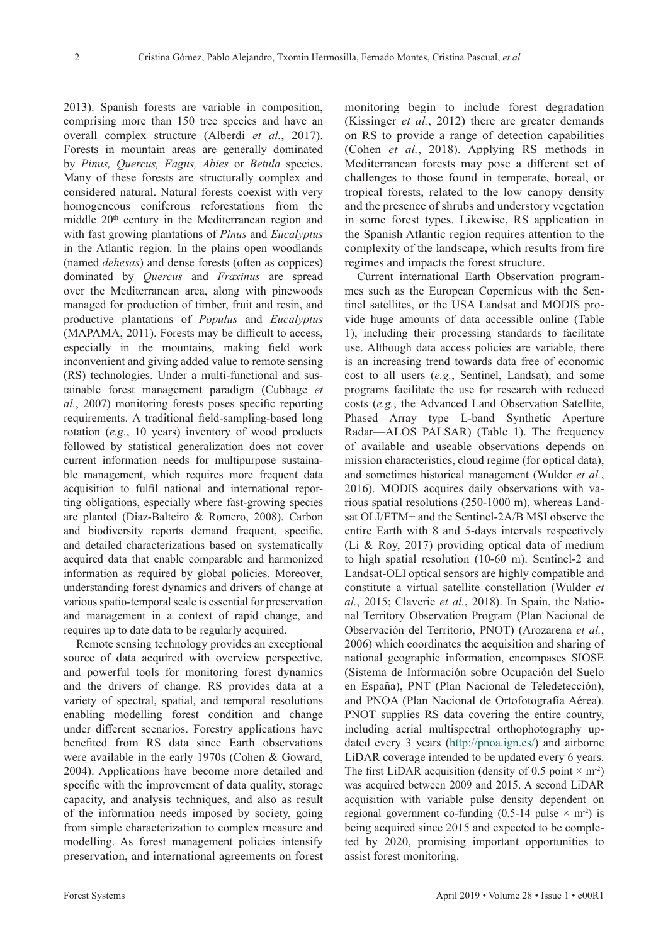2013). Spanish forests are variable in composition, comprising more than 150 tree species and have an overall complex structure (Alberdi *et al.*, 2017). Forests in mountain areas are generally dominated by *Pinus, Quercus, Fagus, Abies* or *Betula* species. Many of these forests are structurally complex and considered natural. Natural forests coexist with very homogeneous coniferous reforestations from the middle 20<sup>th</sup> century in the Mediterranean region and with fast growing plantations of *Pinus* and *Eucalyptus* in the Atlantic region. In the plains open woodlands (named *dehesas*) and dense forests (often as coppices) dominated by *Quercus* and *Fraxinus* are spread over the Mediterranean area, along with pinewoods managed for production of timber, fruit and resin, and productive plantations of *Populus* and *Eucalyptus* (MAPAMA, 2011). Forests may be difficult to access, especially in the mountains, making field work inconvenient and giving added value to remote sensing (RS) technologies. Under a multi-functional and sustainable forest management paradigm (Cubbage *et al.*, 2007) monitoring forests poses specific reporting requirements. A traditional field-sampling-based long rotation (*e.g.*, 10 years) inventory of wood products followed by statistical generalization does not cover current information needs for multipurpose sustainable management, which requires more frequent data acquisition to fulfil national and international reporting obligations, especially where fast-growing species are planted (Diaz-Balteiro & Romero, 2008). Carbon and biodiversity reports demand frequent, specific, and detailed characterizations based on systematically acquired data that enable comparable and harmonized information as required by global policies. Moreover, understanding forest dynamics and drivers of change at various spatio-temporal scale is essential for preservation and management in a context of rapid change, and requires up to date data to be regularly acquired.

Remote sensing technology provides an exceptional source of data acquired with overview perspective, and powerful tools for monitoring forest dynamics and the drivers of change. RS provides data at a variety of spectral, spatial, and temporal resolutions enabling modelling forest condition and change under different scenarios. Forestry applications have benefited from RS data since Earth observations were available in the early 1970s (Cohen & Goward, 2004). Applications have become more detailed and specific with the improvement of data quality, storage capacity, and analysis techniques, and also as result of the information needs imposed by society, going from simple characterization to complex measure and modelling. As forest management policies intensify preservation, and international agreements on forest monitoring begin to include forest degradation (Kissinger *et al.*, 2012) there are greater demands on RS to provide a range of detection capabilities (Cohen *et al.*, 2018). Applying RS methods in Mediterranean forests may pose a different set of challenges to those found in temperate, boreal, or tropical forests, related to the low canopy density and the presence of shrubs and understory vegetation in some forest types. Likewise, RS application in the Spanish Atlantic region requires attention to the complexity of the landscape, which results from fire regimes and impacts the forest structure.

Current international Earth Observation programmes such as the European Copernicus with the Sentinel satellites, or the USA Landsat and MODIS provide huge amounts of data accessible online (Table 1), including their processing standards to facilitate use. Although data access policies are variable, there is an increasing trend towards data free of economic cost to all users (*e.g.*, Sentinel, Landsat), and some programs facilitate the use for research with reduced costs (*e.g.*, the Advanced Land Observation Satellite, Phased Array type L-band Synthetic Aperture Radar—ALOS PALSAR) (Table 1). The frequency of available and useable observations depends on mission characteristics, cloud regime (for optical data), and sometimes historical management (Wulder *et al.*, 2016). MODIS acquires daily observations with various spatial resolutions (250-1000 m), whereas Landsat OLI/ETM+ and the Sentinel-2A/B MSI observe the entire Earth with 8 and 5-days intervals respectively (Li & Roy, 2017) providing optical data of medium to high spatial resolution (10-60 m). Sentinel-2 and Landsat-OLI optical sensors are highly compatible and constitute a virtual satellite constellation (Wulder *et al.*, 2015; Claverie *et al.*, 2018). In Spain, the National Territory Observation Program (Plan Nacional de Observación del Territorio, PNOT) (Arozarena *et al.*, 2006) which coordinates the acquisition and sharing of national geographic information, encompases SIOSE (Sistema de Información sobre Ocupación del Suelo en España), PNT (Plan Nacional de Teledetección), and PNOA (Plan Nacional de Ortofotografía Aérea). PNOT supplies RS data covering the entire country, including aerial multispectral orthophotography updated every 3 years ([http://pnoa.ign.es/\)](http://pnoa.ign.es/) and airborne LiDAR coverage intended to be updated every 6 years. The first LiDAR acquisition (density of 0.5 point  $\times$  m<sup>-2</sup>) was acquired between 2009 and 2015. A second LiDAR acquisition with variable pulse density dependent on regional government co-funding  $(0.5-14 \text{ pulse} \times \text{m}^2)$  is being acquired since 2015 and expected to be completed by 2020, promising important opportunities to assist forest monitoring.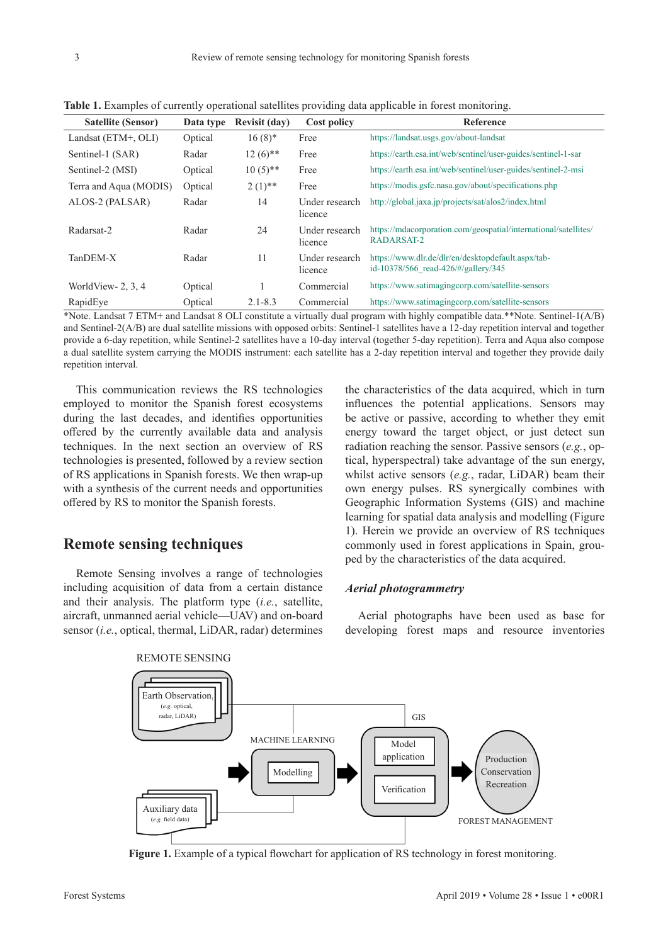| <b>Satellite (Sensor)</b> | Data type | <b>Revisit (day)</b> | <b>Cost policy</b>        | Reference                                                                                 |
|---------------------------|-----------|----------------------|---------------------------|-------------------------------------------------------------------------------------------|
| Landsat $(ETM+, OLI)$     | Optical   | $16(8)$ *            | Free                      | https://landsat.usgs.gov/about-landsat                                                    |
| Sentinel-1 (SAR)          | Radar     | $12(6)$ **           | Free                      | https://earth.esa.int/web/sentinel/user-guides/sentinel-1-sar                             |
| Sentinel-2 (MSI)          | Optical   | $10(5)$ **           | Free                      | https://earth.esa.int/web/sentinel/user-guides/sentinel-2-msi                             |
| Terra and Aqua (MODIS)    | Optical   | $2(1)$ **            | Free                      | https://modis.gsfc.nasa.gov/about/specifications.php                                      |
| ALOS-2 (PALSAR)           | Radar     | 14                   | Under research<br>licence | http://global.jaxa.jp/projects/sat/alos2/index.html                                       |
| Radarsat-2                | Radar     | 24                   | Under research<br>licence | https://mdacorporation.com/geospatial/international/satellites/<br>RADARSAT-2             |
| TanDEM-X                  | Radar     | 11                   | Under research<br>licence | https://www.dlr.de/dlr/en/desktopdefault.aspx/tab-<br>id-10378/566 read-426/#/gallery/345 |
| WorldView- $2, 3, 4$      | Optical   |                      | Commercial                | https://www.satimaging.corp.com/satellite-sensors                                         |
| RapidEye                  | Optical   | $2.1 - 8.3$          | Commercial                | https://www.satimaging.corp.com/satellite-sensors                                         |

**Table 1.** Examples of currently operational satellites providing data applicable in forest monitoring.

\*Note. Landsat 7 ETM+ and Landsat 8 OLI constitute a virtually dual program with highly compatible data.\*\*Note. Sentinel-1(A/B) and Sentinel-2(A/B) are dual satellite missions with opposed orbits: Sentinel-1 satellites have a 12-day repetition interval and together provide a 6-day repetition, while Sentinel-2 satellites have a 10-day interval (together 5-day repetition). Terra and Aqua also compose a dual satellite system carrying the MODIS instrument: each satellite has a 2-day repetition interval and together they provide daily repetition interval.

This communication reviews the RS technologies employed to monitor the Spanish forest ecosystems during the last decades, and identifies opportunities offered by the currently available data and analysis techniques. In the next section an overview of RS technologies is presented, followed by a review section of RS applications in Spanish forests. We then wrap-up with a synthesis of the current needs and opportunities offered by RS to monitor the Spanish forests.

## **Remote sensing techniques**

Remote Sensing involves a range of technologies including acquisition of data from a certain distance and their analysis. The platform type (*i.e.*, satellite, aircraft, unmanned aerial vehicle—UAV) and on-board sensor (*i.e.*, optical, thermal, LiDAR, radar) determines the characteristics of the data acquired, which in turn influences the potential applications. Sensors may be active or passive, according to whether they emit energy toward the target object, or just detect sun radiation reaching the sensor. Passive sensors (*e.g.*, optical, hyperspectral) take advantage of the sun energy, whilst active sensors (*e.g.*, radar, LiDAR) beam their own energy pulses. RS synergically combines with Geographic Information Systems (GIS) and machine learning for spatial data analysis and modelling (Figure 1). Herein we provide an overview of RS techniques commonly used in forest applications in Spain, grouped by the characteristics of the data acquired.

#### *Aerial photogrammetry*

Aerial photographs have been used as base for developing forest maps and resource inventories



**Figure 1.** Example of a typical flowchart for application of RS technology in forest monitoring.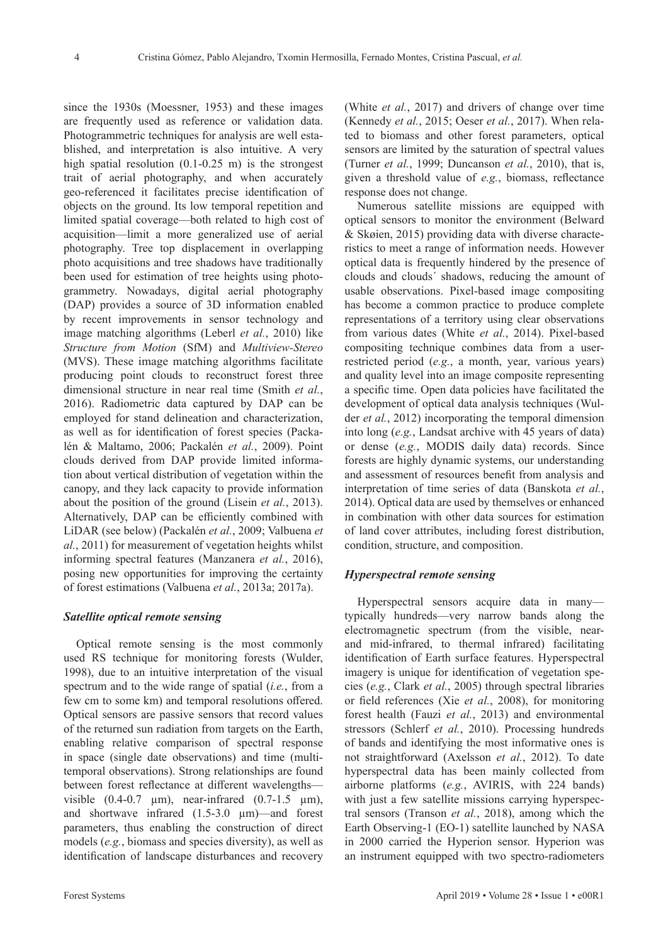since the 1930s (Moessner, 1953) and these images are frequently used as reference or validation data. Photogrammetric techniques for analysis are well established, and interpretation is also intuitive. A very high spatial resolution (0.1-0.25 m) is the strongest trait of aerial photography, and when accurately geo-referenced it facilitates precise identification of objects on the ground. Its low temporal repetition and limited spatial coverage—both related to high cost of acquisition—limit a more generalized use of aerial photography. Tree top displacement in overlapping photo acquisitions and tree shadows have traditionally been used for estimation of tree heights using photogrammetry. Nowadays, digital aerial photography (DAP) provides a source of 3D information enabled by recent improvements in sensor technology and image matching algorithms (Leberl *et al.*, 2010) like *Structure from Motion* (SfM) and *Multiview-Stereo* (MVS). These image matching algorithms facilitate producing point clouds to reconstruct forest three dimensional structure in near real time (Smith *et al.*, 2016). Radiometric data captured by DAP can be employed for stand delineation and characterization, as well as for identification of forest species (Packalén & Maltamo, 2006; Packalén *et al.*, 2009). Point clouds derived from DAP provide limited information about vertical distribution of vegetation within the canopy, and they lack capacity to provide information about the position of the ground (Lisein *et al.*, 2013). Alternatively, DAP can be efficiently combined with LiDAR (see below) (Packalén *et al.*, 2009; Valbuena *et al.*, 2011) for measurement of vegetation heights whilst informing spectral features (Manzanera *et al.*, 2016), posing new opportunities for improving the certainty of forest estimations (Valbuena *et al.*, 2013a; 2017a).

#### *Satellite optical remote sensing*

Optical remote sensing is the most commonly used RS technique for monitoring forests (Wulder, 1998), due to an intuitive interpretation of the visual spectrum and to the wide range of spatial (*i.e.*, from a few cm to some km) and temporal resolutions offered. Optical sensors are passive sensors that record values of the returned sun radiation from targets on the Earth, enabling relative comparison of spectral response in space (single date observations) and time (multitemporal observations). Strong relationships are found between forest reflectance at different wavelengths visible  $(0.4-0.7 \mu m)$ , near-infrared  $(0.7-1.5 \mu m)$ , and shortwave infrared (1.5-3.0 µm)—and forest parameters, thus enabling the construction of direct models (*e.g.*, biomass and species diversity), as well as identification of landscape disturbances and recovery

(White *et al.*, 2017) and drivers of change over time (Kennedy *et al.*, 2015; Oeser *et al.*, 2017). When related to biomass and other forest parameters, optical sensors are limited by the saturation of spectral values (Turner *et al.*, 1999; Duncanson *et al.*, 2010), that is, given a threshold value of *e.g.*, biomass, reflectance response does not change.

Numerous satellite missions are equipped with optical sensors to monitor the environment (Belward & Skøien, 2015) providing data with diverse characteristics to meet a range of information needs. However optical data is frequently hindered by the presence of clouds and clouds´ shadows, reducing the amount of usable observations. Pixel-based image compositing has become a common practice to produce complete representations of a territory using clear observations from various dates (White *et al.*, 2014). Pixel-based compositing technique combines data from a userrestricted period (*e.g.*, a month, year, various years) and quality level into an image composite representing a specific time. Open data policies have facilitated the development of optical data analysis techniques (Wulder *et al.*, 2012) incorporating the temporal dimension into long (*e.g.*, Landsat archive with 45 years of data) or dense (*e.g.*, MODIS daily data) records. Since forests are highly dynamic systems, our understanding and assessment of resources benefit from analysis and interpretation of time series of data (Banskota *et al.*, 2014). Optical data are used by themselves or enhanced in combination with other data sources for estimation of land cover attributes, including forest distribution, condition, structure, and composition.

#### *Hyperspectral remote sensing*

Hyperspectral sensors acquire data in many typically hundreds—very narrow bands along the electromagnetic spectrum (from the visible, nearand mid-infrared, to thermal infrared) facilitating identification of Earth surface features. Hyperspectral imagery is unique for identification of vegetation species (*e.g.*, Clark *et al.*, 2005) through spectral libraries or field references (Xie *et al.*, 2008), for monitoring forest health (Fauzi *et al.*, 2013) and environmental stressors (Schlerf *et al.*, 2010). Processing hundreds of bands and identifying the most informative ones is not straightforward (Axelsson *et al.*, 2012). To date hyperspectral data has been mainly collected from airborne platforms (*e.g.*, AVIRIS, with 224 bands) with just a few satellite missions carrying hyperspectral sensors (Transon *et al.*, 2018), among which the Earth Observing-1 (EO-1) satellite launched by NASA in 2000 carried the Hyperion sensor. Hyperion was an instrument equipped with two spectro-radiometers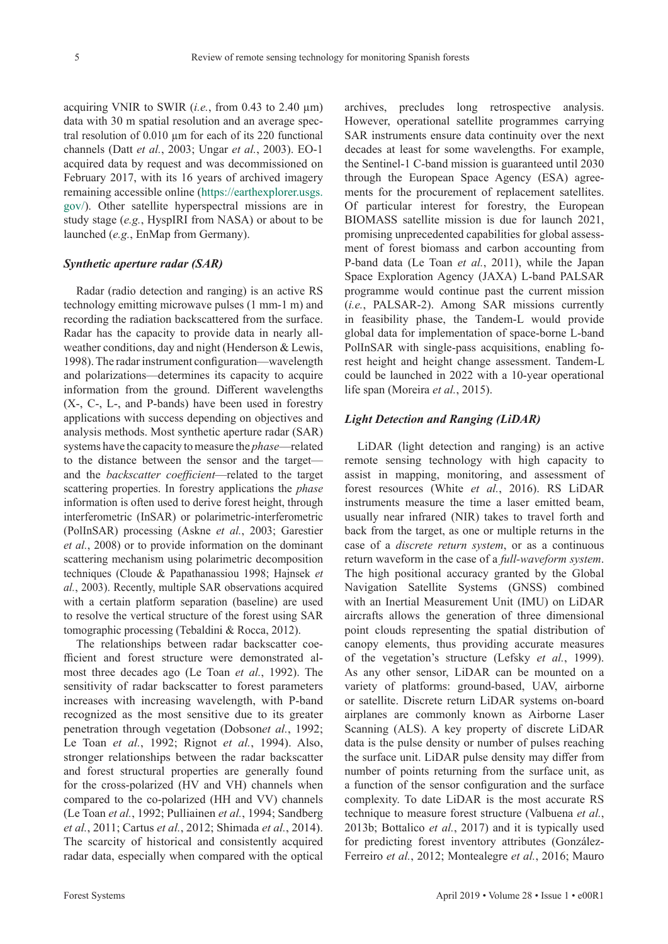acquiring VNIR to SWIR  $(i.e., from 0.43 to 2.40 \mu m)$ data with 30 m spatial resolution and an average spectral resolution of 0.010 µm for each of its 220 functional channels (Datt *et al.*, 2003; Ungar *et al.*, 2003). EO-1 acquired data by request and was decommissioned on February 2017, with its 16 years of archived imagery remaining accessible online ([https://earthexplorer.usgs.](https://earthexplorer.usgs.gov/) [gov/](https://earthexplorer.usgs.gov/)). Other satellite hyperspectral missions are in study stage (*e.g.*, HyspIRI from NASA) or about to be launched (*e.g.*, EnMap from Germany).

#### *Synthetic aperture radar (SAR)*

Radar (radio detection and ranging) is an active RS technology emitting microwave pulses (1 mm-1 m) and recording the radiation backscattered from the surface. Radar has the capacity to provide data in nearly allweather conditions, day and night (Henderson & Lewis, 1998). The radar instrument configuration—wavelength and polarizations—determines its capacity to acquire information from the ground. Different wavelengths (X-, C-, L-, and P-bands) have been used in forestry applications with success depending on objectives and analysis methods. Most synthetic aperture radar (SAR) systems have the capacity to measure the *phase*—related to the distance between the sensor and the target and the *backscatter coefficient*—related to the target scattering properties. In forestry applications the *phase* information is often used to derive forest height, through interferometric (InSAR) or polarimetric-interferometric (PolInSAR) processing (Askne *et al.*, 2003; Garestier *et al.*, 2008) or to provide information on the dominant scattering mechanism using polarimetric decomposition techniques (Cloude & Papathanassiou 1998; Hajnsek *et al.*, 2003). Recently, multiple SAR observations acquired with a certain platform separation (baseline) are used to resolve the vertical structure of the forest using SAR tomographic processing (Tebaldini & Rocca, 2012).

The relationships between radar backscatter coefficient and forest structure were demonstrated almost three decades ago (Le Toan *et al.*, 1992). The sensitivity of radar backscatter to forest parameters increases with increasing wavelength, with P-band recognized as the most sensitive due to its greater penetration through vegetation (Dobson*et al.*, 1992; Le Toan *et al.*, 1992; Rignot *et al.*, 1994). Also, stronger relationships between the radar backscatter and forest structural properties are generally found for the cross-polarized (HV and VH) channels when compared to the co-polarized (HH and VV) channels (Le Toan *et al.*, 1992; Pulliainen *et al.*, 1994; Sandberg *et al.*, 2011; Cartus *et al.*, 2012; Shimada *et al.*, 2014). The scarcity of historical and consistently acquired radar data, especially when compared with the optical

archives, precludes long retrospective analysis. However, operational satellite programmes carrying SAR instruments ensure data continuity over the next decades at least for some wavelengths. For example, the Sentinel-1 C-band mission is guaranteed until 2030 through the European Space Agency (ESA) agreements for the procurement of replacement satellites. Of particular interest for forestry, the European BIOMASS satellite mission is due for launch 2021, promising unprecedented capabilities for global assessment of forest biomass and carbon accounting from P-band data (Le Toan *et al.*, 2011), while the Japan Space Exploration Agency (JAXA) L-band PALSAR programme would continue past the current mission (*i.e.*, PALSAR-2). Among SAR missions currently in feasibility phase, the Tandem-L would provide global data for implementation of space-borne L-band PolInSAR with single-pass acquisitions, enabling forest height and height change assessment. Tandem-L could be launched in 2022 with a 10-year operational life span (Moreira *et al.*, 2015).

#### *Light Detection and Ranging (LiDAR)*

LiDAR (light detection and ranging) is an active remote sensing technology with high capacity to assist in mapping, monitoring, and assessment of forest resources (White *et al.*, 2016). RS LiDAR instruments measure the time a laser emitted beam, usually near infrared (NIR) takes to travel forth and back from the target, as one or multiple returns in the case of a *discrete return system*, or as a continuous return waveform in the case of a *full-waveform system*. The high positional accuracy granted by the Global Navigation Satellite Systems (GNSS) combined with an Inertial Measurement Unit (IMU) on LiDAR aircrafts allows the generation of three dimensional point clouds representing the spatial distribution of canopy elements, thus providing accurate measures of the vegetation's structure (Lefsky *et al.*, 1999). As any other sensor, LiDAR can be mounted on a variety of platforms: ground-based, UAV, airborne or satellite. Discrete return LiDAR systems on-board airplanes are commonly known as Airborne Laser Scanning (ALS). A key property of discrete LiDAR data is the pulse density or number of pulses reaching the surface unit. LiDAR pulse density may differ from number of points returning from the surface unit, as a function of the sensor configuration and the surface complexity. To date LiDAR is the most accurate RS technique to measure forest structure (Valbuena *et al.*, 2013b; Bottalico *et al.*, 2017) and it is typically used for predicting forest inventory attributes (González-Ferreiro *et al.*, 2012; Montealegre *et al.*, 2016; Mauro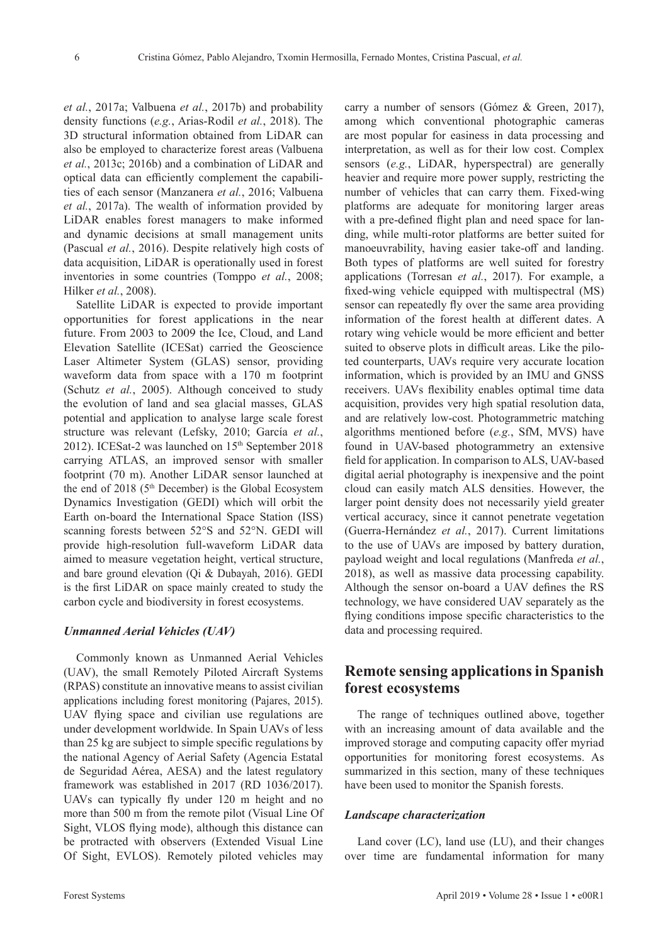*et al.*, 2017a; Valbuena *et al.*, 2017b) and probability density functions (*e.g.*, Arias-Rodil *et al.*, 2018). The 3D structural information obtained from LiDAR can also be employed to characterize forest areas (Valbuena *et al.*, 2013c; 2016b) and a combination of LiDAR and optical data can efficiently complement the capabilities of each sensor (Manzanera *et al.*, 2016; Valbuena *et al.*, 2017a). The wealth of information provided by LiDAR enables forest managers to make informed and dynamic decisions at small management units (Pascual *et al.*, 2016). Despite relatively high costs of data acquisition, LiDAR is operationally used in forest inventories in some countries (Tomppo *et al.*, 2008; Hilker *et al.*, 2008).

Satellite LiDAR is expected to provide important opportunities for forest applications in the near future. From 2003 to 2009 the Ice, Cloud, and Land Elevation Satellite (ICESat) carried the Geoscience Laser Altimeter System (GLAS) sensor, providing waveform data from space with a 170 m footprint (Schutz *et al.*, 2005). Although conceived to study the evolution of land and sea glacial masses, GLAS potential and application to analyse large scale forest structure was relevant (Lefsky, 2010; García *et al.*, 2012). ICESat-2 was launched on 15<sup>th</sup> September 2018 carrying ATLAS, an improved sensor with smaller footprint (70 m). Another LiDAR sensor launched at the end of 2018 ( $5<sup>th</sup>$  December) is the Global Ecosystem Dynamics Investigation (GEDI) which will orbit the Earth on-board the International Space Station (ISS) scanning forests between 52°S and 52°N. GEDI will provide high-resolution full-waveform LiDAR data aimed to measure vegetation height, vertical structure, and bare ground elevation (Qi & Dubayah, 2016). GEDI is the first LiDAR on space mainly created to study the carbon cycle and biodiversity in forest ecosystems.

#### *Unmanned Aerial Vehicles (UAV)*

Commonly known as Unmanned Aerial Vehicles (UAV), the small Remotely Piloted Aircraft Systems (RPAS) constitute an innovative means to assist civilian applications including forest monitoring (Pajares, 2015). UAV flying space and civilian use regulations are under development worldwide. In Spain UAVs of less than 25 kg are subject to simple specific regulations by the national Agency of Aerial Safety (Agencia Estatal de Seguridad Aérea, AESA) and the latest regulatory framework was established in 2017 (RD 1036/2017). UAVs can typically fly under 120 m height and no more than 500 m from the remote pilot (Visual Line Of Sight, VLOS flying mode), although this distance can be protracted with observers (Extended Visual Line Of Sight, EVLOS). Remotely piloted vehicles may

carry a number of sensors (Gómez & Green, 2017), among which conventional photographic cameras are most popular for easiness in data processing and interpretation, as well as for their low cost. Complex sensors (*e.g.*, LiDAR, hyperspectral) are generally heavier and require more power supply, restricting the number of vehicles that can carry them. Fixed-wing platforms are adequate for monitoring larger areas with a pre-defined flight plan and need space for landing, while multi-rotor platforms are better suited for manoeuvrability, having easier take-off and landing. Both types of platforms are well suited for forestry applications (Torresan *et al.*, 2017). For example, a fixed-wing vehicle equipped with multispectral (MS) sensor can repeatedly fly over the same area providing information of the forest health at different dates. A rotary wing vehicle would be more efficient and better suited to observe plots in difficult areas. Like the piloted counterparts, UAVs require very accurate location information, which is provided by an IMU and GNSS receivers. UAVs flexibility enables optimal time data acquisition, provides very high spatial resolution data, and are relatively low-cost. Photogrammetric matching algorithms mentioned before (*e.g.*, SfM, MVS) have found in UAV-based photogrammetry an extensive field for application. In comparison to ALS, UAV-based digital aerial photography is inexpensive and the point cloud can easily match ALS densities. However, the larger point density does not necessarily yield greater vertical accuracy, since it cannot penetrate vegetation (Guerra-Hernández *et al.*, 2017). Current limitations to the use of UAVs are imposed by battery duration, payload weight and local regulations (Manfreda *et al.*, 2018), as well as massive data processing capability. Although the sensor on-board a UAV defines the RS technology, we have considered UAV separately as the flying conditions impose specific characteristics to the data and processing required.

## **Remote sensing applications in Spanish forest ecosystems**

The range of techniques outlined above, together with an increasing amount of data available and the improved storage and computing capacity offer myriad opportunities for monitoring forest ecosystems. As summarized in this section, many of these techniques have been used to monitor the Spanish forests.

#### *Landscape characterization*

Land cover (LC), land use (LU), and their changes over time are fundamental information for many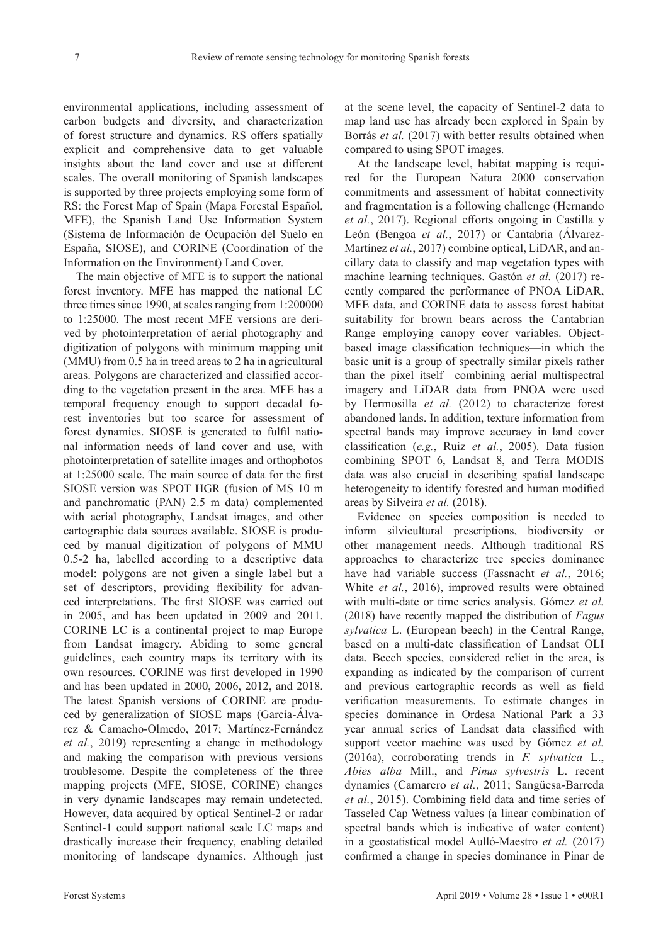environmental applications, including assessment of carbon budgets and diversity, and characterization of forest structure and dynamics. RS offers spatially explicit and comprehensive data to get valuable insights about the land cover and use at different scales. The overall monitoring of Spanish landscapes is supported by three projects employing some form of RS: the Forest Map of Spain (Mapa Forestal Español, MFE), the Spanish Land Use Information System (Sistema de Información de Ocupación del Suelo en España, SIOSE), and CORINE (Coordination of the Information on the Environment) Land Cover.

The main objective of MFE is to support the national forest inventory. MFE has mapped the national LC three times since 1990, at scales ranging from 1:200000 to 1:25000. The most recent MFE versions are derived by photointerpretation of aerial photography and digitization of polygons with minimum mapping unit (MMU) from 0.5 ha in treed areas to 2 ha in agricultural areas. Polygons are characterized and classified according to the vegetation present in the area. MFE has a temporal frequency enough to support decadal forest inventories but too scarce for assessment of forest dynamics. SIOSE is generated to fulfil national information needs of land cover and use, with photointerpretation of satellite images and orthophotos at 1:25000 scale. The main source of data for the first SIOSE version was SPOT HGR (fusion of MS 10 m and panchromatic (PAN) 2.5 m data) complemented with aerial photography, Landsat images, and other cartographic data sources available. SIOSE is produced by manual digitization of polygons of MMU 0.5-2 ha, labelled according to a descriptive data model: polygons are not given a single label but a set of descriptors, providing flexibility for advanced interpretations. The first SIOSE was carried out in 2005, and has been updated in 2009 and 2011. CORINE LC is a continental project to map Europe from Landsat imagery. Abiding to some general guidelines, each country maps its territory with its own resources. CORINE was first developed in 1990 and has been updated in 2000, 2006, 2012, and 2018. The latest Spanish versions of CORINE are produced by generalization of SIOSE maps (García-Álvarez & Camacho-Olmedo, 2017; Martínez-Fernández *et al.*, 2019) representing a change in methodology and making the comparison with previous versions troublesome. Despite the completeness of the three mapping projects (MFE, SIOSE, CORINE) changes in very dynamic landscapes may remain undetected. However, data acquired by optical Sentinel-2 or radar Sentinel-1 could support national scale LC maps and drastically increase their frequency, enabling detailed monitoring of landscape dynamics. Although just

at the scene level, the capacity of Sentinel-2 data to map land use has already been explored in Spain by Borrás *et al.* (2017) with better results obtained when compared to using SPOT images.

At the landscape level, habitat mapping is required for the European Natura 2000 conservation commitments and assessment of habitat connectivity and fragmentation is a following challenge (Hernando *et al.*, 2017). Regional efforts ongoing in Castilla y León (Bengoa *et al.*, 2017) or Cantabria (Álvarez-Martínez *et al.*, 2017) combine optical, LiDAR, and ancillary data to classify and map vegetation types with machine learning techniques. Gastón *et al.* (2017) recently compared the performance of PNOA LiDAR, MFE data, and CORINE data to assess forest habitat suitability for brown bears across the Cantabrian Range employing canopy cover variables. Objectbased image classification techniques—in which the basic unit is a group of spectrally similar pixels rather than the pixel itself—combining aerial multispectral imagery and LiDAR data from PNOA were used by Hermosilla *et al.* (2012) to characterize forest abandoned lands. In addition, texture information from spectral bands may improve accuracy in land cover classification (*e.g.*, Ruiz *et al.*, 2005). Data fusion combining SPOT 6, Landsat 8, and Terra MODIS data was also crucial in describing spatial landscape heterogeneity to identify forested and human modified areas by Silveira *et al.* (2018).

Evidence on species composition is needed to inform silvicultural prescriptions, biodiversity or other management needs. Although traditional RS approaches to characterize tree species dominance have had variable success (Fassnacht *et al.*, 2016; White *et al.*, 2016), improved results were obtained with multi-date or time series analysis. Gómez *et al.* (2018) have recently mapped the distribution of *Fagus sylvatica* L. (European beech) in the Central Range, based on a multi-date classification of Landsat OLI data. Beech species, considered relict in the area, is expanding as indicated by the comparison of current and previous cartographic records as well as field verification measurements. To estimate changes in species dominance in Ordesa National Park a 33 year annual series of Landsat data classified with support vector machine was used by Gómez *et al.* (2016a), corroborating trends in *F. sylvatica* L., *Abies alba* Mill., and *Pinus sylvestris* L. recent dynamics (Camarero *et al.*, 2011; Sangüesa-Barreda *et al.*, 2015). Combining field data and time series of Tasseled Cap Wetness values (a linear combination of spectral bands which is indicative of water content) in a geostatistical model Aulló-Maestro *et al.* (2017) confirmed a change in species dominance in Pinar de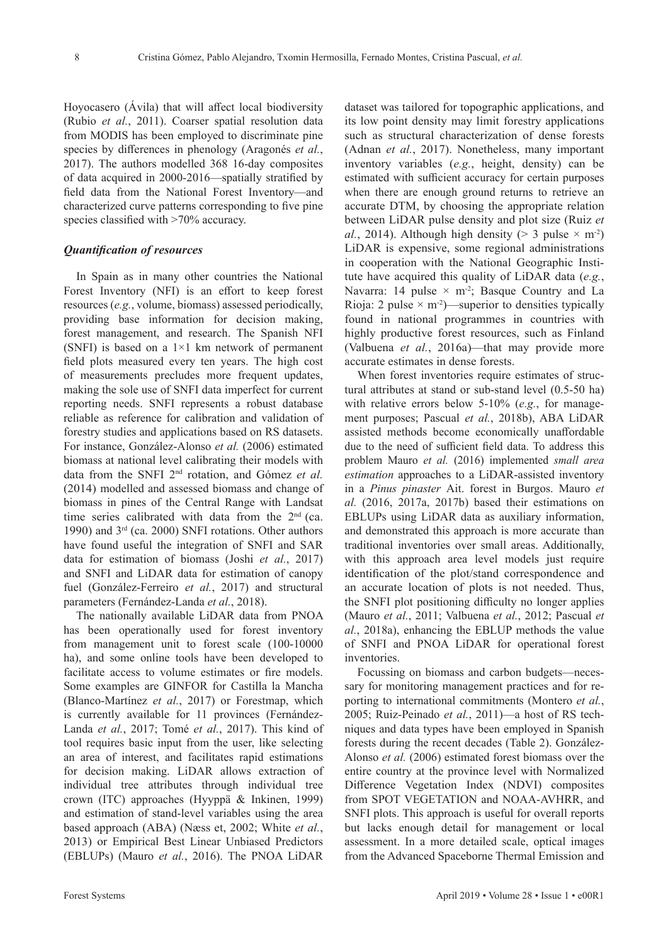Hoyocasero (Ávila) that will affect local biodiversity (Rubio *et al.*, 2011). Coarser spatial resolution data from MODIS has been employed to discriminate pine species by differences in phenology (Aragonés *et al.*, 2017). The authors modelled 368 16-day composites of data acquired in 2000-2016—spatially stratified by field data from the National Forest Inventory—and characterized curve patterns corresponding to five pine species classified with  $>70\%$  accuracy.

### *Quantification of resources*

In Spain as in many other countries the National Forest Inventory (NFI) is an effort to keep forest resources (*e.g.*, volume, biomass) assessed periodically, providing base information for decision making, forest management, and research. The Spanish NFI (SNFI) is based on a  $1\times1$  km network of permanent field plots measured every ten years. The high cost of measurements precludes more frequent updates, making the sole use of SNFI data imperfect for current reporting needs. SNFI represents a robust database reliable as reference for calibration and validation of forestry studies and applications based on RS datasets. For instance, González-Alonso *et al.* (2006) estimated biomass at national level calibrating their models with data from the SNFI 2nd rotation, and Gómez *et al.* (2014) modelled and assessed biomass and change of biomass in pines of the Central Range with Landsat time series calibrated with data from the  $2<sup>nd</sup>$  (ca. 1990) and 3rd (ca. 2000) SNFI rotations. Other authors have found useful the integration of SNFI and SAR data for estimation of biomass (Joshi *et al.*, 2017) and SNFI and LiDAR data for estimation of canopy fuel (González-Ferreiro *et al.*, 2017) and structural parameters (Fernández-Landa *et al.*, 2018).

The nationally available LiDAR data from PNOA has been operationally used for forest inventory from management unit to forest scale (100-10000 ha), and some online tools have been developed to facilitate access to volume estimates or fire models. Some examples are GINFOR for Castilla la Mancha (Blanco-Martínez *et al.*, 2017) or Forestmap, which is currently available for 11 provinces (Fernández-Landa *et al.*, 2017; Tomé *et al.*, 2017). This kind of tool requires basic input from the user, like selecting an area of interest, and facilitates rapid estimations for decision making. LiDAR allows extraction of individual tree attributes through individual tree crown (ITC) approaches (Hyyppä & Inkinen, 1999) and estimation of stand-level variables using the area based approach (ABA) (Næss et, 2002; White *et al.*, 2013) or Empirical Best Linear Unbiased Predictors (EBLUPs) (Mauro *et al.*, 2016). The PNOA LiDAR

dataset was tailored for topographic applications, and its low point density may limit forestry applications such as structural characterization of dense forests (Adnan *et al.*, 2017). Nonetheless, many important inventory variables (*e.g.*, height, density) can be estimated with sufficient accuracy for certain purposes when there are enough ground returns to retrieve an accurate DTM, by choosing the appropriate relation between LiDAR pulse density and plot size (Ruiz *et al.*, 2014). Although high density ( $> 3$  pulse  $\times$  m<sup>-2</sup>) LiDAR is expensive, some regional administrations in cooperation with the National Geographic Institute have acquired this quality of LiDAR data (*e.g.*, Navarra: 14 pulse  $\times$  m<sup>-2</sup>; Basque Country and La Rioja: 2 pulse  $\times$  m<sup>-2</sup>)—superior to densities typically found in national programmes in countries with highly productive forest resources, such as Finland (Valbuena *et al.*, 2016a)—that may provide more accurate estimates in dense forests.

When forest inventories require estimates of structural attributes at stand or sub-stand level (0.5-50 ha) with relative errors below 5-10% (*e.g.*, for management purposes; Pascual *et al.*, 2018b), ABA LiDAR assisted methods become economically unaffordable due to the need of sufficient field data. To address this problem Mauro *et al.* (2016) implemented *small area estimation* approaches to a LiDAR-assisted inventory in a *Pinus pinaster* Ait. forest in Burgos. Mauro *et al.* (2016, 2017a, 2017b) based their estimations on EBLUPs using LiDAR data as auxiliary information, and demonstrated this approach is more accurate than traditional inventories over small areas. Additionally, with this approach area level models just require identification of the plot/stand correspondence and an accurate location of plots is not needed. Thus, the SNFI plot positioning difficulty no longer applies (Mauro *et al.*, 2011; Valbuena *et al.*, 2012; Pascual *et al.*, 2018a), enhancing the EBLUP methods the value of SNFI and PNOA LiDAR for operational forest inventories.

Focussing on biomass and carbon budgets—necessary for monitoring management practices and for reporting to international commitments (Montero *et al.*, 2005; Ruiz-Peinado *et al.*, 2011)—a host of RS techniques and data types have been employed in Spanish forests during the recent decades (Table 2). González-Alonso *et al.* (2006) estimated forest biomass over the entire country at the province level with Normalized Difference Vegetation Index (NDVI) composites from SPOT VEGETATION and NOAA-AVHRR, and SNFI plots. This approach is useful for overall reports but lacks enough detail for management or local assessment. In a more detailed scale, optical images from the Advanced Spaceborne Thermal Emission and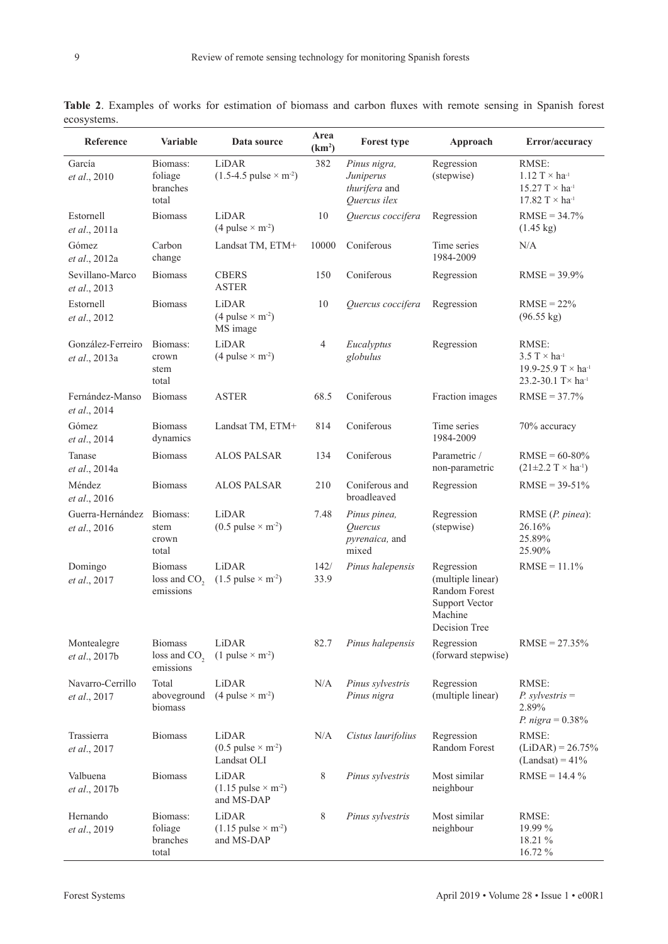| Reference                          | Variable                                                | Data source                                                        | Area<br>(km <sup>2</sup> ) | <b>Forest type</b>                                         | Approach                                                                                              | Error/accuracy                                                                                                 |
|------------------------------------|---------------------------------------------------------|--------------------------------------------------------------------|----------------------------|------------------------------------------------------------|-------------------------------------------------------------------------------------------------------|----------------------------------------------------------------------------------------------------------------|
| García<br>et al., 2010             | Biomass:<br>foliage<br>branches<br>total                | LiDAR<br>$(1.5-4.5 \text{ pulse} \times \text{m}^2)$               | 382                        | Pinus nigra,<br>Juniperus<br>thurifera and<br>Quercus ilex | Regression<br>(stepwise)                                                                              | RMSE:<br>$1.12$ T $\times$ ha <sup>-1</sup><br>$15.27 T \times ha^{-1}$<br>$17.82$ T $\times$ ha <sup>-1</sup> |
| Estornell<br>et al., 2011a         | <b>Biomass</b>                                          | LiDAR<br>$(4 \text{ pulse} \times \text{m}^{-2})$                  | 10                         | Quercus coccifera                                          | Regression                                                                                            | $RMSE = 34.7%$<br>$(1.45 \text{ kg})$                                                                          |
| Gómez<br>et al., 2012a             | Carbon<br>change                                        | Landsat TM, ETM+                                                   | 10000                      | Coniferous                                                 | Time series<br>1984-2009                                                                              | N/A                                                                                                            |
| Sevillano-Marco<br>et al., 2013    | <b>Biomass</b>                                          | <b>CBERS</b><br><b>ASTER</b>                                       | 150                        | Coniferous                                                 | Regression                                                                                            | $RMSE = 39.9%$                                                                                                 |
| Estornell<br>et al., 2012          | <b>Biomass</b>                                          | LiDAR<br>$(4 \text{ pulse} \times \text{m}^{-2})$<br>MS image      | 10                         | Quercus coccifera                                          | Regression                                                                                            | $RMSE = 22%$<br>$(96.55 \text{ kg})$                                                                           |
| González-Ferreiro<br>et al., 2013a | Biomass:<br>crown<br>stem<br>total                      | LiDAR<br>$(4 \text{ pulse} \times \text{m}^{-2})$                  | 4                          | Eucalyptus<br>globulus                                     | Regression                                                                                            | RMSE:<br>$3.5$ T $\times$ ha <sup>-1</sup><br>19.9-25.9 T $\times$ ha <sup>-1</sup><br>23.2-30.1 T × ha-1      |
| Fernández-Manso<br>et al., 2014    | <b>Biomass</b>                                          | <b>ASTER</b>                                                       | 68.5                       | Coniferous                                                 | Fraction images                                                                                       | $RMSE = 37.7%$                                                                                                 |
| Gómez<br>et al., 2014              | <b>Biomass</b><br>dynamics                              | Landsat TM, ETM+                                                   | 814                        | Coniferous                                                 | Time series<br>1984-2009                                                                              | 70% accuracy                                                                                                   |
| Tanase<br>et al., 2014a            | <b>Biomass</b>                                          | <b>ALOS PALSAR</b>                                                 | 134                        | Coniferous                                                 | Parametric /<br>non-parametric                                                                        | $RMSE = 60-80%$<br>$(21\pm2.2 \text{ T} \times \text{ha}^{-1})$                                                |
| Méndez<br>et al., 2016             | <b>Biomass</b>                                          | <b>ALOS PALSAR</b>                                                 | 210                        | Coniferous and<br>broadleaved                              | Regression                                                                                            | $RMSE = 39-51\%$                                                                                               |
| Guerra-Hernández<br>et al., 2016   | Biomass:<br>stem<br>crown<br>total                      | LiDAR<br>$(0.5 \text{ pulse} \times \text{m}^{-2})$                | 7.48                       | Pinus pinea,<br>Quercus<br><i>pyrenaica</i> , and<br>mixed | Regression<br>(stepwise)                                                                              | RMSE (P. pinea):<br>26.16%<br>25.89%<br>25.90%                                                                 |
| Domingo<br>et al., 2017            | <b>Biomass</b><br>loss and CO <sub>2</sub><br>emissions | LiDAR<br>$(1.5 \text{ pulse} \times \text{m}^{-2})$                | 142/<br>33.9               | Pinus halepensis                                           | Regression<br>(multiple linear)<br>Random Forest<br><b>Support Vector</b><br>Machine<br>Decision Tree | $RMSE = 11.1\%$                                                                                                |
| Montealegre<br>et al., 2017b       | <b>Biomass</b><br>loss and $CO2$<br>emissions           | LiDAR<br>$(1 \text{ pulse} \times \text{m}^{-2})$                  | 82.7                       | Pinus halepensis                                           | Regression<br>(forward stepwise)                                                                      | $RMSE = 27.35%$                                                                                                |
| Navarro-Cerrillo<br>et al., 2017   | Total<br>aboveground<br>biomass                         | LiDAR<br>$(4 \text{ pulse} \times \text{m}^{-2})$                  | N/A                        | Pinus sylvestris<br>Pinus nigra                            | Regression<br>(multiple linear)                                                                       | RMSE:<br>$P.$ sylvestris =<br>2.89%<br><i>P.</i> nigra = $0.38\%$                                              |
| Trassierra<br>et al., 2017         | <b>Biomass</b>                                          | LiDAR<br>$(0.5 \text{ pulse} \times \text{m}^{-2})$<br>Landsat OLI | N/A                        | Cistus laurifolius                                         | Regression<br>Random Forest                                                                           | RMSE:<br>$(LiDAR) = 26.75%$<br>$(Landsat) = 41\%$                                                              |
| Valbuena<br>et al., 2017b          | <b>Biomass</b>                                          | LiDAR<br>$(1.15 \text{ pulse} \times \text{m}^{-2})$<br>and MS-DAP | 8                          | Pinus sylvestris                                           | Most similar<br>neighbour                                                                             | $RMSE = 14.4 \%$                                                                                               |
| Hernando<br>et al., 2019           | Biomass:<br>foliage<br>branches<br>total                | LiDAR<br>$(1.15 \text{ pulse} \times \text{m}^{-2})$<br>and MS-DAP | 8                          | Pinus sylvestris                                           | Most similar<br>neighbour                                                                             | RMSE:<br>19.99 %<br>18.21 %<br>16.72 %                                                                         |

**Table 2**. Examples of works for estimation of biomass and carbon fluxes with remote sensing in Spanish forest ecosystems.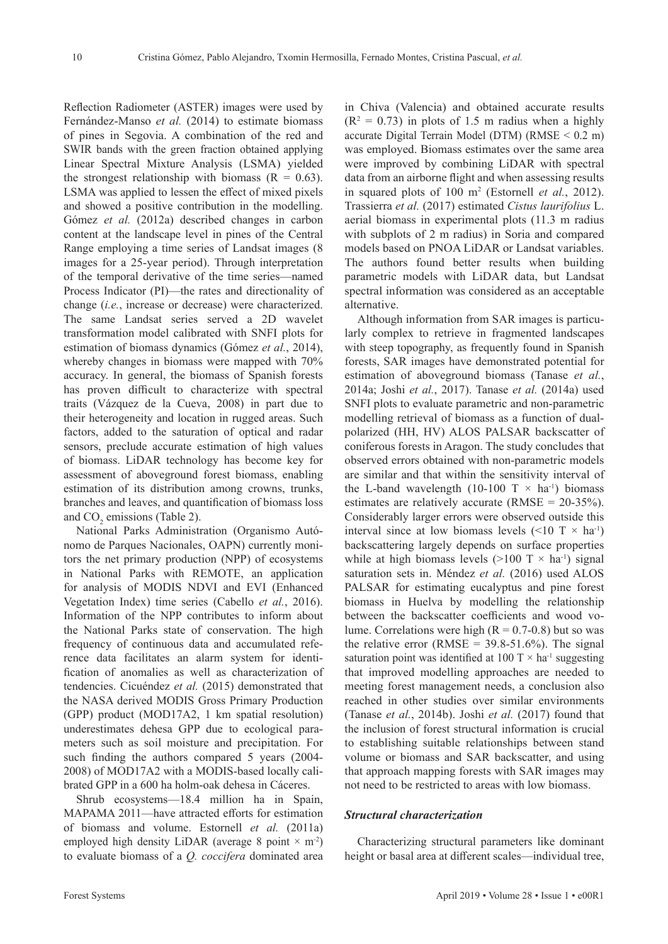Reflection Radiometer (ASTER) images were used by Fernández-Manso *et al.* (2014) to estimate biomass of pines in Segovia. A combination of the red and SWIR bands with the green fraction obtained applying Linear Spectral Mixture Analysis (LSMA) yielded the strongest relationship with biomass ( $R = 0.63$ ). LSMA was applied to lessen the effect of mixed pixels and showed a positive contribution in the modelling. Gómez *et al.* (2012a) described changes in carbon content at the landscape level in pines of the Central Range employing a time series of Landsat images (8 images for a 25-year period). Through interpretation of the temporal derivative of the time series—named Process Indicator (PI)—the rates and directionality of change (*i.e.*, increase or decrease) were characterized. The same Landsat series served a 2D wavelet transformation model calibrated with SNFI plots for estimation of biomass dynamics (Gómez *et al.*, 2014), whereby changes in biomass were mapped with 70% accuracy. In general, the biomass of Spanish forests has proven difficult to characterize with spectral traits (Vázquez de la Cueva, 2008) in part due to their heterogeneity and location in rugged areas. Such factors, added to the saturation of optical and radar sensors, preclude accurate estimation of high values of biomass. LiDAR technology has become key for assessment of aboveground forest biomass, enabling estimation of its distribution among crowns, trunks, branches and leaves, and quantification of biomass loss and  $CO<sub>2</sub>$  emissions (Table 2).

National Parks Administration (Organismo Autónomo de Parques Nacionales, OAPN) currently monitors the net primary production (NPP) of ecosystems in National Parks with REMOTE, an application for analysis of MODIS NDVI and EVI (Enhanced Vegetation Index) time series (Cabello *et al.*, 2016). Information of the NPP contributes to inform about the National Parks state of conservation. The high frequency of continuous data and accumulated reference data facilitates an alarm system for identification of anomalies as well as characterization of tendencies. Cicuéndez *et al.* (2015) demonstrated that the NASA derived MODIS Gross Primary Production (GPP) product (MOD17A2, 1 km spatial resolution) underestimates dehesa GPP due to ecological parameters such as soil moisture and precipitation. For such finding the authors compared 5 years (2004- 2008) of MOD17A2 with a MODIS-based locally calibrated GPP in a 600 ha holm-oak dehesa in Cáceres.

Shrub ecosystems—18.4 million ha in Spain, MAPAMA 2011—have attracted efforts for estimation of biomass and volume. Estornell *et al.* (2011a) employed high density LiDAR (average 8 point  $\times$  m<sup>-2</sup>) to evaluate biomass of a *Q. coccifera* dominated area

in Chiva (Valencia) and obtained accurate results  $(R<sup>2</sup> = 0.73)$  in plots of 1.5 m radius when a highly accurate Digital Terrain Model (DTM) (RMSE < 0.2 m) was employed. Biomass estimates over the same area were improved by combining LiDAR with spectral data from an airborne flight and when assessing results in squared plots of 100 m<sup>2</sup> (Estornell *et al.*, 2012). Trassierra *et al.* (2017) estimated *Cistus laurifolius* L. aerial biomass in experimental plots (11.3 m radius with subplots of 2 m radius) in Soria and compared models based on PNOA LiDAR or Landsat variables. The authors found better results when building parametric models with LiDAR data, but Landsat spectral information was considered as an acceptable alternative.

Although information from SAR images is particularly complex to retrieve in fragmented landscapes with steep topography, as frequently found in Spanish forests, SAR images have demonstrated potential for estimation of aboveground biomass (Tanase *et al.*, 2014a; Joshi *et al.*, 2017). Tanase *et al.* (2014a) used SNFI plots to evaluate parametric and non-parametric modelling retrieval of biomass as a function of dualpolarized (HH, HV) ALOS PALSAR backscatter of coniferous forests in Aragon. The study concludes that observed errors obtained with non-parametric models are similar and that within the sensitivity interval of the L-band wavelength (10-100 T  $\times$  ha<sup>-1</sup>) biomass estimates are relatively accurate (RMSE = 20-35%). Considerably larger errors were observed outside this interval since at low biomass levels  $(\leq 10 \text{ T} \times \text{ha}^{-1})$ backscattering largely depends on surface properties while at high biomass levels  $(>100 \text{ T} \times \text{ha}^{-1})$  signal saturation sets in. Méndez *et al.* (2016) used ALOS PALSAR for estimating eucalyptus and pine forest biomass in Huelva by modelling the relationship between the backscatter coefficients and wood volume. Correlations were high  $(R = 0.7-0.8)$  but so was the relative error (RMSE =  $39.8-51.6%$ ). The signal saturation point was identified at 100 T  $\times$  ha<sup>-1</sup> suggesting that improved modelling approaches are needed to meeting forest management needs, a conclusion also reached in other studies over similar environments (Tanase *et al.*, 2014b). Joshi *et al.* (2017) found that the inclusion of forest structural information is crucial to establishing suitable relationships between stand volume or biomass and SAR backscatter, and using that approach mapping forests with SAR images may not need to be restricted to areas with low biomass.

### *Structural characterization*

Characterizing structural parameters like dominant height or basal area at different scales—individual tree,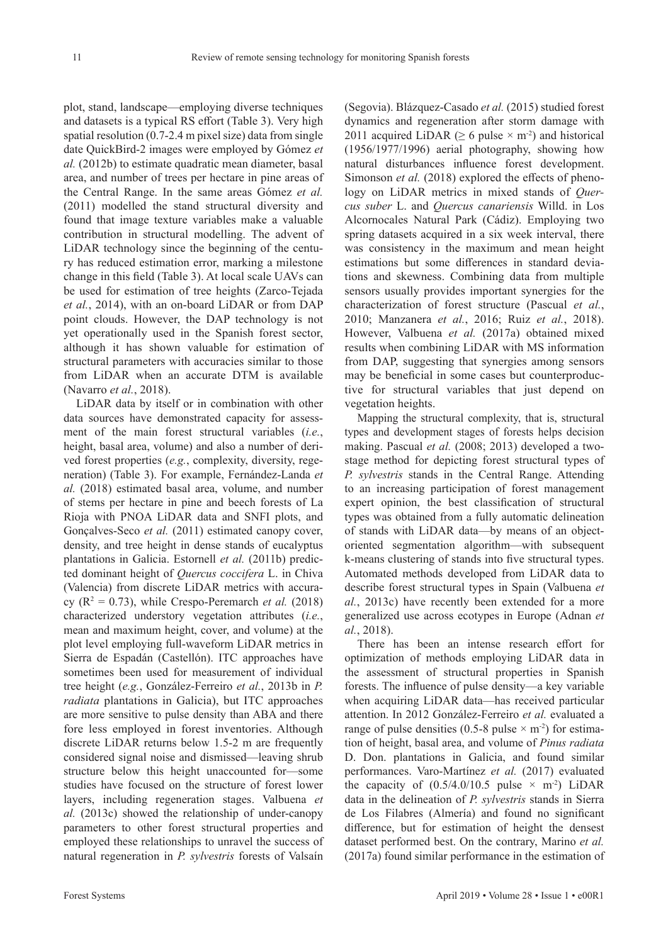plot, stand, landscape—employing diverse techniques and datasets is a typical RS effort (Table 3). Very high spatial resolution (0.7-2.4 m pixel size) data from single date QuickBird-2 images were employed by Gómez *et al.* (2012b) to estimate quadratic mean diameter, basal area, and number of trees per hectare in pine areas of the Central Range. In the same areas Gómez *et al.* (2011) modelled the stand structural diversity and found that image texture variables make a valuable contribution in structural modelling. The advent of LiDAR technology since the beginning of the century has reduced estimation error, marking a milestone change in this field (Table 3). At local scale UAVs can be used for estimation of tree heights (Zarco-Tejada *et al.*, 2014), with an on-board LiDAR or from DAP point clouds. However, the DAP technology is not yet operationally used in the Spanish forest sector, although it has shown valuable for estimation of structural parameters with accuracies similar to those from LiDAR when an accurate DTM is available (Navarro *et al.*, 2018).

LiDAR data by itself or in combination with other data sources have demonstrated capacity for assessment of the main forest structural variables (*i.e.*, height, basal area, volume) and also a number of derived forest properties (*e.g.*, complexity, diversity, regeneration) (Table 3). For example, Fernández-Landa *et al.* (2018) estimated basal area, volume, and number of stems per hectare in pine and beech forests of La Rioja with PNOA LiDAR data and SNFI plots, and Gonçalves-Seco *et al.* (2011) estimated canopy cover, density, and tree height in dense stands of eucalyptus plantations in Galicia. Estornell *et al.* (2011b) predicted dominant height of *Quercus coccifera* L. in Chiva (Valencia) from discrete LiDAR metrics with accuracy  $(R^2 = 0.73)$ , while Crespo-Peremarch *et al.* (2018) characterized understory vegetation attributes (*i.e.*, mean and maximum height, cover, and volume) at the plot level employing full-waveform LiDAR metrics in Sierra de Espadán (Castellón). ITC approaches have sometimes been used for measurement of individual tree height (*e.g.*, González-Ferreiro *et al.*, 2013b in *P. radiata* plantations in Galicia), but ITC approaches are more sensitive to pulse density than ABA and there fore less employed in forest inventories. Although discrete LiDAR returns below 1.5-2 m are frequently considered signal noise and dismissed—leaving shrub structure below this height unaccounted for—some studies have focused on the structure of forest lower layers, including regeneration stages. Valbuena *et al.* (2013c) showed the relationship of under-canopy parameters to other forest structural properties and employed these relationships to unravel the success of natural regeneration in *P. sylvestris* forests of Valsaín

(Segovia). Blázquez-Casado *et al.* (2015) studied forest dynamics and regeneration after storm damage with 2011 acquired LiDAR ( $\geq 6$  pulse  $\times$  m<sup>-2</sup>) and historical (1956/1977/1996) aerial photography, showing how natural disturbances influence forest development. Simonson *et al.* (2018) explored the effects of phenology on LiDAR metrics in mixed stands of *Quercus suber* L. and *Quercus canariensis* Willd. in Los Alcornocales Natural Park (Cádiz). Employing two spring datasets acquired in a six week interval, there was consistency in the maximum and mean height estimations but some differences in standard deviations and skewness. Combining data from multiple sensors usually provides important synergies for the characterization of forest structure (Pascual *et al.*, 2010; Manzanera *et al.*, 2016; Ruiz *et al.*, 2018). However, Valbuena *et al.* (2017a) obtained mixed results when combining LiDAR with MS information from DAP, suggesting that synergies among sensors may be beneficial in some cases but counterproductive for structural variables that just depend on vegetation heights.

Mapping the structural complexity, that is, structural types and development stages of forests helps decision making. Pascual *et al.* (2008; 2013) developed a twostage method for depicting forest structural types of *P. sylvestris* stands in the Central Range. Attending to an increasing participation of forest management expert opinion, the best classification of structural types was obtained from a fully automatic delineation of stands with LiDAR data—by means of an objectoriented segmentation algorithm—with subsequent k-means clustering of stands into five structural types. Automated methods developed from LiDAR data to describe forest structural types in Spain (Valbuena *et al.*, 2013c) have recently been extended for a more generalized use across ecotypes in Europe (Adnan *et al.*, 2018).

There has been an intense research effort for optimization of methods employing LiDAR data in the assessment of structural properties in Spanish forests. The influence of pulse density—a key variable when acquiring LiDAR data—has received particular attention. In 2012 González-Ferreiro *et al.* evaluated a range of pulse densities (0.5-8 pulse  $\times$  m<sup>-2</sup>) for estimation of height, basal area, and volume of *Pinus radiata* D. Don. plantations in Galicia, and found similar performances. Varo-Martínez *et al.* (2017) evaluated the capacity of  $(0.5/4.0/10.5 \text{ pulse} \times \text{m}^2)$  LiDAR data in the delineation of *P. sylvestris* stands in Sierra de Los Filabres (Almería) and found no significant difference, but for estimation of height the densest dataset performed best. On the contrary, Marino *et al.* (2017a) found similar performance in the estimation of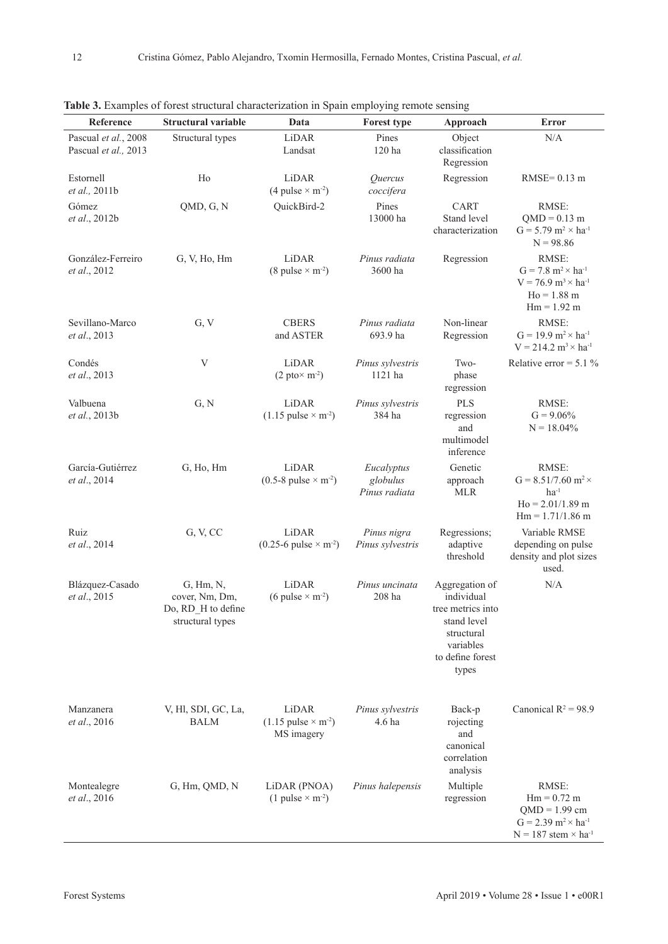| Reference                                    | <b>Structural variable</b>                                               | Data                                                            | <b>Forest type</b>                      | Approach                                                                                                                 | <b>Error</b>                                                                                                                                   |
|----------------------------------------------|--------------------------------------------------------------------------|-----------------------------------------------------------------|-----------------------------------------|--------------------------------------------------------------------------------------------------------------------------|------------------------------------------------------------------------------------------------------------------------------------------------|
| Pascual et al., 2008<br>Pascual et al., 2013 | Structural types                                                         | LiDAR<br>Landsat                                                | Pines<br>120 ha                         | Object<br>classification<br>Regression                                                                                   | N/A                                                                                                                                            |
| Estornell<br>et al., 2011b                   | Ho                                                                       | LiDAR<br>$(4 \text{ pulse} \times \text{m}^{-2})$               | Quercus<br>coccifera                    | Regression                                                                                                               | $RMSE = 0.13$ m                                                                                                                                |
| Gómez<br>et al., 2012b                       | QMD, G, N                                                                | QuickBird-2                                                     | Pines<br>13000 ha                       | <b>CART</b><br>Stand level<br>characterization                                                                           | RMSE:<br>$QMD = 0.13$ m<br>$G = 5.79$ m <sup>2</sup> × ha <sup>-1</sup><br>$N = 98.86$                                                         |
| González-Ferreiro<br>et al., 2012            | G, V, Ho, Hm                                                             | LiDAR<br>$(8 \text{ pulse} \times \text{m}^{-2})$               | Pinus radiata<br>3600 ha                | Regression                                                                                                               | RMSE:<br>$G = 7.8$ m <sup>2</sup> × ha <sup>-1</sup><br>$V = 76.9$ m <sup>3</sup> × ha <sup>-1</sup><br>$Ho = 1.88 \text{ m}$<br>$Hm = 1.92 m$ |
| Sevillano-Marco<br>et al., 2013              | G, V                                                                     | <b>CBERS</b><br>and ASTER                                       | Pinus radiata<br>693.9 ha               | Non-linear<br>Regression                                                                                                 | RMSE:<br>$G = 19.9$ m <sup>2</sup> × ha <sup>-1</sup><br>$V = 214.2 \text{ m}^3 \times \text{ha}^{-1}$                                         |
| Condés<br>et al., 2013                       | V                                                                        | LiDAR<br>$(2 \text{pto} \times \text{m}^{-2})$                  | Pinus sylvestris<br>1121 ha             | Two-<br>phase<br>regression                                                                                              | Relative error = $5.1\%$                                                                                                                       |
| Valbuena<br>et al., 2013b                    | G, N                                                                     | LiDAR<br>$(1.15 \text{ pulse} \times \text{m}^{-2})$            | Pinus sylvestris<br>384 ha              | PLS<br>regression<br>and<br>multimodel<br>inference                                                                      | RMSE:<br>$G = 9.06\%$<br>$N = 18.04\%$                                                                                                         |
| García-Gutiérrez<br>et al., 2014             | G, Ho, Hm                                                                | LiDAR<br>$(0.5-8 \text{ pulse} \times \text{m}^{-2})$           | Eucalyptus<br>globulus<br>Pinus radiata | Genetic<br>approach<br><b>MLR</b>                                                                                        | RMSE:<br>$G = 8.51/7.60$ m <sup>2</sup> ×<br>$ha^{-1}$<br>$Ho = 2.01/1.89 m$<br>$Hm = 1.71/1.86$ m                                             |
| Ruiz<br>et al., 2014                         | G, V, CC                                                                 | LiDAR<br>$(0.25-6 \text{ pulse} \times \text{m}^{2})$           | Pinus nigra<br>Pinus sylvestris         | Regressions;<br>adaptive<br>threshold                                                                                    | Variable RMSE<br>depending on pulse<br>density and plot sizes<br>used.                                                                         |
| Blázquez-Casado<br>et al., 2015              | $G$ , Hm, N,<br>cover, Nm, Dm,<br>Do, RD_H to define<br>structural types | LiDAR<br>(6 pulse $\times$ m <sup>-2</sup> )                    | Pinus uncinata<br>208 ha                | Aggregation of<br>individual<br>tree metrics into<br>stand level<br>structural<br>variables<br>to define forest<br>types | N/A                                                                                                                                            |
| Manzanera<br>et al., 2016                    | V, Hl, SDI, GC, La,<br><b>BALM</b>                                       | LiDAR<br>$(1.15 \text{ pulse} \times \text{m}^2)$<br>MS imagery | Pinus sylvestris<br>4.6 ha              | Back-p<br>rojecting<br>and<br>canonical<br>correlation<br>analysis                                                       | Canonical $R^2 = 98.9$                                                                                                                         |
| Montealegre<br>et al., 2016                  | G, Hm, QMD, N                                                            | LiDAR (PNOA)<br>$(1 \text{ pulse} \times \text{m}^2)$           | Pinus halepensis                        | Multiple<br>regression                                                                                                   | RMSE:<br>$Hm = 0.72 m$<br>$QMD = 1.99$ cm<br>$G = 2.39$ m <sup>2</sup> × ha <sup>-1</sup><br>$N = 187$ stem $\times$ ha <sup>-1</sup>          |

**Table 3.** Examples of forest structural characterization in Spain employing remote sensing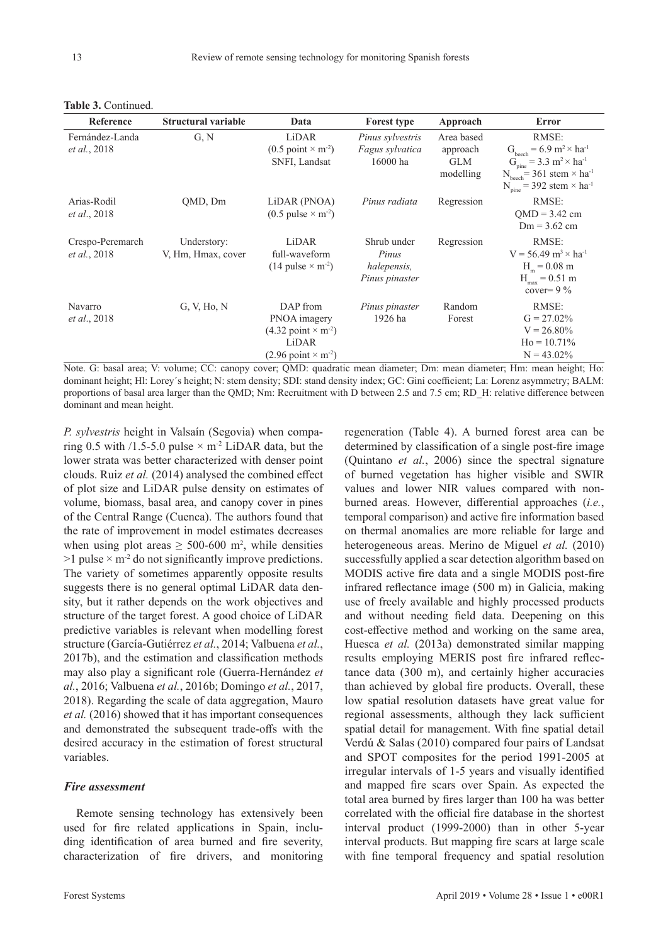| Reference                           | Structural variable               | Data                                                                                                                            | <b>Forest type</b>                                    | Approach                                          | Error                                                                                                                                                                                                                   |
|-------------------------------------|-----------------------------------|---------------------------------------------------------------------------------------------------------------------------------|-------------------------------------------------------|---------------------------------------------------|-------------------------------------------------------------------------------------------------------------------------------------------------------------------------------------------------------------------------|
| Fernández-Landa<br>et al., 2018     | G, N                              | LiDAR<br>$(0.5 \text{ point} \times \text{m}^{-2})$<br>SNFI, Landsat                                                            | Pinus sylvestris<br>Fagus sylvatica<br>16000 ha       | Area based<br>approach<br><b>GLM</b><br>modelling | RMSE:<br>$Gbeech = 6.9 m2 × ha-1$<br>$G_{\text{pine}} = 3.3 \text{ m}^2 \times \text{ha}^{-1}$<br>$N_{\text{heech}} = 361 \text{ stem} \times \text{ha}^{-1}$<br>$N_{\text{pine}} = 392$ stem $\times$ ha <sup>-1</sup> |
| Arias-Rodil<br><i>et al.</i> , 2018 | QMD, Dm                           | LiDAR (PNOA)<br>$(0.5 \text{ pulse} \times \text{m}^2)$                                                                         | Pinus radiata                                         | Regression                                        | RMSE:<br>$OMD = 3.42$ cm<br>$Dm = 3.62$ cm                                                                                                                                                                              |
| Crespo-Peremarch<br>et al., 2018    | Understory:<br>V, Hm, Hmax, cover | LiDAR<br>full-waveform<br>$(14 \text{ pulse} \times \text{m}^2)$                                                                | Shrub under<br>Pinus<br>halepensis,<br>Pinus pinaster | Regression                                        | RMSE:<br>$V = 56.49$ m <sup>3</sup> × ha <sup>-1</sup><br>$H_m = 0.08$ m<br>$H_{max} = 0.51$ m<br>cover= $9\%$                                                                                                          |
| Navarro<br>et al., 2018             | G, V, Ho, N                       | DAP from<br>PNOA imagery<br>$(4.32 \text{ point} \times \text{m}^{-2})$<br>LiDAR<br>$(2.96 \text{ point} \times \text{m}^{-2})$ | Pinus pinaster<br>1926 ha                             | Random<br>Forest                                  | RMSE:<br>$G = 27.02\%$<br>$V = 26.80\%$<br>$Ho = 10.71\%$<br>$N = 43.02\%$                                                                                                                                              |

**Table 3.** Continued.

Note. G: basal area; V: volume; CC: canopy cover; QMD: quadratic mean diameter; Dm: mean diameter; Hm: mean height; Ho: dominant height; Hl: Lorey's height; N: stem density; SDI: stand density index; GC: Gini coefficient; La: Lorenz asymmetry; BALM: proportions of basal area larger than the QMD; Nm: Recruitment with D between 2.5 and 7.5 cm; RD\_H: relative difference between dominant and mean height.

*P. sylvestris* height in Valsaín (Segovia) when comparing 0.5 with /1.5-5.0 pulse  $\times$  m<sup>-2</sup> LiDAR data, but the lower strata was better characterized with denser point clouds. Ruiz *et al.* (2014) analysed the combined effect of plot size and LiDAR pulse density on estimates of volume, biomass, basal area, and canopy cover in pines of the Central Range (Cuenca). The authors found that the rate of improvement in model estimates decreases when using plot areas  $\geq 500{\text -}600$  m<sup>2</sup>, while densities  $>1$  pulse  $\times$  m<sup>-2</sup> do not significantly improve predictions. The variety of sometimes apparently opposite results suggests there is no general optimal LiDAR data density, but it rather depends on the work objectives and structure of the target forest. A good choice of LiDAR predictive variables is relevant when modelling forest structure (García-Gutiérrez *et al.*, 2014; Valbuena *et al.*, 2017b), and the estimation and classification methods may also play a significant role (Guerra-Hernández *et al.*, 2016; Valbuena *et al.*, 2016b; Domingo *et al.*, 2017, 2018). Regarding the scale of data aggregation, Mauro *et al.* (2016) showed that it has important consequences and demonstrated the subsequent trade-offs with the desired accuracy in the estimation of forest structural variables.

#### *Fire assessment*

Remote sensing technology has extensively been used for fire related applications in Spain, including identification of area burned and fire severity, characterization of fire drivers, and monitoring regeneration (Table 4). A burned forest area can be determined by classification of a single post-fire image (Quintano *et al.*, 2006) since the spectral signature of burned vegetation has higher visible and SWIR values and lower NIR values compared with nonburned areas. However, differential approaches (*i.e.*, temporal comparison) and active fire information based on thermal anomalies are more reliable for large and heterogeneous areas. Merino de Miguel *et al.* (2010) successfully applied a scar detection algorithm based on MODIS active fire data and a single MODIS post-fire infrared reflectance image (500 m) in Galicia, making use of freely available and highly processed products and without needing field data. Deepening on this cost-effective method and working on the same area, Huesca *et al.* (2013a) demonstrated similar mapping results employing MERIS post fire infrared reflectance data (300 m), and certainly higher accuracies than achieved by global fire products. Overall, these low spatial resolution datasets have great value for regional assessments, although they lack sufficient spatial detail for management. With fine spatial detail Verdú & Salas (2010) compared four pairs of Landsat and SPOT composites for the period 1991-2005 at irregular intervals of 1-5 years and visually identified and mapped fire scars over Spain. As expected the total area burned by fires larger than 100 ha was better correlated with the official fire database in the shortest interval product (1999-2000) than in other 5-year interval products. But mapping fire scars at large scale with fine temporal frequency and spatial resolution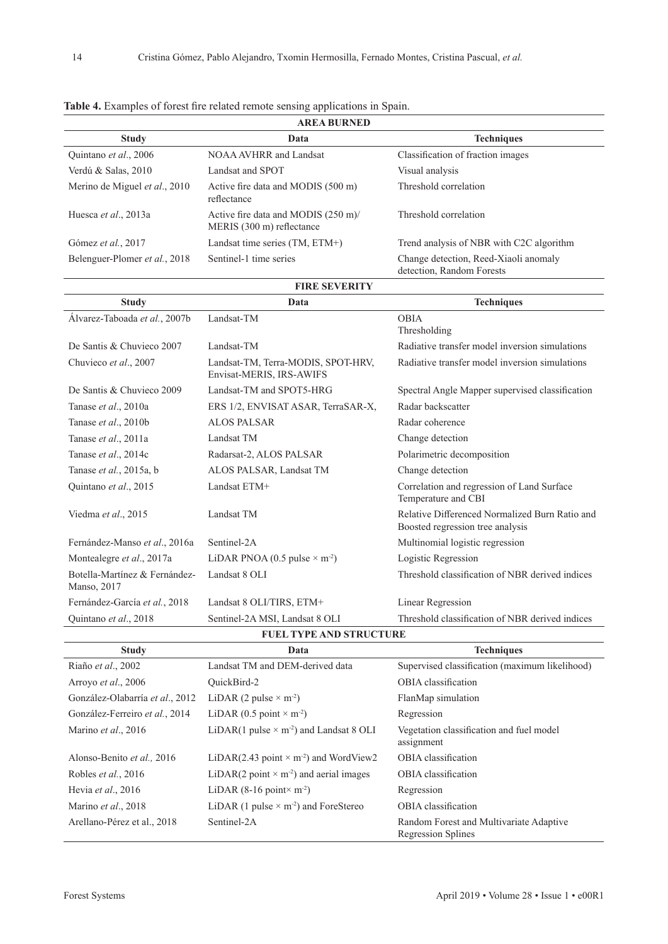| <b>AREA BURNED</b>            |                                                                             |                                                                    |  |  |
|-------------------------------|-----------------------------------------------------------------------------|--------------------------------------------------------------------|--|--|
| <b>Study</b>                  | Data                                                                        | <b>Techniques</b>                                                  |  |  |
| Quintano et al., 2006         | NOAA AVHRR and Landsat                                                      | Classification of fraction images                                  |  |  |
| Verdú & Salas, 2010           | Landsat and SPOT                                                            | Visual analysis                                                    |  |  |
| Merino de Miguel et al., 2010 | Active fire data and MODIS (500 m)<br>reflectance                           | Threshold correlation                                              |  |  |
| Huesca et al., 2013a          | Active fire data and MODIS $(250 \text{ m})$ /<br>MERIS (300 m) reflectance | Threshold correlation                                              |  |  |
| Gómez et al., 2017            | Landsat time series (TM, ETM+)                                              | Trend analysis of NBR with C2C algorithm                           |  |  |
| Belenguer-Plomer et al., 2018 | Sentinel-1 time series                                                      | Change detection, Reed-Xiaoli anomaly<br>detection, Random Forests |  |  |

**Table 4.** Examples of forest fire related remote sensing applications in Spain.

## **FIRE SEVERITY**

| <b>Study</b>                                 | Data                                                           | <b>Techniques</b>                                                                  |
|----------------------------------------------|----------------------------------------------------------------|------------------------------------------------------------------------------------|
| Álvarez-Taboada et al., 2007b                | Landsat-TM                                                     | <b>OBIA</b><br>Thresholding                                                        |
| De Santis & Chuvieco 2007                    | Landsat-TM                                                     | Radiative transfer model inversion simulations                                     |
| Chuvieco et al., 2007                        | Landsat-TM, Terra-MODIS, SPOT-HRV,<br>Envisat-MERIS, IRS-AWIFS | Radiative transfer model inversion simulations                                     |
| De Santis & Chuvieco 2009                    | Landsat-TM and SPOT5-HRG                                       | Spectral Angle Mapper supervised classification                                    |
| Tanase et al., 2010a                         | ERS 1/2, ENVISAT ASAR, TerraSAR-X,                             | Radar backscatter                                                                  |
| Tanase et al., 2010b                         | <b>ALOS PALSAR</b>                                             | Radar coherence                                                                    |
| Tanase et al., 2011a                         | Landsat TM                                                     | Change detection                                                                   |
| Tanase et al., 2014c                         | Radarsat-2, ALOS PALSAR                                        | Polarimetric decomposition                                                         |
| Tanase et al., 2015a, b                      | ALOS PALSAR, Landsat TM                                        | Change detection                                                                   |
| Quintano et al., 2015                        | Landsat ETM+                                                   | Correlation and regression of Land Surface<br>Temperature and CBI                  |
| Viedma et al., 2015                          | Landsat TM                                                     | Relative Differenced Normalized Burn Ratio and<br>Boosted regression tree analysis |
| Fernández-Manso et al., 2016a                | Sentinel-2A                                                    | Multinomial logistic regression                                                    |
| Montealegre et al., 2017a                    | LiDAR PNOA $(0.5 \text{ pulse} \times \text{m}^2)$             | Logistic Regression                                                                |
| Botella-Martínez & Fernández-<br>Manso, 2017 | Landsat 8 OLI                                                  | Threshold classification of NBR derived indices                                    |
| Fernández-García et al., 2018                | Landsat 8 OLI/TIRS, ETM+                                       | Linear Regression                                                                  |
| Quintano et al., 2018                        | Sentinel-2A MSI, Landsat 8 OLI                                 | Threshold classification of NBR derived indices                                    |

## **FUEL TYPE AND STRUCTURE**

| <b>Study</b>                    | Data                                                       | <b>Techniques</b>                                             |  |  |  |
|---------------------------------|------------------------------------------------------------|---------------------------------------------------------------|--|--|--|
| Riaño et al., 2002              | Landsat TM and DEM-derived data                            | Supervised classification (maximum likelihood)                |  |  |  |
| Arroyo et al., 2006             | OuickBird-2                                                | OBIA classification                                           |  |  |  |
| González-Olabarría et al., 2012 | LiDAR (2 pulse $\times$ m <sup>-2</sup> )                  | FlanMap simulation                                            |  |  |  |
| González-Ferreiro et al., 2014  | LiDAR $(0.5 \text{ point} \times \text{m}^{-2})$           | Regression                                                    |  |  |  |
| Marino et al., 2016             | LiDAR(1 pulse $\times$ m <sup>-2</sup> ) and Landsat 8 OLI | Vegetation classification and fuel model<br>assignment        |  |  |  |
| Alonso-Benito et al., 2016      | LiDAR(2.43 point $\times$ m <sup>-2</sup> ) and WordView2  | OBIA classification                                           |  |  |  |
| Robles et al., 2016             | LiDAR(2 point $\times$ m <sup>-2</sup> ) and aerial images | OBIA classification                                           |  |  |  |
| Hevia et al., 2016              | LiDAR $(8-16$ point $\times$ m <sup>-2</sup> )             | Regression                                                    |  |  |  |
| Marino et al., 2018             | LiDAR (1 pulse $\times$ m <sup>-2</sup> ) and ForeStereo   | OBIA classification                                           |  |  |  |
| Arellano-Pérez et al., 2018     | Sentinel-2A                                                | Random Forest and Multivariate Adaptive<br>Regression Splines |  |  |  |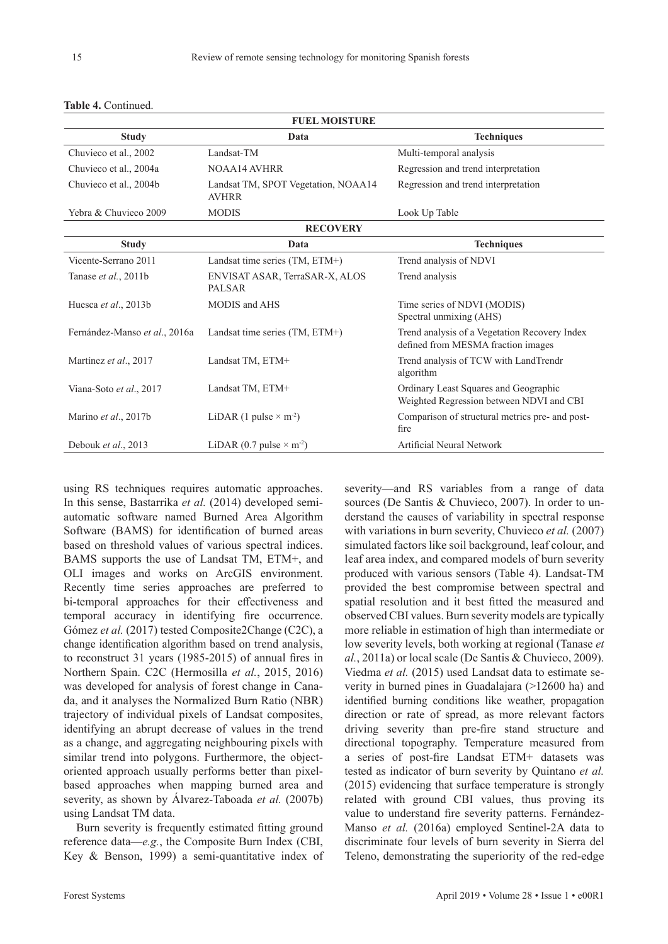| <b>FUEL MOISTURE</b>          |                                                     |                                                                                     |  |  |  |
|-------------------------------|-----------------------------------------------------|-------------------------------------------------------------------------------------|--|--|--|
| <b>Study</b>                  | Data                                                | <b>Techniques</b>                                                                   |  |  |  |
| Chuvieco et al., 2002         | Landsat-TM                                          | Multi-temporal analysis                                                             |  |  |  |
| Chuvieco et al., 2004a        | <b>NOAA14 AVHRR</b>                                 | Regression and trend interpretation                                                 |  |  |  |
| Chuvieco et al., 2004b        | Landsat TM, SPOT Vegetation, NOAA14<br><b>AVHRR</b> | Regression and trend interpretation                                                 |  |  |  |
| Yebra & Chuvieco 2009         | <b>MODIS</b>                                        | Look Up Table                                                                       |  |  |  |
|                               | <b>RECOVERY</b>                                     |                                                                                     |  |  |  |
| <b>Study</b>                  | Data                                                | <b>Techniques</b>                                                                   |  |  |  |
| Vicente-Serrano 2011          | Landsat time series (TM, ETM+)                      | Trend analysis of NDVI                                                              |  |  |  |
| Tanase et al., 2011b          | ENVISAT ASAR, TerraSAR-X, ALOS<br><b>PALSAR</b>     | Trend analysis                                                                      |  |  |  |
| Huesca et al., 2013b          | <b>MODIS</b> and AHS                                | Time series of NDVI (MODIS)<br>Spectral unmixing (AHS)                              |  |  |  |
| Fernández-Manso et al., 2016a | Landsat time series (TM, ETM+)                      | Trend analysis of a Vegetation Recovery Index<br>defined from MESMA fraction images |  |  |  |
| Martínez et al., 2017         | Landsat TM, ETM+                                    | Trend analysis of TCW with LandTrendr<br>algorithm                                  |  |  |  |
| Viana-Soto et al., 2017       | Landsat TM, ETM+                                    | Ordinary Least Squares and Geographic<br>Weighted Regression between NDVI and CBI   |  |  |  |
| Marino et al., 2017b          | LiDAR (1 pulse $\times$ m <sup>-2</sup> )           | Comparison of structural metrics pre- and post-<br>fire                             |  |  |  |
| Debouk et al., 2013           | LiDAR $(0.7 \text{ pulse} \times \text{m}^2)$       | Artificial Neural Network                                                           |  |  |  |

**Table 4.** Continued.

using RS techniques requires automatic approaches. In this sense, Bastarrika *et al.* (2014) developed semiautomatic software named Burned Area Algorithm Software (BAMS) for identification of burned areas based on threshold values of various spectral indices. BAMS supports the use of Landsat TM, ETM+, and OLI images and works on ArcGIS environment. Recently time series approaches are preferred to bi-temporal approaches for their effectiveness and temporal accuracy in identifying fire occurrence. Gómez *et al.* (2017) tested Composite2Change (C2C), a change identification algorithm based on trend analysis, to reconstruct 31 years (1985-2015) of annual fires in Northern Spain. C2C (Hermosilla *et al.*, 2015, 2016) was developed for analysis of forest change in Canada, and it analyses the Normalized Burn Ratio (NBR) trajectory of individual pixels of Landsat composites, identifying an abrupt decrease of values in the trend as a change, and aggregating neighbouring pixels with similar trend into polygons. Furthermore, the objectoriented approach usually performs better than pixelbased approaches when mapping burned area and severity, as shown by Álvarez-Taboada *et al.* (2007b) using Landsat TM data.

Burn severity is frequently estimated fitting ground reference data—*e.g.*, the Composite Burn Index (CBI, Key & Benson, 1999) a semi-quantitative index of severity—and RS variables from a range of data sources (De Santis & Chuvieco, 2007). In order to understand the causes of variability in spectral response with variations in burn severity, Chuvieco *et al.* (2007) simulated factors like soil background, leaf colour, and leaf area index, and compared models of burn severity produced with various sensors (Table 4). Landsat-TM provided the best compromise between spectral and spatial resolution and it best fitted the measured and observed CBI values. Burn severity models are typically more reliable in estimation of high than intermediate or low severity levels, both working at regional (Tanase *et al.*, 2011a) or local scale (De Santis & Chuvieco, 2009). Viedma *et al.* (2015) used Landsat data to estimate severity in burned pines in Guadalajara (>12600 ha) and identified burning conditions like weather, propagation direction or rate of spread, as more relevant factors driving severity than pre-fire stand structure and directional topography. Temperature measured from a series of post-fire Landsat ETM+ datasets was tested as indicator of burn severity by Quintano *et al.* (2015) evidencing that surface temperature is strongly related with ground CBI values, thus proving its value to understand fire severity patterns. Fernández-Manso *et al.* (2016a) employed Sentinel-2A data to discriminate four levels of burn severity in Sierra del Teleno, demonstrating the superiority of the red-edge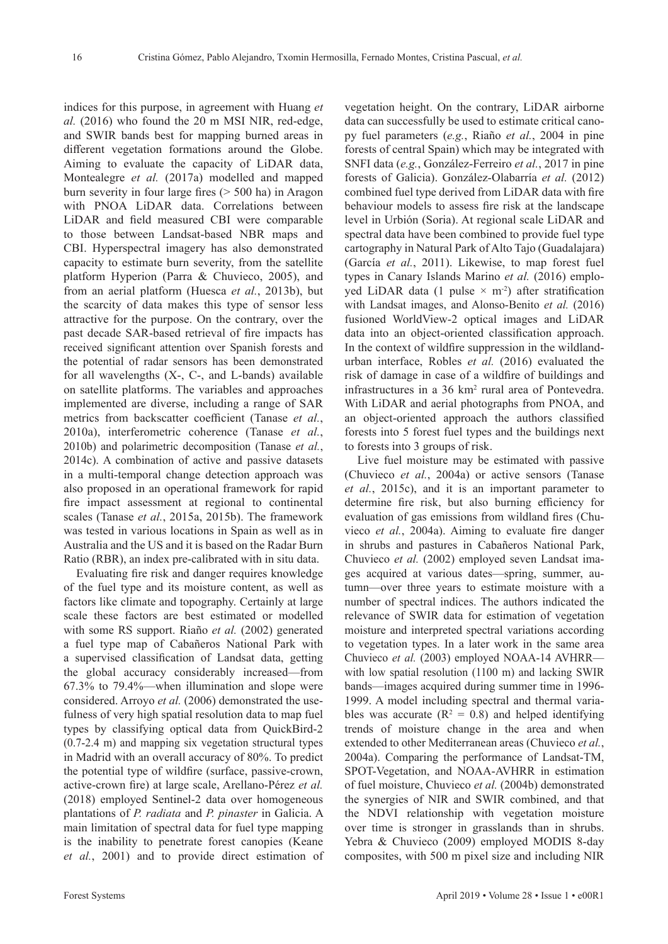indices for this purpose, in agreement with Huang *et al.* (2016) who found the 20 m MSI NIR, red-edge, and SWIR bands best for mapping burned areas in different vegetation formations around the Globe. Aiming to evaluate the capacity of LiDAR data, Montealegre *et al.* (2017a) modelled and mapped burn severity in four large fires (> 500 ha) in Aragon with PNOA LiDAR data. Correlations between LiDAR and field measured CBI were comparable to those between Landsat-based NBR maps and CBI. Hyperspectral imagery has also demonstrated capacity to estimate burn severity, from the satellite platform Hyperion (Parra & Chuvieco, 2005), and from an aerial platform (Huesca *et al.*, 2013b), but the scarcity of data makes this type of sensor less attractive for the purpose. On the contrary, over the past decade SAR-based retrieval of fire impacts has received significant attention over Spanish forests and the potential of radar sensors has been demonstrated for all wavelengths (X-, C-, and L-bands) available on satellite platforms. The variables and approaches implemented are diverse, including a range of SAR metrics from backscatter coefficient (Tanase *et al.*, 2010a), interferometric coherence (Tanase *et al.*, 2010b) and polarimetric decomposition (Tanase *et al.*, 2014c). A combination of active and passive datasets in a multi-temporal change detection approach was also proposed in an operational framework for rapid fire impact assessment at regional to continental scales (Tanase *et al.*, 2015a, 2015b). The framework was tested in various locations in Spain as well as in Australia and the US and it is based on the Radar Burn Ratio (RBR), an index pre-calibrated with in situ data.

Evaluating fire risk and danger requires knowledge of the fuel type and its moisture content, as well as factors like climate and topography. Certainly at large scale these factors are best estimated or modelled with some RS support. Riaño *et al.* (2002) generated a fuel type map of Cabañeros National Park with a supervised classification of Landsat data, getting the global accuracy considerably increased—from 67.3% to 79.4%—when illumination and slope were considered. Arroyo *et al.* (2006) demonstrated the usefulness of very high spatial resolution data to map fuel types by classifying optical data from QuickBird-2 (0.7-2.4 m) and mapping six vegetation structural types in Madrid with an overall accuracy of 80%. To predict the potential type of wildfire (surface, passive-crown, active-crown fire) at large scale, Arellano-Pérez *et al.* (2018) employed Sentinel-2 data over homogeneous plantations of *P. radiata* and *P. pinaster* in Galicia. A main limitation of spectral data for fuel type mapping is the inability to penetrate forest canopies (Keane *et al.*, 2001) and to provide direct estimation of

vegetation height. On the contrary, LiDAR airborne data can successfully be used to estimate critical canopy fuel parameters (*e.g.*, Riaño *et al.*, 2004 in pine forests of central Spain) which may be integrated with SNFI data (*e.g.*, González-Ferreiro *et al.*, 2017 in pine forests of Galicia). González-Olabarría *et al.* (2012) combined fuel type derived from LiDAR data with fire behaviour models to assess fire risk at the landscape level in Urbión (Soria). At regional scale LiDAR and spectral data have been combined to provide fuel type cartography in Natural Park of Alto Tajo (Guadalajara) (García *et al.*, 2011). Likewise, to map forest fuel types in Canary Islands Marino *et al.* (2016) employed LiDAR data (1 pulse  $\times$  m<sup>-2</sup>) after stratification with Landsat images, and Alonso-Benito *et al.* (2016) fusioned WorldView-2 optical images and LiDAR data into an object-oriented classification approach. In the context of wildfire suppression in the wildlandurban interface, Robles *et al.* (2016) evaluated the risk of damage in case of a wildfire of buildings and infrastructures in a 36 km<sup>2</sup> rural area of Pontevedra. With LiDAR and aerial photographs from PNOA, and an object-oriented approach the authors classified forests into 5 forest fuel types and the buildings next to forests into 3 groups of risk.

Live fuel moisture may be estimated with passive (Chuvieco *et al.*, 2004a) or active sensors (Tanase *et al.*, 2015c), and it is an important parameter to determine fire risk, but also burning efficiency for evaluation of gas emissions from wildland fires (Chuvieco *et al.*, 2004a). Aiming to evaluate fire danger in shrubs and pastures in Cabañeros National Park, Chuvieco *et al.* (2002) employed seven Landsat images acquired at various dates—spring, summer, autumn—over three years to estimate moisture with a number of spectral indices. The authors indicated the relevance of SWIR data for estimation of vegetation moisture and interpreted spectral variations according to vegetation types. In a later work in the same area Chuvieco *et al.* (2003) employed NOAA-14 AVHRR with low spatial resolution (1100 m) and lacking SWIR bands—images acquired during summer time in 1996- 1999. A model including spectral and thermal variables was accurate ( $\mathbb{R}^2 = 0.8$ ) and helped identifying trends of moisture change in the area and when extended to other Mediterranean areas (Chuvieco *et al.*, 2004a). Comparing the performance of Landsat-TM, SPOT-Vegetation, and NOAA-AVHRR in estimation of fuel moisture, Chuvieco *et al.* (2004b) demonstrated the synergies of NIR and SWIR combined, and that the NDVI relationship with vegetation moisture over time is stronger in grasslands than in shrubs. Yebra & Chuvieco (2009) employed MODIS 8-day composites, with 500 m pixel size and including NIR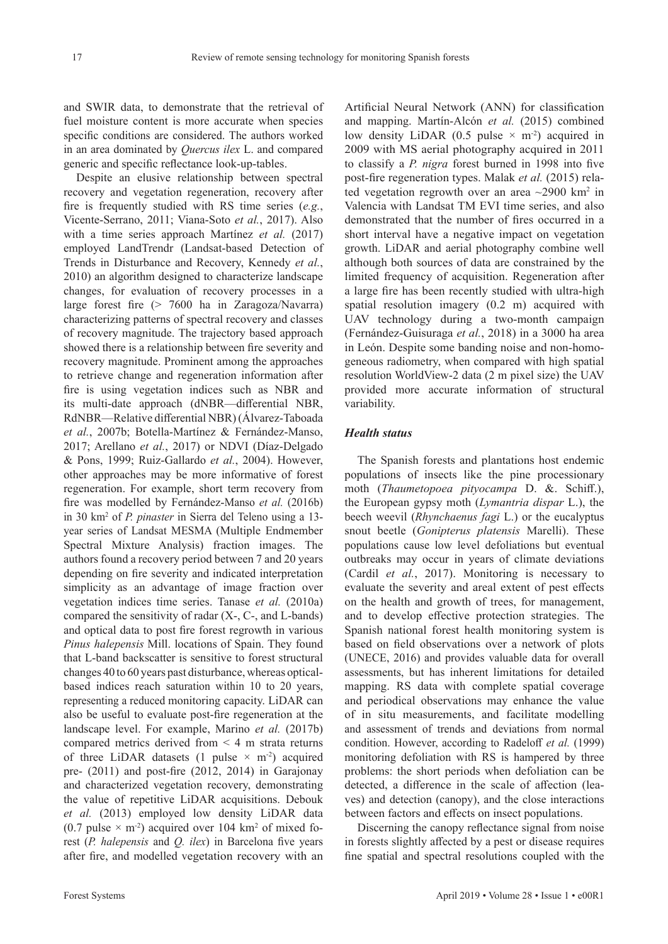and SWIR data, to demonstrate that the retrieval of fuel moisture content is more accurate when species specific conditions are considered. The authors worked in an area dominated by *Quercus ilex* L. and compared generic and specific reflectance look-up-tables.

Despite an elusive relationship between spectral recovery and vegetation regeneration, recovery after fire is frequently studied with RS time series (*e.g.*, Vicente-Serrano, 2011; Viana-Soto *et al.*, 2017). Also with a time series approach Martínez *et al.* (2017) employed LandTrendr (Landsat-based Detection of Trends in Disturbance and Recovery, Kennedy *et al.*, 2010) an algorithm designed to characterize landscape changes, for evaluation of recovery processes in a large forest fire (> 7600 ha in Zaragoza/Navarra) characterizing patterns of spectral recovery and classes of recovery magnitude. The trajectory based approach showed there is a relationship between fire severity and recovery magnitude. Prominent among the approaches to retrieve change and regeneration information after fire is using vegetation indices such as NBR and its multi-date approach (dNBR—differential NBR, RdNBR—Relative differential NBR) (Álvarez-Taboada *et al.*, 2007b; Botella-Martínez & Fernández-Manso, 2017; Arellano *et al.*, 2017) or NDVI (Díaz-Delgado & Pons, 1999; Ruiz-Gallardo *et al.*, 2004). However, other approaches may be more informative of forest regeneration. For example, short term recovery from fire was modelled by Fernández-Manso *et al.* (2016b) in 30 km<sup>2</sup> of *P. pinaster* in Sierra del Teleno using a 13 year series of Landsat MESMA (Multiple Endmember Spectral Mixture Analysis) fraction images. The authors found a recovery period between 7 and 20 years depending on fire severity and indicated interpretation simplicity as an advantage of image fraction over vegetation indices time series. Tanase *et al.* (2010a) compared the sensitivity of radar (X-, C-, and L-bands) and optical data to post fire forest regrowth in various *Pinus halepensis* Mill. locations of Spain. They found that L-band backscatter is sensitive to forest structural changes 40 to 60 years past disturbance, whereas opticalbased indices reach saturation within 10 to 20 years, representing a reduced monitoring capacity. LiDAR can also be useful to evaluate post-fire regeneration at the landscape level. For example, Marino *et al.* (2017b) compared metrics derived from < 4 m strata returns of three LiDAR datasets (1 pulse  $\times$  m<sup>-2</sup>) acquired pre- (2011) and post-fire (2012, 2014) in Garajonay and characterized vegetation recovery, demonstrating the value of repetitive LiDAR acquisitions. Debouk *et al.* (2013) employed low density LiDAR data  $(0.7 \text{ pulse} \times \text{m}^2)$  acquired over 104 km<sup>2</sup> of mixed forest (*P. halepensis* and *Q. ilex*) in Barcelona five years after fire, and modelled vegetation recovery with an

Artificial Neural Network (ANN) for classification and mapping. Martín-Alcón *et al.* (2015) combined low density LiDAR (0.5 pulse  $\times$  m<sup>-2</sup>) acquired in 2009 with MS aerial photography acquired in 2011 to classify a *P. nigra* forest burned in 1998 into five post-fire regeneration types. Malak *et al.* (2015) related vegetation regrowth over an area  $\sim$ 2900 km<sup>2</sup> in Valencia with Landsat TM EVI time series, and also demonstrated that the number of fires occurred in a short interval have a negative impact on vegetation growth. LiDAR and aerial photography combine well although both sources of data are constrained by the limited frequency of acquisition. Regeneration after a large fire has been recently studied with ultra-high spatial resolution imagery (0.2 m) acquired with UAV technology during a two-month campaign (Fernández-Guisuraga *et al.*, 2018) in a 3000 ha area in León. Despite some banding noise and non-homogeneous radiometry, when compared with high spatial resolution WorldView-2 data (2 m pixel size) the UAV provided more accurate information of structural variability.

#### *Health status*

The Spanish forests and plantations host endemic populations of insects like the pine processionary moth (*Thaumetopoea pityocampa* D. &. Schiff.), the European gypsy moth (*Lymantria dispar* L.), the beech weevil (*Rhynchaenus fagi* L.) or the eucalyptus snout beetle (*Gonipterus platensis* Marelli). These populations cause low level defoliations but eventual outbreaks may occur in years of climate deviations (Cardil *et al.*, 2017). Monitoring is necessary to evaluate the severity and areal extent of pest effects on the health and growth of trees, for management, and to develop effective protection strategies. The Spanish national forest health monitoring system is based on field observations over a network of plots (UNECE, 2016) and provides valuable data for overall assessments, but has inherent limitations for detailed mapping. RS data with complete spatial coverage and periodical observations may enhance the value of in situ measurements, and facilitate modelling and assessment of trends and deviations from normal condition. However, according to Radeloff *et al.* (1999) monitoring defoliation with RS is hampered by three problems: the short periods when defoliation can be detected, a difference in the scale of affection (leaves) and detection (canopy), and the close interactions between factors and effects on insect populations.

Discerning the canopy reflectance signal from noise in forests slightly affected by a pest or disease requires fine spatial and spectral resolutions coupled with the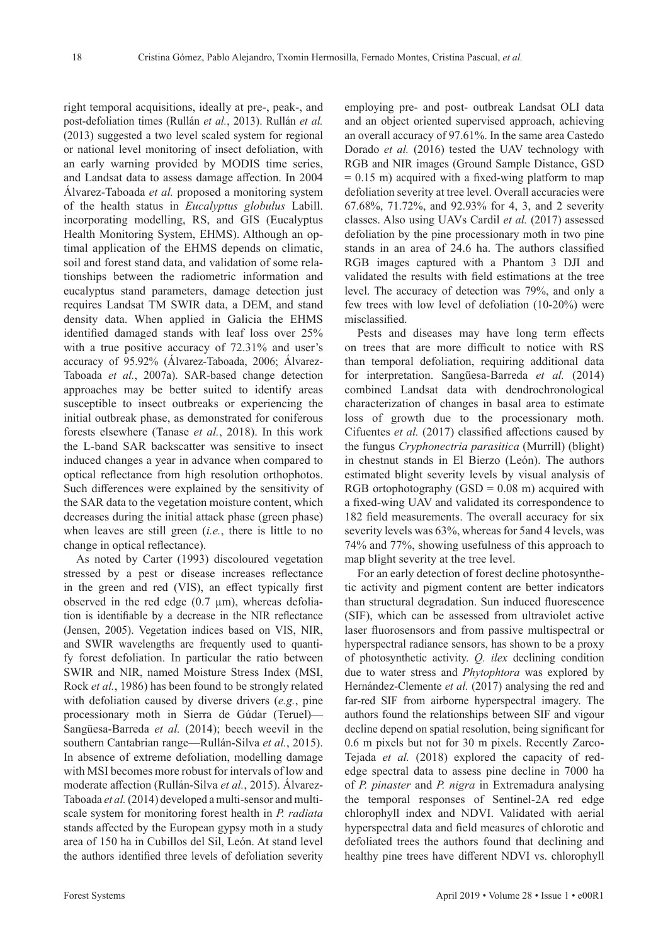right temporal acquisitions, ideally at pre-, peak-, and post-defoliation times (Rullán *et al.*, 2013). Rullán *et al.* (2013) suggested a two level scaled system for regional or national level monitoring of insect defoliation, with an early warning provided by MODIS time series, and Landsat data to assess damage affection. In 2004 Álvarez-Taboada *et al.* proposed a monitoring system of the health status in *Eucalyptus globulus* Labill. incorporating modelling, RS, and GIS (Eucalyptus Health Monitoring System, EHMS). Although an optimal application of the EHMS depends on climatic, soil and forest stand data, and validation of some relationships between the radiometric information and eucalyptus stand parameters, damage detection just requires Landsat TM SWIR data, a DEM, and stand density data. When applied in Galicia the EHMS identified damaged stands with leaf loss over 25% with a true positive accuracy of 72.31% and user's accuracy of 95.92% (Álvarez-Taboada, 2006; Álvarez-Taboada *et al.*, 2007a). SAR-based change detection approaches may be better suited to identify areas susceptible to insect outbreaks or experiencing the initial outbreak phase, as demonstrated for coniferous forests elsewhere (Tanase *et al.*, 2018). In this work the L-band SAR backscatter was sensitive to insect induced changes a year in advance when compared to optical reflectance from high resolution orthophotos. Such differences were explained by the sensitivity of the SAR data to the vegetation moisture content, which decreases during the initial attack phase (green phase) when leaves are still green (*i.e.*, there is little to no change in optical reflectance).

As noted by Carter (1993) discoloured vegetation stressed by a pest or disease increases reflectance in the green and red (VIS), an effect typically first observed in the red edge  $(0.7 \mu m)$ , whereas defoliation is identifiable by a decrease in the NIR reflectance (Jensen, 2005). Vegetation indices based on VIS, NIR, and SWIR wavelengths are frequently used to quantify forest defoliation. In particular the ratio between SWIR and NIR, named Moisture Stress Index (MSI, Rock *et al.*, 1986) has been found to be strongly related with defoliation caused by diverse drivers (*e.g.*, pine processionary moth in Sierra de Gúdar (Teruel)— Sangüesa-Barreda *et al.* (2014); beech weevil in the southern Cantabrian range—Rullán-Silva *et al.*, 2015). In absence of extreme defoliation, modelling damage with MSI becomes more robust for intervals of low and moderate affection (Rullán-Silva *et al.*, 2015). Álvarez-Taboada *et al.* (2014) developed a multi-sensor and multiscale system for monitoring forest health in *P. radiata* stands affected by the European gypsy moth in a study area of 150 ha in Cubillos del Sil, León. At stand level the authors identified three levels of defoliation severity

employing pre- and post- outbreak Landsat OLI data and an object oriented supervised approach, achieving an overall accuracy of 97.61%. In the same area Castedo Dorado *et al.* (2016) tested the UAV technology with RGB and NIR images (Ground Sample Distance, GSD  $= 0.15$  m) acquired with a fixed-wing platform to map defoliation severity at tree level. Overall accuracies were 67.68%, 71.72%, and 92.93% for 4, 3, and 2 severity classes. Also using UAVs Cardil *et al.* (2017) assessed defoliation by the pine processionary moth in two pine stands in an area of 24.6 ha. The authors classified RGB images captured with a Phantom 3 DJI and validated the results with field estimations at the tree level. The accuracy of detection was 79%, and only a few trees with low level of defoliation (10-20%) were misclassified.

Pests and diseases may have long term effects on trees that are more difficult to notice with RS than temporal defoliation, requiring additional data for interpretation. Sangüesa-Barreda *et al.* (2014) combined Landsat data with dendrochronological characterization of changes in basal area to estimate loss of growth due to the processionary moth. Cifuentes *et al.* (2017) classified affections caused by the fungus *Cryphonectria parasitica* (Murrill) (blight) in chestnut stands in El Bierzo (León). The authors estimated blight severity levels by visual analysis of RGB ortophotography  $(GSD = 0.08 \text{ m})$  acquired with a fixed-wing UAV and validated its correspondence to 182 field measurements. The overall accuracy for six severity levels was 63%, whereas for 5and 4 levels, was 74% and 77%, showing usefulness of this approach to map blight severity at the tree level.

For an early detection of forest decline photosynthetic activity and pigment content are better indicators than structural degradation. Sun induced fluorescence (SIF), which can be assessed from ultraviolet active laser fluorosensors and from passive multispectral or hyperspectral radiance sensors, has shown to be a proxy of photosynthetic activity. *Q. ilex* declining condition due to water stress and *Phytophtora* was explored by Hernández-Clemente *et al.* (2017) analysing the red and far-red SIF from airborne hyperspectral imagery. The authors found the relationships between SIF and vigour decline depend on spatial resolution, being significant for 0.6 m pixels but not for 30 m pixels. Recently Zarco-Tejada *et al.* (2018) explored the capacity of rededge spectral data to assess pine decline in 7000 ha of *P. pinaster* and *P. nigra* in Extremadura analysing the temporal responses of Sentinel-2A red edge chlorophyll index and NDVI. Validated with aerial hyperspectral data and field measures of chlorotic and defoliated trees the authors found that declining and healthy pine trees have different NDVI vs. chlorophyll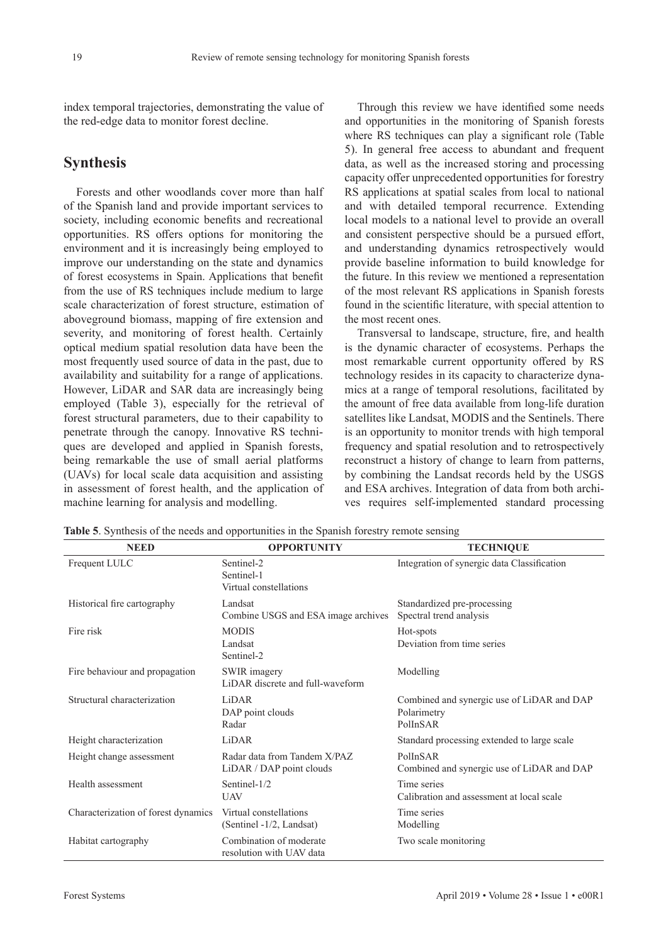index temporal trajectories, demonstrating the value of the red-edge data to monitor forest decline.

## **Synthesis**

Forests and other woodlands cover more than half of the Spanish land and provide important services to society, including economic benefits and recreational opportunities. RS offers options for monitoring the environment and it is increasingly being employed to improve our understanding on the state and dynamics of forest ecosystems in Spain. Applications that benefit from the use of RS techniques include medium to large scale characterization of forest structure, estimation of aboveground biomass, mapping of fire extension and severity, and monitoring of forest health. Certainly optical medium spatial resolution data have been the most frequently used source of data in the past, due to availability and suitability for a range of applications. However, LiDAR and SAR data are increasingly being employed (Table 3), especially for the retrieval of forest structural parameters, due to their capability to penetrate through the canopy. Innovative RS techniques are developed and applied in Spanish forests, being remarkable the use of small aerial platforms (UAVs) for local scale data acquisition and assisting in assessment of forest health, and the application of machine learning for analysis and modelling.

Through this review we have identified some needs and opportunities in the monitoring of Spanish forests where RS techniques can play a significant role (Table 5). In general free access to abundant and frequent data, as well as the increased storing and processing capacity offer unprecedented opportunities for forestry RS applications at spatial scales from local to national and with detailed temporal recurrence. Extending local models to a national level to provide an overall and consistent perspective should be a pursued effort, and understanding dynamics retrospectively would provide baseline information to build knowledge for the future. In this review we mentioned a representation of the most relevant RS applications in Spanish forests found in the scientific literature, with special attention to the most recent ones.

Transversal to landscape, structure, fire, and health is the dynamic character of ecosystems. Perhaps the most remarkable current opportunity offered by RS technology resides in its capacity to characterize dynamics at a range of temporal resolutions, facilitated by the amount of free data available from long-life duration satellites like Landsat, MODIS and the Sentinels. There is an opportunity to monitor trends with high temporal frequency and spatial resolution and to retrospectively reconstruct a history of change to learn from patterns, by combining the Landsat records held by the USGS and ESA archives. Integration of data from both archives requires self-implemented standard processing

| <b>NEED</b>                         | <b>OPPORTUNITY</b>                                       | <b>TECHNIQUE</b>                                                      |
|-------------------------------------|----------------------------------------------------------|-----------------------------------------------------------------------|
| Frequent LULC                       | Sentinel-2<br>Sentinel-1<br>Virtual constellations       | Integration of synergic data Classification                           |
| Historical fire cartography         | Landsat<br>Combine USGS and ESA image archives           | Standardized pre-processing<br>Spectral trend analysis                |
| Fire risk                           | <b>MODIS</b><br>Landsat<br>Sentinel-2                    | Hot-spots<br>Deviation from time series                               |
| Fire behaviour and propagation      | SWIR imagery<br>LiDAR discrete and full-waveform         | Modelling                                                             |
| Structural characterization         | LiDAR<br>DAP point clouds<br>Radar                       | Combined and synergic use of LiDAR and DAP<br>Polarimetry<br>PolInSAR |
| Height characterization             | LiDAR                                                    | Standard processing extended to large scale                           |
| Height change assessment            | Radar data from Tandem X/PAZ<br>LiDAR / DAP point clouds | PolInSAR<br>Combined and synergic use of LiDAR and DAP                |
| Health assessment                   | Sentinel-1/2<br><b>UAV</b>                               | Time series<br>Calibration and assessment at local scale              |
| Characterization of forest dynamics | Virtual constellations<br>(Sentinel -1/2, Landsat)       | Time series<br>Modelling                                              |
| Habitat cartography                 | Combination of moderate<br>resolution with UAV data      | Two scale monitoring                                                  |

**Table 5**. Synthesis of the needs and opportunities in the Spanish forestry remote sensing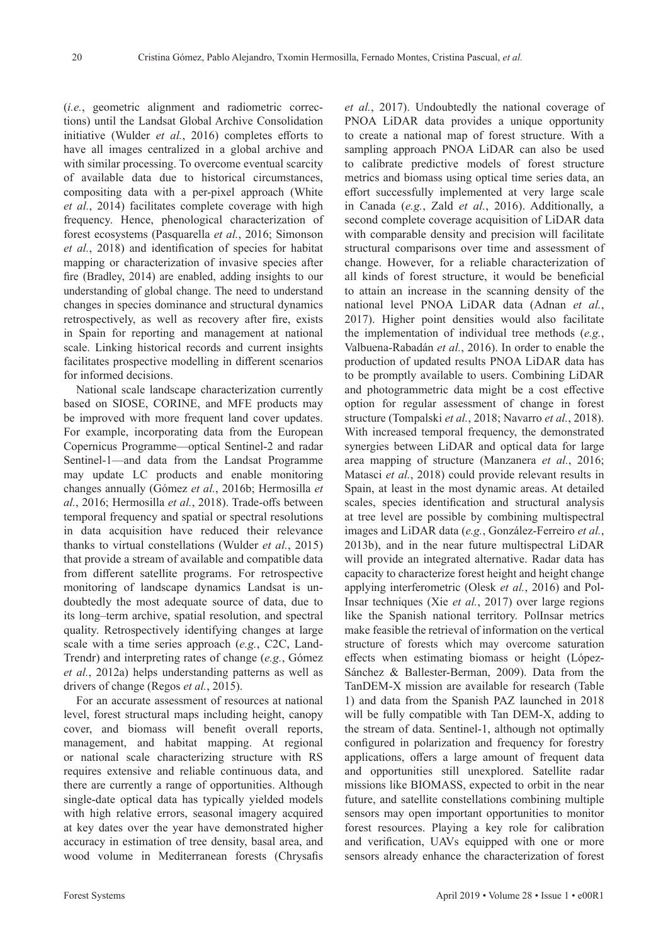(*i.e.*, geometric alignment and radiometric corrections) until the Landsat Global Archive Consolidation initiative (Wulder *et al.*, 2016) completes efforts to have all images centralized in a global archive and with similar processing. To overcome eventual scarcity of available data due to historical circumstances, compositing data with a per-pixel approach (White *et al.*, 2014) facilitates complete coverage with high frequency. Hence, phenological characterization of forest ecosystems (Pasquarella *et al.*, 2016; Simonson *et al.*, 2018) and identification of species for habitat mapping or characterization of invasive species after fire (Bradley, 2014) are enabled, adding insights to our understanding of global change. The need to understand changes in species dominance and structural dynamics retrospectively, as well as recovery after fire, exists in Spain for reporting and management at national scale. Linking historical records and current insights facilitates prospective modelling in different scenarios for informed decisions.

National scale landscape characterization currently based on SIOSE, CORINE, and MFE products may be improved with more frequent land cover updates. For example, incorporating data from the European Copernicus Programme—optical Sentinel-2 and radar Sentinel-1—and data from the Landsat Programme may update LC products and enable monitoring changes annually (Gómez *et al.*, 2016b; Hermosilla *et al.*, 2016; Hermosilla *et al.*, 2018). Trade-offs between temporal frequency and spatial or spectral resolutions in data acquisition have reduced their relevance thanks to virtual constellations (Wulder *et al.*, 2015) that provide a stream of available and compatible data from different satellite programs. For retrospective monitoring of landscape dynamics Landsat is undoubtedly the most adequate source of data, due to its long–term archive, spatial resolution, and spectral quality. Retrospectively identifying changes at large scale with a time series approach (*e.g.*, C2C, Land-Trendr) and interpreting rates of change (*e.g.*, Gómez *et al.*, 2012a) helps understanding patterns as well as drivers of change (Regos *et al.*, 2015).

For an accurate assessment of resources at national level, forest structural maps including height, canopy cover, and biomass will benefit overall reports, management, and habitat mapping. At regional or national scale characterizing structure with RS requires extensive and reliable continuous data, and there are currently a range of opportunities. Although single-date optical data has typically yielded models with high relative errors, seasonal imagery acquired at key dates over the year have demonstrated higher accuracy in estimation of tree density, basal area, and wood volume in Mediterranean forests (Chrysafis *et al.*, 2017). Undoubtedly the national coverage of PNOA LiDAR data provides a unique opportunity to create a national map of forest structure. With a sampling approach PNOA LiDAR can also be used to calibrate predictive models of forest structure metrics and biomass using optical time series data, an effort successfully implemented at very large scale in Canada (*e.g.*, Zald *et al.*, 2016). Additionally, a second complete coverage acquisition of LiDAR data with comparable density and precision will facilitate structural comparisons over time and assessment of change. However, for a reliable characterization of all kinds of forest structure, it would be beneficial to attain an increase in the scanning density of the national level PNOA LiDAR data (Adnan *et al.*, 2017). Higher point densities would also facilitate the implementation of individual tree methods (*e.g.*, Valbuena-Rabadán *et al.*, 2016). In order to enable the production of updated results PNOA LiDAR data has to be promptly available to users. Combining LiDAR and photogrammetric data might be a cost effective option for regular assessment of change in forest structure (Tompalski *et al.*, 2018; Navarro *et al.*, 2018). With increased temporal frequency, the demonstrated synergies between LiDAR and optical data for large area mapping of structure (Manzanera *et al.*, 2016; Matasci *et al.*, 2018) could provide relevant results in Spain, at least in the most dynamic areas. At detailed scales, species identification and structural analysis at tree level are possible by combining multispectral images and LiDAR data (*e.g.*, González-Ferreiro *et al.*, 2013b), and in the near future multispectral LiDAR will provide an integrated alternative. Radar data has capacity to characterize forest height and height change applying interferometric (Olesk *et al.*, 2016) and Pol-Insar techniques (Xie *et al.*, 2017) over large regions like the Spanish national territory. PolInsar metrics make feasible the retrieval of information on the vertical structure of forests which may overcome saturation effects when estimating biomass or height (López-Sánchez & Ballester-Berman, 2009). Data from the TanDEM-X mission are available for research (Table 1) and data from the Spanish PAZ launched in 2018 will be fully compatible with Tan DEM-X, adding to the stream of data. Sentinel-1, although not optimally configured in polarization and frequency for forestry applications, offers a large amount of frequent data and opportunities still unexplored. Satellite radar missions like BIOMASS, expected to orbit in the near future, and satellite constellations combining multiple sensors may open important opportunities to monitor forest resources. Playing a key role for calibration and verification, UAVs equipped with one or more sensors already enhance the characterization of forest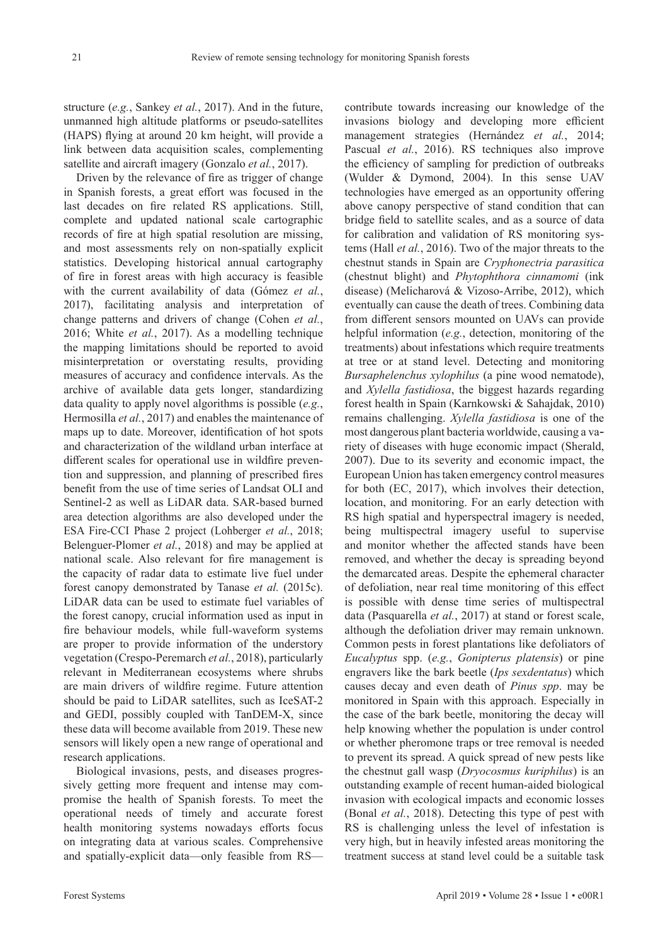structure (*e.g.*, Sankey *et al.*, 2017). And in the future, unmanned high altitude platforms or pseudo-satellites (HAPS) flying at around 20 km height, will provide a link between data acquisition scales, complementing satellite and aircraft imagery (Gonzalo *et al.*, 2017).

Driven by the relevance of fire as trigger of change in Spanish forests, a great effort was focused in the last decades on fire related RS applications. Still, complete and updated national scale cartographic records of fire at high spatial resolution are missing, and most assessments rely on non-spatially explicit statistics. Developing historical annual cartography of fire in forest areas with high accuracy is feasible with the current availability of data (Gómez *et al.*, 2017), facilitating analysis and interpretation of change patterns and drivers of change (Cohen *et al.*, 2016; White *et al.*, 2017). As a modelling technique the mapping limitations should be reported to avoid misinterpretation or overstating results, providing measures of accuracy and confidence intervals. As the archive of available data gets longer, standardizing data quality to apply novel algorithms is possible (*e.g.*, Hermosilla *et al.*, 2017) and enables the maintenance of maps up to date. Moreover, identification of hot spots and characterization of the wildland urban interface at different scales for operational use in wildfire prevention and suppression, and planning of prescribed fires benefit from the use of time series of Landsat OLI and Sentinel-2 as well as LiDAR data. SAR-based burned area detection algorithms are also developed under the ESA Fire-CCI Phase 2 project (Lohberger *et al.*, 2018; Belenguer-Plomer *et al.*, 2018) and may be applied at national scale. Also relevant for fire management is the capacity of radar data to estimate live fuel under forest canopy demonstrated by Tanase *et al.* (2015c). LiDAR data can be used to estimate fuel variables of the forest canopy, crucial information used as input in fire behaviour models, while full-waveform systems are proper to provide information of the understory vegetation (Crespo-Peremarch *et al.*, 2018), particularly relevant in Mediterranean ecosystems where shrubs are main drivers of wildfire regime. Future attention should be paid to LiDAR satellites, such as IceSAT-2 and GEDI, possibly coupled with TanDEM-X, since these data will become available from 2019. These new sensors will likely open a new range of operational and research applications.

Biological invasions, pests, and diseases progressively getting more frequent and intense may compromise the health of Spanish forests. To meet the operational needs of timely and accurate forest health monitoring systems nowadays efforts focus on integrating data at various scales. Comprehensive and spatially-explicit data—only feasible from RS—

contribute towards increasing our knowledge of the invasions biology and developing more efficient management strategies (Hernández *et al.*, 2014; Pascual *et al.*, 2016). RS techniques also improve the efficiency of sampling for prediction of outbreaks (Wulder & Dymond, 2004). In this sense UAV technologies have emerged as an opportunity offering above canopy perspective of stand condition that can bridge field to satellite scales, and as a source of data for calibration and validation of RS monitoring systems (Hall *et al.*, 2016). Two of the major threats to the chestnut stands in Spain are *Cryphonectria parasitica* (chestnut blight) and *Phytophthora cinnamomi* (ink disease) (Melicharová & Vizoso-Arribe, 2012), which eventually can cause the death of trees. Combining data from different sensors mounted on UAVs can provide helpful information (*e.g.*, detection, monitoring of the treatments) about infestations which require treatments at tree or at stand level. Detecting and monitoring *Bursaphelenchus xylophilus* (a pine wood nematode), and *Xylella fastidiosa*, the biggest hazards regarding forest health in Spain (Karnkowski & Sahajdak, 2010) remains challenging. *Xylella fastidiosa* is one of the most dangerous plant bacteria worldwide, causing a variety of diseases with huge economic impact (Sherald, 2007). Due to its severity and economic impact, the European Union has taken emergency control measures for both (EC, 2017), which involves their detection, location, and monitoring. For an early detection with RS high spatial and hyperspectral imagery is needed, being multispectral imagery useful to supervise and monitor whether the affected stands have been removed, and whether the decay is spreading beyond the demarcated areas. Despite the ephemeral character of defoliation, near real time monitoring of this effect is possible with dense time series of multispectral data (Pasquarella *et al.*, 2017) at stand or forest scale, although the defoliation driver may remain unknown. Common pests in forest plantations like defoliators of *Eucalyptus* spp. (*e.g.*, *Gonipterus platensis*) or pine engravers like the bark beetle (*Ips sexdentatus*) which causes decay and even death of *Pinus spp*. may be monitored in Spain with this approach. Especially in the case of the bark beetle, monitoring the decay will help knowing whether the population is under control or whether pheromone traps or tree removal is needed to prevent its spread. A quick spread of new pests like the chestnut gall wasp (*Dryocosmus kuriphilus*) is an outstanding example of recent human-aided biological invasion with ecological impacts and economic losses (Bonal *et al.*, 2018). Detecting this type of pest with RS is challenging unless the level of infestation is very high, but in heavily infested areas monitoring the treatment success at stand level could be a suitable task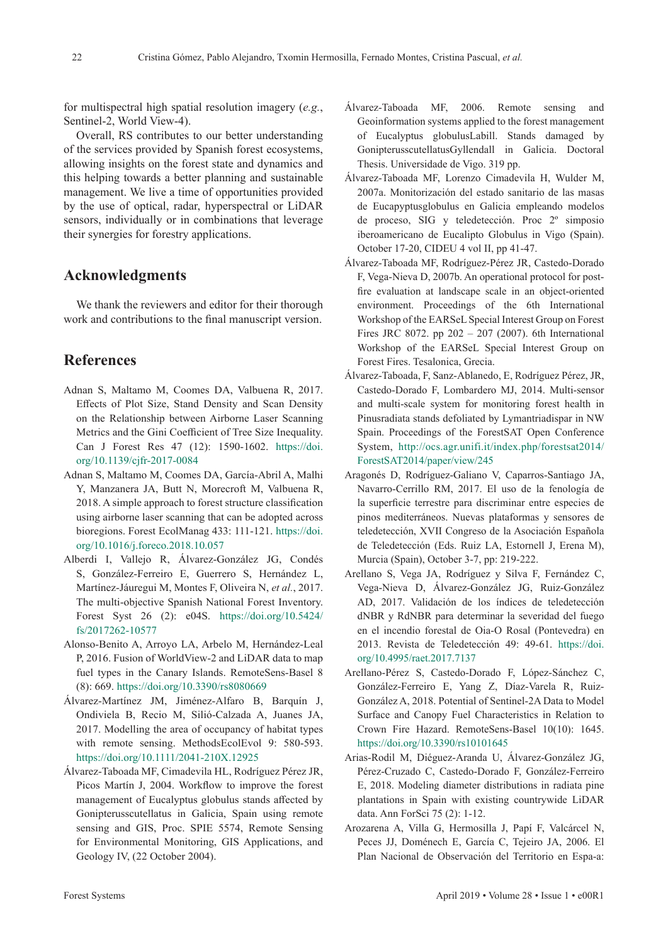for multispectral high spatial resolution imagery (*e.g.*, Sentinel-2, World View-4).

Overall, RS contributes to our better understanding of the services provided by Spanish forest ecosystems, allowing insights on the forest state and dynamics and this helping towards a better planning and sustainable management. We live a time of opportunities provided by the use of optical, radar, hyperspectral or LiDAR sensors, individually or in combinations that leverage their synergies for forestry applications.

## **Acknowledgments**

We thank the reviewers and editor for their thorough work and contributions to the final manuscript version.

## **References**

- Adnan S, Maltamo M, Coomes DA, Valbuena R, 2017. Effects of Plot Size, Stand Density and Scan Density on the Relationship between Airborne Laser Scanning Metrics and the Gini Coefficient of Tree Size Inequality. Can J Forest Res 47 (12): 1590-1602. [https://doi.](https://doi.org/10.1139/cjfr-2017-0084) [org/10.1139/cjfr-2017-0084](https://doi.org/10.1139/cjfr-2017-0084)
- Adnan S, Maltamo M, Coomes DA, García-Abril A, Malhi Y, Manzanera JA, Butt N, Morecroft M, Valbuena R, 2018. A simple approach to forest structure classification using airborne laser scanning that can be adopted across bioregions. Forest EcolManag 433: 111-121. [https://doi.](https://doi.org/10.1016/j.foreco.2018.10.057) [org/10.1016/j.foreco.2018.10.057](https://doi.org/10.1016/j.foreco.2018.10.057)
- Alberdi I, Vallejo R, Álvarez-González JG, Condés S, González-Ferreiro E, Guerrero S, Hernández L, Martínez-Jáuregui M, Montes F, Oliveira N, *et al.*, 2017. The multi-objective Spanish National Forest Inventory. Forest Syst 26 (2): e04S. [https://doi.org/10.5424/](https://doi.org/10.5424/fs/2017262-10577) [fs/2017262-10577](https://doi.org/10.5424/fs/2017262-10577)
- Alonso-Benito A, Arroyo LA, Arbelo M, Hernández-Leal P, 2016. Fusion of WorldView-2 and LiDAR data to map fuel types in the Canary Islands. RemoteSens-Basel 8 (8): 669.<https://doi.org/10.3390/rs8080669>
- Álvarez-Martínez JM, Jiménez-Alfaro B, Barquín J, Ondiviela B, Recio M, Silió-Calzada A, Juanes JA, 2017. Modelling the area of occupancy of habitat types with remote sensing. MethodsEcolEvol 9: 580-593. <https://doi.org/10.1111/2041-210X.12925>
- Álvarez-Taboada MF, Cimadevila HL, Rodríguez Pérez JR, Picos Martín J, 2004. Workflow to improve the forest management of Eucalyptus globulus stands affected by Gonipterusscutellatus in Galicia, Spain using remote sensing and GIS, Proc. SPIE 5574, Remote Sensing for Environmental Monitoring, GIS Applications, and Geology IV, (22 October 2004).
- Álvarez-Taboada MF, 2006. Remote sensing and Geoinformation systems applied to the forest management of Eucalyptus globulusLabill. Stands damaged by GonipterusscutellatusGyllendall in Galicia. Doctoral Thesis. Universidade de Vigo. 319 pp.
- Álvarez-Taboada MF, Lorenzo Cimadevila H, Wulder M, 2007a. Monitorización del estado sanitario de las masas de Eucapyptusglobulus en Galicia empleando modelos de proceso, SIG y teledetección. Proc 2º simposio iberoamericano de Eucalipto Globulus in Vigo (Spain). October 17-20, CIDEU 4 vol II, pp 41-47.
- Álvarez-Taboada MF, Rodríguez-Pérez JR, Castedo-Dorado F, Vega-Nieva D, 2007b. An operational protocol for postfire evaluation at landscape scale in an object-oriented environment. Proceedings of the 6th International Workshop of the EARSeL Special Interest Group on Forest Fires JRC 8072. pp 202 – 207 (2007). 6th International Workshop of the EARSeL Special Interest Group on Forest Fires. Tesalonica, Grecia.
- Álvarez-Taboada, F, Sanz-Ablanedo, E, Rodríguez Pérez, JR, Castedo-Dorado F, Lombardero MJ, 2014. Multi-sensor and multi-scale system for monitoring forest health in Pinusradiata stands defoliated by Lymantriadispar in NW Spain. Proceedings of the ForestSAT Open Conference System, [http://ocs.agr.unifi.it/index.php/forestsat2014/](http://ocs.agr.unifi.it/index.php/forestsat2014/ForestSAT2014/paper/view/245) [ForestSAT2014/paper/view/245](http://ocs.agr.unifi.it/index.php/forestsat2014/ForestSAT2014/paper/view/245)
- Aragonés D, Rodríguez-Galiano V, Caparros-Santiago JA, Navarro-Cerrillo RM, 2017. El uso de la fenología de la superficie terrestre para discriminar entre especies de pinos mediterráneos. Nuevas plataformas y sensores de teledetección, XVII Congreso de la Asociación Española de Teledetección (Eds. Ruiz LA, Estornell J, Erena M), Murcia (Spain), October 3-7, pp: 219-222.
- Arellano S, Vega JA, Rodríguez y Silva F, Fernández C, Vega-Nieva D, Álvarez-González JG, Ruiz-González AD, 2017. Validación de los índices de teledetección dNBR y RdNBR para determinar la severidad del fuego en el incendio forestal de Oia-O Rosal (Pontevedra) en 2013. Revista de Teledetección 49: 49-61. [https://doi.](https://doi.org/10.4995/raet.2017.7137) [org/10.4995/raet.2017.7137](https://doi.org/10.4995/raet.2017.7137)
- Arellano‐Pérez S, Castedo‐Dorado F, López‐Sánchez C, González‐Ferreiro E, Yang Z, Díaz‐Varela R, Ruiz‐ González A, 2018. Potential of Sentinel‐2A Data to Model Surface and Canopy Fuel Characteristics in Relation to Crown Fire Hazard. RemoteSens-Basel 10(10): 1645. <https://doi.org/10.3390/rs10101645>
- Arias-Rodil M, Diéguez-Aranda U, Álvarez-González JG, Pérez-Cruzado C, Castedo-Dorado F, González-Ferreiro E, 2018. Modeling diameter distributions in radiata pine plantations in Spain with existing countrywide LiDAR data. Ann ForSci 75 (2): 1-12.
- Arozarena A, Villa G, Hermosilla J, Papí F, Valcárcel N, Peces JJ, Doménech E, García C, Tejeiro JA, 2006. El Plan Nacional de Observación del Territorio en Espa-a: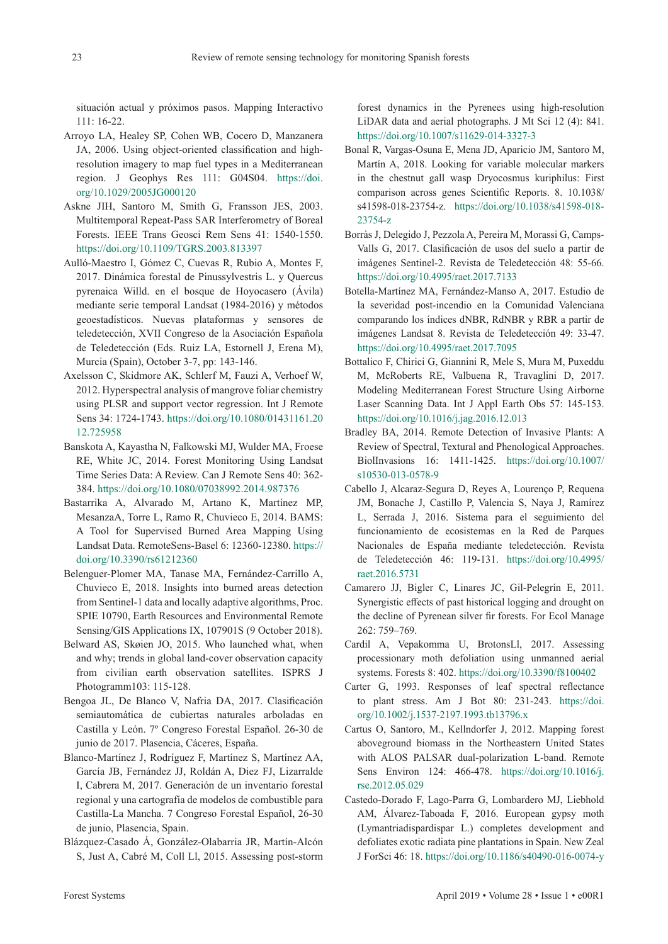situación actual y próximos pasos. Mapping Interactivo 111: 16-22.

- Arroyo LA, Healey SP, Cohen WB, Cocero D, Manzanera JA, 2006. Using object-oriented classification and highresolution imagery to map fuel types in a Mediterranean region. J Geophys Res 111: G04S04. [https://doi.](https://doi.org/10.1029/2005JG000120) [org/10.1029/2005JG000120](https://doi.org/10.1029/2005JG000120)
- Askne JIH, Santoro M, Smith G, Fransson JES, 2003. Multitemporal Repeat-Pass SAR Interferometry of Boreal Forests. IEEE Trans Geosci Rem Sens 41: 1540-1550. <https://doi.org/10.1109/TGRS.2003.813397>
- Aulló-Maestro I, Gómez C, Cuevas R, Rubio A, Montes F, 2017. Dinámica forestal de Pinussylvestris L. y Quercus pyrenaica Willd. en el bosque de Hoyocasero (Ávila) mediante serie temporal Landsat (1984-2016) y métodos geoestadísticos. Nuevas plataformas y sensores de teledetección, XVII Congreso de la Asociación Española de Teledetección (Eds. Ruiz LA, Estornell J, Erena M), Murcia (Spain), October 3-7, pp: 143-146.
- Axelsson C, Skidmore AK, Schlerf M, Fauzi A, Verhoef W, 2012. Hyperspectral analysis of mangrove foliar chemistry using PLSR and support vector regression. Int J Remote Sens 34: 1724-1743. [https://doi.org/10.1080/01431161.20](https://doi.org/10.1080/01431161.2012.725958) [12.725958](https://doi.org/10.1080/01431161.2012.725958)
- Banskota A, Kayastha N, Falkowski MJ, Wulder MA, Froese RE, White JC, 2014. Forest Monitoring Using Landsat Time Series Data: A Review. Can J Remote Sens 40: 362- 384.<https://doi.org/10.1080/07038992.2014.987376>
- Bastarrika A, Alvarado M, Artano K, Martínez MP, MesanzaA, Torre L, Ramo R, Chuvieco E, 2014. BAMS: A Tool for Supervised Burned Area Mapping Using Landsat Data. RemoteSens-Basel 6: 12360-12380. [https://](https://doi.org/10.3390/rs61212360) [doi.org/10.3390/rs61212360](https://doi.org/10.3390/rs61212360)
- Belenguer-Plomer MA, Tanase MA, Fernández-Carrillo A, Chuvieco E, 2018. Insights into burned areas detection from Sentinel-1 data and locally adaptive algorithms, Proc. SPIE 10790, Earth Resources and Environmental Remote Sensing/GIS Applications IX, 107901S (9 October 2018).
- Belward AS, Skøien JO, 2015. Who launched what, when and why; trends in global land-cover observation capacity from civilian earth observation satellites. ISPRS J Photogramm103: 115-128.
- Bengoa JL, De Blanco V, Nafria DA, 2017. Clasificación semiautomática de cubiertas naturales arboladas en Castilla y León. 7º Congreso Forestal Español. 26-30 de junio de 2017. Plasencia, Cáceres, España.
- Blanco-Martínez J, Rodríguez F, Martínez S, Martínez AA, García JB, Fernández JJ, Roldán A, Diez FJ, Lizarralde I, Cabrera M, 2017. Generación de un inventario forestal regional y una cartografía de modelos de combustible para Castilla-La Mancha. 7 Congreso Forestal Español, 26-30 de junio, Plasencia, Spain.
- Blázquez-Casado Á, González-Olabarria JR, Martín-Alcón S, Just A, Cabré M, Coll Ll, 2015. Assessing post-storm

forest dynamics in the Pyrenees using high-resolution LiDAR data and aerial photographs. J Mt Sci 12 (4): 841. <https://doi.org/10.1007/s11629-014-3327-3>

- Bonal R, Vargas-Osuna E, Mena JD, Aparicio JM, Santoro M, Martín A, 2018. Looking for variable molecular markers in the chestnut gall wasp Dryocosmus kuriphilus: First comparison across genes Scientific Reports. 8. 10.1038/ s41598-018-23754-z. [https://doi.org/10.1038/s41598-018-](https://doi.org/10.1038/s41598-018-23754-z) [23754-z](https://doi.org/10.1038/s41598-018-23754-z)
- Borràs J, Delegido J, Pezzola A, Pereira M, Morassi G, Camps-Valls G, 2017. Clasificación de usos del suelo a partir de imágenes Sentinel-2. Revista de Teledetección 48: 55-66. <https://doi.org/10.4995/raet.2017.7133>
- Botella-Martínez MA, Fernández-Manso A, 2017. Estudio de la severidad post-incendio en la Comunidad Valenciana comparando los índices dNBR, RdNBR y RBR a partir de imágenes Landsat 8. Revista de Teledetección 49: 33-47. <https://doi.org/10.4995/raet.2017.7095>
- Bottalico F, Chirici G, Giannini R, Mele S, Mura M, Puxeddu M, McRoberts RE, Valbuena R, Travaglini D, 2017. Modeling Mediterranean Forest Structure Using Airborne Laser Scanning Data. Int J Appl Earth Obs 57: 145-153. <https://doi.org/10.1016/j.jag.2016.12.013>
- Bradley BA, 2014. Remote Detection of Invasive Plants: A Review of Spectral, Textural and Phenological Approaches. BiolInvasions 16: 1411-1425. [https://doi.org/10.1007/](https://doi.org/10.1007/s10530-013-0578-9) [s10530-013-0578-9](https://doi.org/10.1007/s10530-013-0578-9)
- Cabello J, Alcaraz-Segura D, Reyes A, Lourenço P, Requena JM, Bonache J, Castillo P, Valencia S, Naya J, Ramírez L, Serrada J, 2016. Sistema para el seguimiento del funcionamiento de ecosistemas en la Red de Parques Nacionales de España mediante teledetección. Revista de Teledetección 46: 119-131. [https://doi.org/10.4995/](https://doi.org/10.4995/raet.2016.5731) [raet.2016.5731](https://doi.org/10.4995/raet.2016.5731)
- Camarero JJ, Bigler C, Linares JC, Gil-Pelegrín E, 2011. Synergistic effects of past historical logging and drought on the decline of Pyrenean silver fir forests. For Ecol Manage 262: 759–769.
- Cardil A, Vepakomma U, BrotonsLl, 2017. Assessing processionary moth defoliation using unmanned aerial systems. Forests 8: 402. [https://doi.org/10.3390/f8100402](https://doi.org/10.3390/f8100402 )
- Carter G, 1993. Responses of leaf spectral reflectance to plant stress. Am J Bot 80: 231-243. [https://doi.](https://doi.org/10.1002/j.1537-2197.1993.tb13796.x) [org/10.1002/j.1537-2197.1993.tb13796.x](https://doi.org/10.1002/j.1537-2197.1993.tb13796.x)
- Cartus O, Santoro, M., Kellndorfer J, 2012. Mapping forest aboveground biomass in the Northeastern United States with ALOS PALSAR dual-polarization L-band. Remote Sens Environ 124: 466-478. [https://doi.org/10.1016/j.](https://doi.org/10.1016/j.rse.2012.05.029) [rse.2012.05.029](https://doi.org/10.1016/j.rse.2012.05.029)
- Castedo-Dorado F, Lago-Parra G, Lombardero MJ, Liebhold AM, Álvarez-Taboada F, 2016. European gypsy moth (Lymantriadispardispar L.) completes development and defoliates exotic radiata pine plantations in Spain. New Zeal J ForSci 46: 18.<https://doi.org/10.1186/s40490-016-0074-y>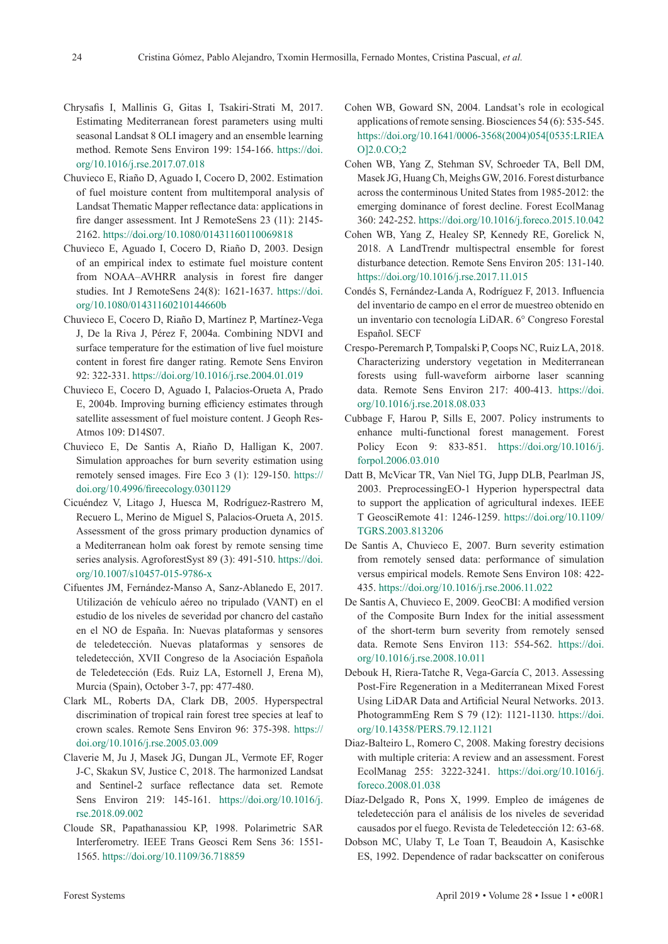- Chrysafis I, Mallinis G, Gitas I, Tsakiri-Strati M, 2017. Estimating Mediterranean forest parameters using multi seasonal Landsat 8 OLI imagery and an ensemble learning method. Remote Sens Environ 199: 154-166. [https://doi.](https://doi.org/10.1016/j.rse.2017.07.018) [org/10.1016/j.rse.2017.07.018](https://doi.org/10.1016/j.rse.2017.07.018)
- Chuvieco E, Riaño D, Aguado I, Cocero D, 2002. Estimation of fuel moisture content from multitemporal analysis of Landsat Thematic Mapper reflectance data: applications in fire danger assessment. Int J RemoteSens 23 (11): 2145- 2162. <https://doi.org/10.1080/01431160110069818>
- Chuvieco E, Aguado I, Cocero D, Riaño D, 2003. Design of an empirical index to estimate fuel moisture content from NOAA–AVHRR analysis in forest fire danger studies. Int J RemoteSens 24(8): 1621-1637. [https://doi.](https://doi.org/10.1080/01431160210144660b) [org/10.1080/01431160210144660b](https://doi.org/10.1080/01431160210144660b)
- Chuvieco E, Cocero D, Riaño D, Martínez P, Martínez-Vega J, De la Riva J, Pérez F, 2004a. Combining NDVI and surface temperature for the estimation of live fuel moisture content in forest fire danger rating. Remote Sens Environ 92: 322-331. <https://doi.org/10.1016/j.rse.2004.01.019>
- Chuvieco E, Cocero D, Aguado I, Palacios-Orueta A, Prado E, 2004b. Improving burning efficiency estimates through satellite assessment of fuel moisture content. J Geoph Res-Atmos 109: D14S07.
- Chuvieco E, De Santis A, Riaño D, Halligan K, 2007. Simulation approaches for burn severity estimation using remotely sensed images. Fire Eco 3 (1): 129-150. [https://](https://doi.org/10.4996/fireecology.0301129) [doi.org/10.4996/fireecology.0301129](https://doi.org/10.4996/fireecology.0301129)
- Cicuéndez V, Litago J, Huesca M, Rodríguez-Rastrero M, Recuero L, Merino de Miguel S, Palacios-Orueta A, 2015. Assessment of the gross primary production dynamics of a Mediterranean holm oak forest by remote sensing time series analysis. AgroforestSyst 89 (3): 491-510. [https://doi.](https://doi.org/10.1007/s10457-015-9786-x) [org/10.1007/s10457-015-9786-x](https://doi.org/10.1007/s10457-015-9786-x)
- Cifuentes JM, Fernández-Manso A, Sanz-Ablanedo E, 2017. Utilización de vehículo aéreo no tripulado (VANT) en el estudio de los niveles de severidad por chancro del castaño en el NO de España. In: Nuevas plataformas y sensores de teledetección. Nuevas plataformas y sensores de teledetección, XVII Congreso de la Asociación Española de Teledetección (Eds. Ruiz LA, Estornell J, Erena M), Murcia (Spain), October 3-7, pp: 477-480.
- Clark ML, Roberts DA, Clark DB, 2005. Hyperspectral discrimination of tropical rain forest tree species at leaf to crown scales. Remote Sens Environ 96: 375-398. [https://](https://doi.org/10.1016/j.rse.2005.03.009) [doi.org/10.1016/j.rse.2005.03.009](https://doi.org/10.1016/j.rse.2005.03.009)
- Claverie M, Ju J, Masek JG, Dungan JL, Vermote EF, Roger J-C, Skakun SV, Justice C, 2018. The harmonized Landsat and Sentinel-2 surface reflectance data set. Remote Sens Environ 219: 145-161. [https://doi.org/10.1016/j.](https://doi.org/10.1016/j.rse.2018.09.002) [rse.2018.09.002](https://doi.org/10.1016/j.rse.2018.09.002)
- Cloude SR, Papathanassiou KP, 1998. Polarimetric SAR Interferometry. IEEE Trans Geosci Rem Sens 36: 1551- 1565.<https://doi.org/10.1109/36.718859>
- Cohen WB, Goward SN, 2004. Landsat's role in ecological applications of remote sensing. Biosciences 54 (6): 535-545. [https://doi.org/10.1641/0006-3568\(2004\)054\[0535:LRIEA](https://doi.org/10.1641/0006-3568(2004)054[0535:LRIEAO]2.0.CO;2) [O\]2.0.CO;2](https://doi.org/10.1641/0006-3568(2004)054[0535:LRIEAO]2.0.CO;2)
- Cohen WB, Yang Z, Stehman SV, Schroeder TA, Bell DM, Masek JG, Huang Ch, Meighs GW, 2016. Forest disturbance across the conterminous United States from 1985-2012: the emerging dominance of forest decline. Forest EcolManag 360: 242-252.<https://doi.org/10.1016/j.foreco.2015.10.042>
- Cohen WB, Yang Z, Healey SP, Kennedy RE, Gorelick N, 2018. A LandTrendr multispectral ensemble for forest disturbance detection. Remote Sens Environ 205: 131-140. [https://doi.org/10.1016/j.rse.2017.11.015]( https://doi.org/10.1016/j.rse.2017.11.015)
- Condés S, Fernández-Landa A, Rodríguez F, 2013. Influencia del inventario de campo en el error de muestreo obtenido en un inventario con tecnología LiDAR. 6° Congreso Forestal Español. SECF
- Crespo-Peremarch P, Tompalski P, Coops NC, Ruiz LA, 2018. Characterizing understory vegetation in Mediterranean forests using full-waveform airborne laser scanning data. Remote Sens Environ 217: 400-413. [https://doi.](https://doi.org/10.1016/j.rse.2018.08.033) [org/10.1016/j.rse.2018.08.033](https://doi.org/10.1016/j.rse.2018.08.033)
- Cubbage F, Harou P, Sills E, 2007. Policy instruments to enhance multi-functional forest management. Forest Policy Econ 9: 833-851. [https://doi.org/10.1016/j.](https://doi.org/10.1016/j.forpol.2006.03.010) [forpol.2006.03.010](https://doi.org/10.1016/j.forpol.2006.03.010)
- Datt B, McVicar TR, Van Niel TG, Jupp DLB, Pearlman JS, 2003. PreprocessingEO-1 Hyperion hyperspectral data to support the application of agricultural indexes. IEEE T GeosciRemote 41: 1246-1259. [https://doi.org/10.1109/](https://doi.org/10.1109/TGRS.2003.813206) [TGRS.2003.813206](https://doi.org/10.1109/TGRS.2003.813206)
- De Santis A, Chuvieco E, 2007. Burn severity estimation from remotely sensed data: performance of simulation versus empirical models. Remote Sens Environ 108: 422- 435. <https://doi.org/10.1016/j.rse.2006.11.022>
- De Santis A, Chuvieco E, 2009. GeoCBI: A modified version of the Composite Burn Index for the initial assessment of the short-term burn severity from remotely sensed data. Remote Sens Environ 113: 554-562. [https://doi.](https://doi.org/10.1016/j.rse.2008.10.011) [org/10.1016/j.rse.2008.10.011](https://doi.org/10.1016/j.rse.2008.10.011)
- Debouk H, Riera-Tatche R, Vega-García C, 2013. Assessing Post-Fire Regeneration in a Mediterranean Mixed Forest Using LiDAR Data and Artificial Neural Networks. 2013. PhotogrammEng Rem S 79 (12): 1121-1130. [https://doi.](https://doi.org/10.14358/PERS.79.12.1121) [org/10.14358/PERS.79.12.1121](https://doi.org/10.14358/PERS.79.12.1121)
- Diaz-Balteiro L, Romero C, 2008. Making forestry decisions with multiple criteria: A review and an assessment. Forest EcolManag 255: 3222-3241. [https://doi.org/10.1016/j.](https://doi.org/10.1016/j.foreco.2008.01.038) [foreco.2008.01.038](https://doi.org/10.1016/j.foreco.2008.01.038)
- Díaz-Delgado R, Pons X, 1999. Empleo de imágenes de teledetección para el análisis de los niveles de severidad causados por el fuego. Revista de Teledetección 12: 63-68.
- Dobson MC, Ulaby T, Le Toan T, Beaudoin A, Kasischke ES, 1992. Dependence of radar backscatter on coniferous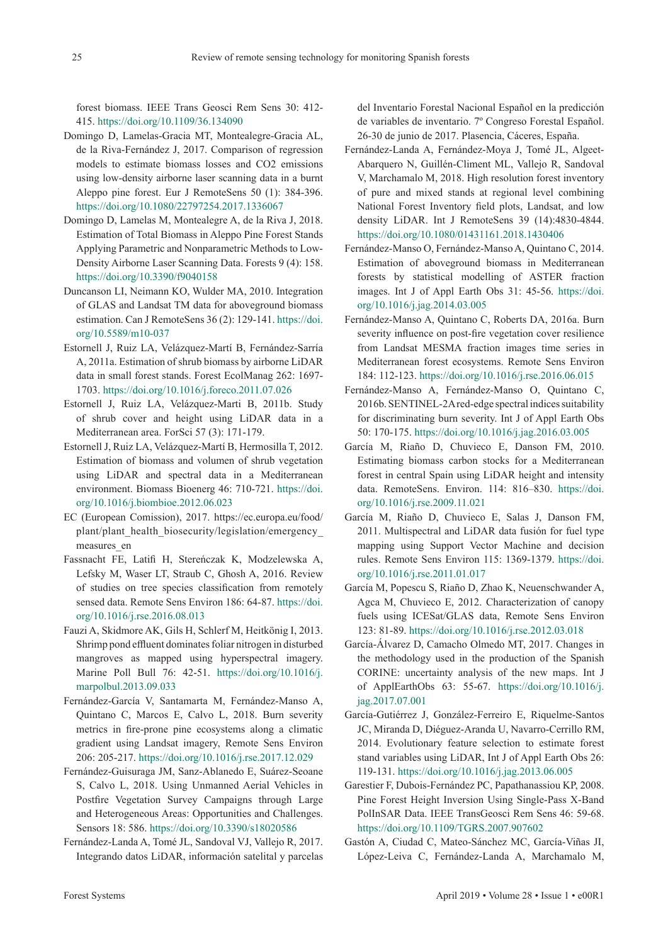forest biomass. IEEE Trans Geosci Rem Sens 30: 412- 415.<https://doi.org/10.1109/36.134090>

- Domingo D, Lamelas-Gracia MT, Montealegre-Gracia AL, de la Riva-Fernández J, 2017. Comparison of regression models to estimate biomass losses and CO2 emissions using low-density airborne laser scanning data in a burnt Aleppo pine forest. Eur J RemoteSens 50 (1): 384-396. <https://doi.org/10.1080/22797254.2017.1336067>
- Domingo D, Lamelas M, Montealegre A, de la Riva J, 2018. Estimation of Total Biomass in Aleppo Pine Forest Stands Applying Parametric and Nonparametric Methods to Low-Density Airborne Laser Scanning Data. Forests 9 (4): 158. <https://doi.org/10.3390/f9040158>
- Duncanson LI, Neimann KO, Wulder MA, 2010. Integration of GLAS and Landsat TM data for aboveground biomass estimation. Can J RemoteSens 36 (2): 129-141. [https://doi.](https://doi.org/10.5589/m10-037) [org/10.5589/m10-037](https://doi.org/10.5589/m10-037)
- Estornell J, Ruiz LA, Velázquez-Martí B, Fernández-Sarría A, 2011a. Estimation of shrub biomass by airborne LiDAR data in small forest stands. Forest EcolManag 262: 1697- 1703. <https://doi.org/10.1016/j.foreco.2011.07.026>
- Estornell J, Ruiz LA, Velázquez-Marti B, 2011b. Study of shrub cover and height using LiDAR data in a Mediterranean area. ForSci 57 (3): 171-179.
- Estornell J, Ruiz LA, Velázquez-Martí B, Hermosilla T, 2012. Estimation of biomass and volumen of shrub vegetation using LiDAR and spectral data in a Mediterranean environment. Biomass Bioenerg 46: 710-721. [https://doi.](https://doi.org/10.1016/j.biombioe.2012.06.023) [org/10.1016/j.biombioe.2012.06.023](https://doi.org/10.1016/j.biombioe.2012.06.023)
- EC (European Comission), 2017. https://ec.europa.eu/food/ plant/plant\_health\_biosecurity/legislation/emergency\_ measures\_en
- Fassnacht FE, Latifi H, Stereńczak K, Modzelewska A, Lefsky M, Waser LT, Straub C, Ghosh A, 2016. Review of studies on tree species classification from remotely sensed data. Remote Sens Environ 186: 64-87. [https://doi.](https://doi.org/10.1016/j.rse.2016.08.013) [org/10.1016/j.rse.2016.08.013](https://doi.org/10.1016/j.rse.2016.08.013)
- Fauzi A, Skidmore AK, Gils H, Schlerf M, Heitkönig I, 2013. Shrimp pond effluent dominates foliar nitrogen in disturbed mangroves as mapped using hyperspectral imagery. Marine Poll Bull 76: 42-51. [https://doi.org/10.1016/j.](https://doi.org/10.1016/j.marpolbul.2013.09.033) [marpolbul.2013.09.033](https://doi.org/10.1016/j.marpolbul.2013.09.033)
- Fernández-García V, Santamarta M, Fernández-Manso A, Quintano C, Marcos E, Calvo L, 2018. Burn severity metrics in fire-prone pine ecosystems along a climatic gradient using Landsat imagery, Remote Sens Environ 206: 205-217. <https://doi.org/10.1016/j.rse.2017.12.029>
- Fernández-Guisuraga JM, Sanz-Ablanedo E, Suárez-Seoane S, Calvo L, 2018. Using Unmanned Aerial Vehicles in Postfire Vegetation Survey Campaigns through Large and Heterogeneous Areas: Opportunities and Challenges. Sensors 18: 586.<https://doi.org/10.3390/s18020586>
- Fernández-Landa A, Tomé JL, Sandoval VJ, Vallejo R, 2017. Integrando datos LiDAR, información satelital y parcelas

del Inventario Forestal Nacional Español en la predicción de variables de inventario. 7º Congreso Forestal Español. 26-30 de junio de 2017. Plasencia, Cáceres, España.

- Fernández-Landa A, Fernández-Moya J, Tomé JL, Algeet-Abarquero N, Guillén-Climent ML, Vallejo R, Sandoval V, Marchamalo M, 2018. High resolution forest inventory of pure and mixed stands at regional level combining National Forest Inventory field plots, Landsat, and low density LiDAR. Int J RemoteSens 39 (14):4830-4844. <https://doi.org/10.1080/01431161.2018.1430406>
- Fernández-Manso O, Fernández-Manso A, Quintano C, 2014. Estimation of aboveground biomass in Mediterranean forests by statistical modelling of ASTER fraction images. Int J of Appl Earth Obs 31: 45-56. [https://doi.](https://doi.org/10.1016/j.jag.2014.03.005) [org/10.1016/j.jag.2014.03.005](https://doi.org/10.1016/j.jag.2014.03.005)
- Fernández-Manso A, Quintano C, Roberts DA, 2016a. Burn severity influence on post-fire vegetation cover resilience from Landsat MESMA fraction images time series in Mediterranean forest ecosystems. Remote Sens Environ 184: 112-123. <https://doi.org/10.1016/j.rse.2016.06.015>
- Fernández-Manso A, Fernández-Manso O, Quintano C, 2016b. SENTINEL-2A red-edge spectral indices suitability for discriminating burn severity. Int J of Appl Earth Obs 50: 170-175. <https://doi.org/10.1016/j.jag.2016.03.005>
- García M, Riaño D, Chuvieco E, Danson FM, 2010. Estimating biomass carbon stocks for a Mediterranean forest in central Spain using LiDAR height and intensity data. RemoteSens. Environ. 114: 816–830. [https://doi.](https://doi.org/10.1016/j.rse.2009.11.021) [org/10.1016/j.rse.2009.11.021](https://doi.org/10.1016/j.rse.2009.11.021)
- García M, Riaño D, Chuvieco E, Salas J, Danson FM, 2011. Multispectral and LiDAR data fusión for fuel type mapping using Support Vector Machine and decision rules. Remote Sens Environ 115: 1369-1379. [https://doi.](https://doi.org/10.1016/j.rse.2011.01.017) [org/10.1016/j.rse.2011.01.017](https://doi.org/10.1016/j.rse.2011.01.017)
- García M, Popescu S, Riaño D, Zhao K, Neuenschwander A, Agca M, Chuvieco E, 2012. Characterization of canopy fuels using ICESat/GLAS data, Remote Sens Environ 123: 81-89. <https://doi.org/10.1016/j.rse.2012.03.018>
- García-Álvarez D, Camacho Olmedo MT, 2017. Changes in the methodology used in the production of the Spanish CORINE: uncertainty analysis of the new maps. Int J of ApplEarthObs 63: 55-67. [https://doi.org/10.1016/j.](https://doi.org/10.1016/j.jag.2017.07.001) [jag.2017.07.001](https://doi.org/10.1016/j.jag.2017.07.001)
- García-Gutiérrez J, González-Ferreiro E, Riquelme-Santos JC, Miranda D, Diéguez-Aranda U, Navarro-Cerrillo RM, 2014. Evolutionary feature selection to estimate forest stand variables using LiDAR, Int J of Appl Earth Obs 26: 119-131. <https://doi.org/10.1016/j.jag.2013.06.005>
- Garestier F, Dubois-Fernández PC, Papathanassiou KP, 2008. Pine Forest Height Inversion Using Single-Pass X-Band PolInSAR Data. IEEE TransGeosci Rem Sens 46: 59-68. <https://doi.org/10.1109/TGRS.2007.907602>
- Gastón A, Ciudad C, Mateo-Sánchez MC, García-Viñas JI, López-Leiva C, Fernández-Landa A, Marchamalo M,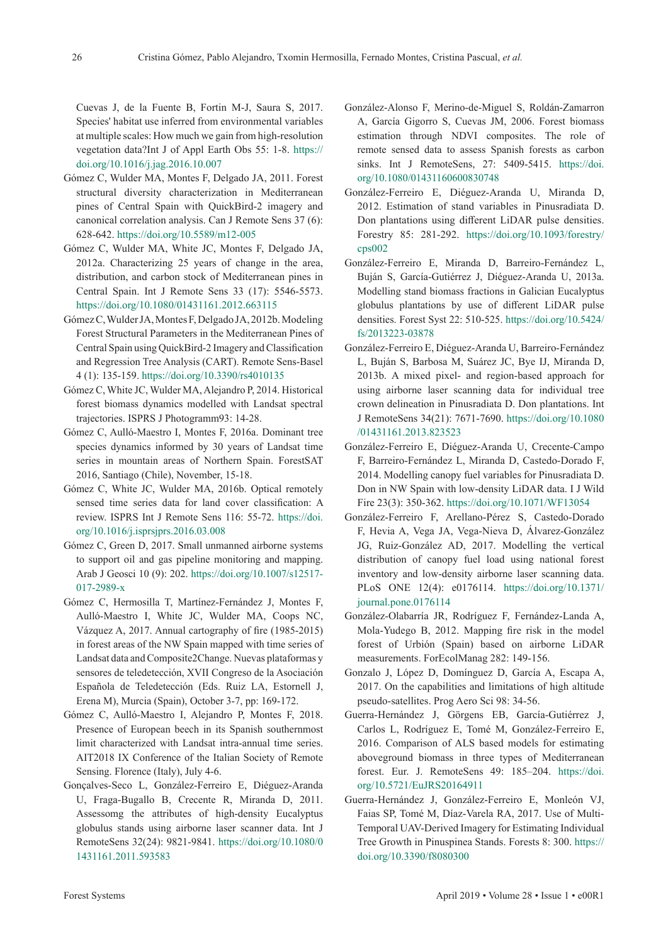Cuevas J, de la Fuente B, Fortin M-J, Saura S, 2017. Species' habitat use inferred from environmental variables at multiple scales: How much we gain from high-resolution vegetation data?Int J of Appl Earth Obs 55: 1-8. [https://](https://doi.org/10.1016/j.jag.2016.10.007) [doi.org/10.1016/j.jag.2016.10.007](https://doi.org/10.1016/j.jag.2016.10.007)

- Gómez C, Wulder MA, Montes F, Delgado JA, 2011. Forest structural diversity characterization in Mediterranean pines of Central Spain with QuickBird-2 imagery and canonical correlation analysis. Can J Remote Sens 37 (6): 628-642.<https://doi.org/10.5589/m12-005>
- Gómez C, Wulder MA, White JC, Montes F, Delgado JA, 2012a. Characterizing 25 years of change in the area, distribution, and carbon stock of Mediterranean pines in Central Spain. Int J Remote Sens 33 (17): 5546-5573. <https://doi.org/10.1080/01431161.2012.663115>
- Gómez C, Wulder JA, Montes F, Delgado JA, 2012b. Modeling Forest Structural Parameters in the Mediterranean Pines of Central Spain using QuickBird-2 Imagery and Classification and Regression Tree Analysis (CART). Remote Sens-Basel 4 (1): 135-159.<https://doi.org/10.3390/rs4010135>
- Gómez C, White JC, Wulder MA, Alejandro P, 2014. Historical forest biomass dynamics modelled with Landsat spectral trajectories. ISPRS J Photogramm93: 14-28.
- Gómez C, Aulló-Maestro I, Montes F, 2016a. Dominant tree species dynamics informed by 30 years of Landsat time series in mountain areas of Northern Spain. ForestSAT 2016, Santiago (Chile), November, 15-18.
- Gómez C, White JC, Wulder MA, 2016b. Optical remotely sensed time series data for land cover classification: A review. ISPRS Int J Remote Sens 116: 55-72. [https://doi.](https://doi.org/10.1016/j.isprsjprs.2016.03.008) [org/10.1016/j.isprsjprs.2016.03.008](https://doi.org/10.1016/j.isprsjprs.2016.03.008)
- Gómez C, Green D, 2017. Small unmanned airborne systems to support oil and gas pipeline monitoring and mapping. Arab J Geosci 10 (9): 202. [https://doi.org/10.1007/s12517-](https://doi.org/10.1007/s12517-017-2989-x) [017-2989-x](https://doi.org/10.1007/s12517-017-2989-x)
- Gómez C, Hermosilla T, Martínez-Fernández J, Montes F, Aulló-Maestro I, White JC, Wulder MA, Coops NC, Vázquez A, 2017. Annual cartography of fire (1985-2015) in forest areas of the NW Spain mapped with time series of Landsat data and Composite2Change. Nuevas plataformas y sensores de teledetección, XVII Congreso de la Asociación Española de Teledetección (Eds. Ruiz LA, Estornell J, Erena M), Murcia (Spain), October 3-7, pp: 169-172.
- Gómez C, Aulló-Maestro I, Alejandro P, Montes F, 2018. Presence of European beech in its Spanish southernmost limit characterized with Landsat intra-annual time series. AIT2018 IX Conference of the Italian Society of Remote Sensing. Florence (Italy), July 4-6.
- Gonçalves-Seco L, González-Ferreiro E, Diéguez-Aranda U, Fraga-Bugallo B, Crecente R, Miranda D, 2011. Assessomg the attributes of high-density Eucalyptus globulus stands using airborne laser scanner data. Int J RemoteSens 32(24): 9821-9841. [https://doi.org/10.1080/0](https://doi.org/10.1080/01431161.2011.593583) [1431161.2011.593583](https://doi.org/10.1080/01431161.2011.593583)
- González-Alonso F, Merino-de-Miguel S, Roldán-Zamarron A, García Gigorro S, Cuevas JM, 2006. Forest biomass estimation through NDVI composites. The role of remote sensed data to assess Spanish forests as carbon sinks. Int J RemoteSens, 27: 5409-5415. [https://doi.](https://doi.org/10.1080/01431160600830748) [org/10.1080/01431160600830748](https://doi.org/10.1080/01431160600830748)
- González-Ferreiro E, Diéguez-Aranda U, Miranda D, 2012. Estimation of stand variables in Pinusradiata D. Don plantations using different LiDAR pulse densities. Forestry 85: 281-292. [https://doi.org/10.1093/forestry/](https://doi.org/10.1093/forestry/cps002) [cps002](https://doi.org/10.1093/forestry/cps002)
- González-Ferreiro E, Miranda D, Barreiro-Fernández L, Buján S, García-Gutiérrez J, Diéguez-Aranda U, 2013a. Modelling stand biomass fractions in Galician Eucalyptus globulus plantations by use of different LiDAR pulse densities. Forest Syst 22: 510-525. [https://doi.org/10.5424/](https://doi.org/10.5424/fs/2013223-03878) [fs/2013223-03878](https://doi.org/10.5424/fs/2013223-03878)
- González-Ferreiro E, Diéguez-Aranda U, Barreiro-Fernández L, Buján S, Barbosa M, Suárez JC, Bye IJ, Miranda D, 2013b. A mixed pixel- and region-based approach for using airborne laser scanning data for individual tree crown delineation in Pinusradiata D. Don plantations. Int J RemoteSens 34(21): 7671-7690. [https://doi.org/10.1080](https://doi.org/10.1080/01431161.2013.823523) [/01431161.2013.823523](https://doi.org/10.1080/01431161.2013.823523)
- González‐Ferreiro E, Diéguez‐Aranda U, Crecente‐Campo F, Barreiro‐Fernández L, Miranda D, Castedo‐Dorado F, 2014. Modelling canopy fuel variables for Pinusradiata D. Don in NW Spain with low‐density LiDAR data. I J Wild Fire 23(3): 350‐362. <https://doi.org/10.1071/WF13054>
- González-Ferreiro F, Arellano-Pérez S, Castedo-Dorado F, Hevia A, Vega JA, Vega-Nieva D, Álvarez-González JG, Ruiz-González AD, 2017. Modelling the vertical distribution of canopy fuel load using national forest inventory and low-density airborne laser scanning data. PLoS ONE 12(4): e0176114. [https://doi.org/10.1371/](https://doi.org/10.1371/journal.pone.0176114) [journal.pone.0176114](https://doi.org/10.1371/journal.pone.0176114)
- González-Olabarría JR, Rodríguez F, Fernández-Landa A, Mola-Yudego B, 2012. Mapping fire risk in the model forest of Urbión (Spain) based on airborne LiDAR measurements. ForEcolManag 282: 149-156.
- Gonzalo J, López D, Domínguez D, García A, Escapa A, 2017. On the capabilities and limitations of high altitude pseudo-satellites. Prog Aero Sci 98: 34-56.
- Guerra-Hernández J, Görgens EB, García-Gutiérrez J, Carlos L, Rodríguez E, Tomé M, González-Ferreiro E, 2016. Comparison of ALS based models for estimating aboveground biomass in three types of Mediterranean forest. Eur. J. RemoteSens 49: 185–204. [https://doi.](https://doi.org/10.5721/EuJRS20164911) [org/10.5721/EuJRS20164911](https://doi.org/10.5721/EuJRS20164911)
- Guerra-Hernández J, González-Ferreiro E, Monleón VJ, Faias SP, Tomé M, Díaz-Varela RA, 2017. Use of Multi-Temporal UAV-Derived Imagery for Estimating Individual Tree Growth in Pinuspinea Stands. Forests 8: 300. [https://](https://doi.org/10.3390/f8080300) [doi.org/10.3390/f8080300](https://doi.org/10.3390/f8080300)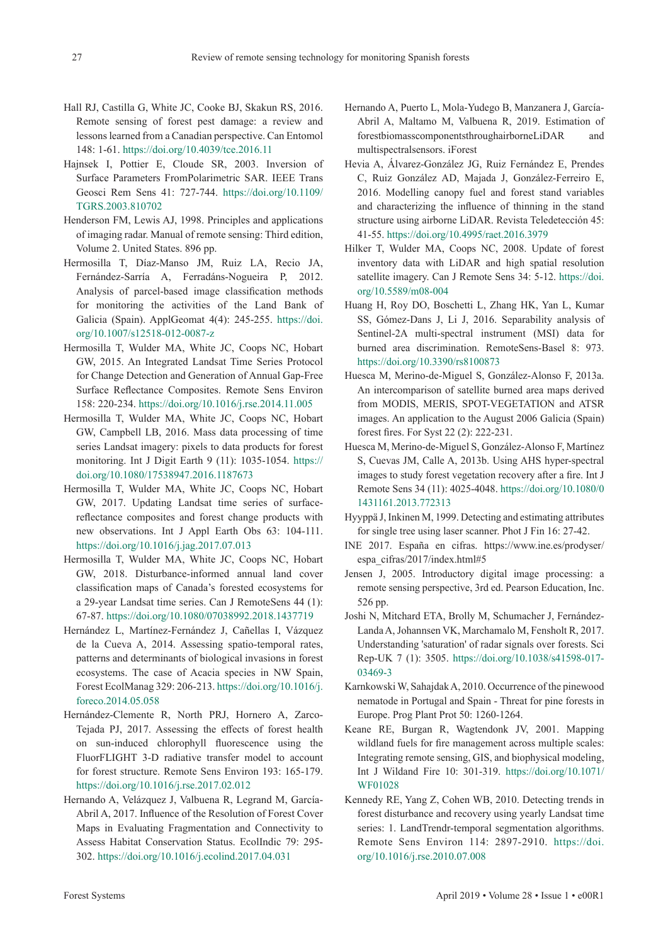- Hall RJ, Castilla G, White JC, Cooke BJ, Skakun RS, 2016. Remote sensing of forest pest damage: a review and lessons learned from a Canadian perspective. Can Entomol 148: 1-61.<https://doi.org/10.4039/tce.2016.11>
- Hajnsek I, Pottier E, Cloude SR, 2003. Inversion of Surface Parameters FromPolarimetric SAR. IEEE Trans Geosci Rem Sens 41: 727-744. [https://doi.org/10.1109/](https://doi.org/10.1109/TGRS.2003.810702) [TGRS.2003.810702](https://doi.org/10.1109/TGRS.2003.810702)
- Henderson FM, Lewis AJ, 1998. Principles and applications of imaging radar. Manual of remote sensing: Third edition, Volume 2. United States. 896 pp.
- Hermosilla T, Díaz-Manso JM, Ruiz LA, Recio JA, Fernández-Sarría A, Ferradáns-Nogueira P, 2012. Analysis of parcel-based image classification methods for monitoring the activities of the Land Bank of Galicia (Spain). ApplGeomat 4(4): 245-255. [https://doi.](https://doi.org/10.1007/s12518-012-0087-z) [org/10.1007/s12518-012-0087-z](https://doi.org/10.1007/s12518-012-0087-z)
- Hermosilla T, Wulder MA, White JC, Coops NC, Hobart GW, 2015. An Integrated Landsat Time Series Protocol for Change Detection and Generation of Annual Gap-Free Surface Reflectance Composites. Remote Sens Environ 158: 220-234. <https://doi.org/10.1016/j.rse.2014.11.005>
- Hermosilla T, Wulder MA, White JC, Coops NC, Hobart GW, Campbell LB, 2016. Mass data processing of time series Landsat imagery: pixels to data products for forest monitoring. Int J Digit Earth 9 (11): 1035-1054. [https://](https://doi.org/10.1080/17538947.2016.1187673) [doi.org/10.1080/17538947.2016.1187673](https://doi.org/10.1080/17538947.2016.1187673)
- Hermosilla T, Wulder MA, White JC, Coops NC, Hobart GW, 2017. Updating Landsat time series of surfacereflectance composites and forest change products with new observations. Int J Appl Earth Obs 63: 104-111. <https://doi.org/10.1016/j.jag.2017.07.013>
- Hermosilla T, Wulder MA, White JC, Coops NC, Hobart GW, 2018. Disturbance-informed annual land cover classification maps of Canada's forested ecosystems for a 29-year Landsat time series. Can J RemoteSens 44 (1): 67-87. <https://doi.org/10.1080/07038992.2018.1437719>
- Hernández L, Martínez-Fernández J, Cañellas I, Vázquez de la Cueva A, 2014. Assessing spatio-temporal rates, patterns and determinants of biological invasions in forest ecosystems. The case of Acacia species in NW Spain, Forest EcolManag 329: 206-213. [https://doi.org/10.1016/j.](https://doi.org/10.1016/j.foreco.2014.05.058) [foreco.2014.05.058](https://doi.org/10.1016/j.foreco.2014.05.058)
- Hernández-Clemente R, North PRJ, Hornero A, Zarco-Tejada PJ, 2017. Assessing the effects of forest health on sun-induced chlorophyll fluorescence using the FluorFLIGHT 3-D radiative transfer model to account for forest structure. Remote Sens Environ 193: 165-179. <https://doi.org/10.1016/j.rse.2017.02.012>
- Hernando A, Velázquez J, Valbuena R, Legrand M, García-Abril A, 2017. Influence of the Resolution of Forest Cover Maps in Evaluating Fragmentation and Connectivity to Assess Habitat Conservation Status. EcolIndic 79: 295- 302.<https://doi.org/10.1016/j.ecolind.2017.04.031>
- Hernando A, Puerto L, Mola-Yudego B, Manzanera J, García-Abril A, Maltamo M, Valbuena R, 2019. Estimation of forestbiomasscomponentsthroughairborneLiDAR and multispectralsensors. iForest
- Hevia A, Álvarez‐González JG, Ruiz Fernández E, Prendes C, Ruiz González AD, Majada J, González‐Ferreiro E, 2016. Modelling canopy fuel and forest stand variables and characterizing the influence of thinning in the stand structure using airborne LiDAR. Revista Teledetección 45: 41-55. <https://doi.org/10.4995/raet.2016.3979>
- Hilker T, Wulder MA, Coops NC, 2008. Update of forest inventory data with LiDAR and high spatial resolution satellite imagery. Can J Remote Sens 34: 5-12. [https://doi.](https://doi.org/10.5589/m08-004) [org/10.5589/m08-004](https://doi.org/10.5589/m08-004)
- Huang H, Roy DO, Boschetti L, Zhang HK, Yan L, Kumar SS, Gómez-Dans J, Li J, 2016. Separability analysis of Sentinel-2A multi-spectral instrument (MSI) data for burned area discrimination. RemoteSens-Basel 8: 973. <https://doi.org/10.3390/rs8100873>
- Huesca M, Merino-de-Miguel S, González-Alonso F, 2013a. An intercomparison of satellite burned area maps derived from MODIS, MERIS, SPOT-VEGETATION and ATSR images. An application to the August 2006 Galicia (Spain) forest fires. For Syst 22 (2): 222-231.
- Huesca M, Merino-de-Miguel S, González-Alonso F, Martínez S, Cuevas JM, Calle A, 2013b. Using AHS hyper-spectral images to study forest vegetation recovery after a fire. Int J Remote Sens 34 (11): 4025-4048. [https://doi.org/10.1080/0](https://doi.org/10.1080/01431161.2013.772313) [1431161.2013.772313](https://doi.org/10.1080/01431161.2013.772313)
- Hyyppä J, Inkinen M, 1999. Detecting and estimating attributes for single tree using laser scanner. Phot J Fin 16: 27-42.
- INE 2017. España en cifras. https://www.ine.es/prodyser/ espa\_cifras/2017/index.html#5
- Jensen J, 2005. Introductory digital image processing: a remote sensing perspective, 3rd ed. Pearson Education, Inc. 526 pp.
- Joshi N, Mitchard ETA, Brolly M, Schumacher J, Fernández-Landa A, Johannsen VK, Marchamalo M, Fensholt R, 2017. Understanding 'saturation' of radar signals over forests. Sci Rep-UK 7 (1): 3505. [https://doi.org/10.1038/s41598-017-](https://doi.org/10.1038/s41598-017-03469-3) [03469-3](https://doi.org/10.1038/s41598-017-03469-3)
- Karnkowski W, Sahajdak A, 2010. Occurrence of the pinewood nematode in Portugal and Spain - Threat for pine forests in Europe. Prog Plant Prot 50: 1260-1264.
- Keane RE, Burgan R, Wagtendonk JV, 2001. Mapping wildland fuels for fire management across multiple scales: Integrating remote sensing, GIS, and biophysical modeling, Int J Wildand Fire 10: 301-319. [https://doi.org/10.1071/](https://doi.org/10.1071/WF01028) [WF01028](https://doi.org/10.1071/WF01028)
- Kennedy RE, Yang Z, Cohen WB, 2010. Detecting trends in forest disturbance and recovery using yearly Landsat time series: 1. LandTrendr-temporal segmentation algorithms. Remote Sens Environ 114: 2897-2910. [https://doi.](https://doi.org/10.1016/j.rse.2010.07.008) [org/10.1016/j.rse.2010.07.008](https://doi.org/10.1016/j.rse.2010.07.008)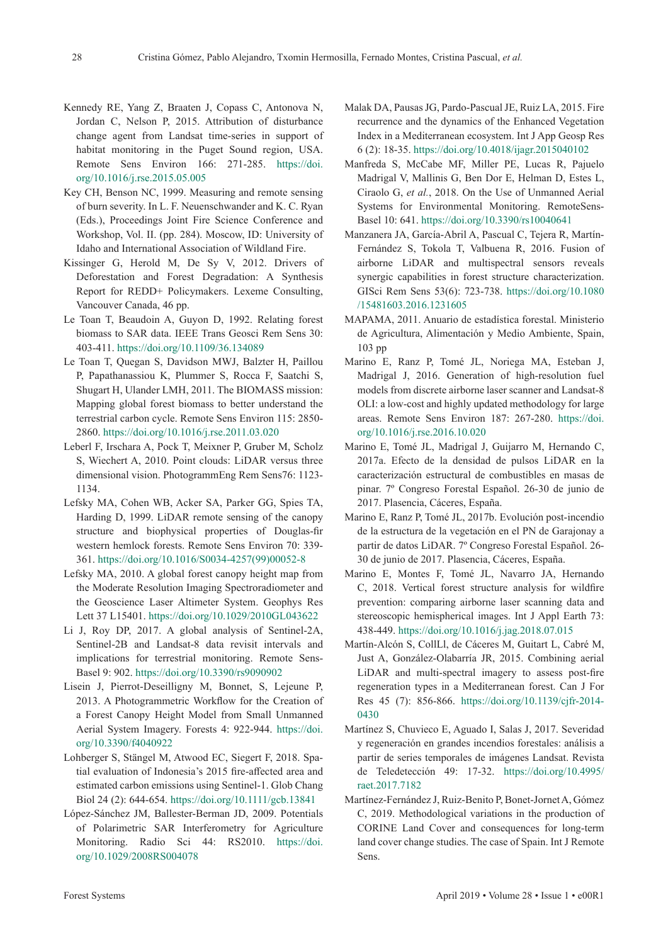- Kennedy RE, Yang Z, Braaten J, Copass C, Antonova N, Jordan C, Nelson P, 2015. Attribution of disturbance change agent from Landsat time-series in support of habitat monitoring in the Puget Sound region, USA. Remote Sens Environ 166: 271-285. [https://doi.](https://doi.org/10.1016/j.rse.2015.05.005) [org/10.1016/j.rse.2015.05.005](https://doi.org/10.1016/j.rse.2015.05.005)
- Key CH, Benson NC, 1999. Measuring and remote sensing of burn severity. In L. F. Neuenschwander and K. C. Ryan (Eds.), Proceedings Joint Fire Science Conference and Workshop, Vol. II. (pp. 284). Moscow, ID: University of Idaho and International Association of Wildland Fire.
- Kissinger G, Herold M, De Sy V, 2012. Drivers of Deforestation and Forest Degradation: A Synthesis Report for REDD+ Policymakers. Lexeme Consulting, Vancouver Canada, 46 pp.
- Le Toan T, Beaudoin A, Guyon D, 1992. Relating forest biomass to SAR data. IEEE Trans Geosci Rem Sens 30: 403-411.<https://doi.org/10.1109/36.134089>
- Le Toan T, Quegan S, Davidson MWJ, Balzter H, Paillou P, Papathanassiou K, Plummer S, Rocca F, Saatchi S, Shugart H, Ulander LMH, 2011. The BIOMASS mission: Mapping global forest biomass to better understand the terrestrial carbon cycle. Remote Sens Environ 115: 2850- 2860.<https://doi.org/10.1016/j.rse.2011.03.020>
- Leberl F, Irschara A, Pock T, Meixner P, Gruber M, Scholz S, Wiechert A, 2010. Point clouds: LiDAR versus three dimensional vision. PhotogrammEng Rem Sens76: 1123- 1134.
- Lefsky MA, Cohen WB, Acker SA, Parker GG, Spies TA, Harding D, 1999. LiDAR remote sensing of the canopy structure and biophysical properties of Douglas-fir western hemlock forests. Remote Sens Environ 70: 339- 361. [https://doi.org/10.1016/S0034-4257\(99\)00052-8](https://doi.org/10.1016/S0034-4257(99)00052-8)
- Lefsky MA, 2010. A global forest canopy height map from the Moderate Resolution Imaging Spectroradiometer and the Geoscience Laser Altimeter System. Geophys Res Lett 37 L15401. <https://doi.org/10.1029/2010GL043622>
- Li J, Roy DP, 2017. A global analysis of Sentinel-2A, Sentinel-2B and Landsat-8 data revisit intervals and implications for terrestrial monitoring. Remote Sens-Basel 9: 902. <https://doi.org/10.3390/rs9090902>
- Lisein J, Pierrot-Deseilligny M, Bonnet, S, Lejeune P, 2013. A Photogrammetric Workflow for the Creation of a Forest Canopy Height Model from Small Unmanned Aerial System Imagery. Forests 4: 922-944. [https://doi.](https://doi.org/10.3390/f4040922) [org/10.3390/f4040922](https://doi.org/10.3390/f4040922)
- Lohberger S, Stängel M, Atwood EC, Siegert F, 2018. Spatial evaluation of Indonesia's 2015 fire-affected area and estimated carbon emissions using Sentinel-1. Glob Chang Biol 24 (2): 644-654. <https://doi.org/10.1111/gcb.13841>
- López-Sánchez JM, Ballester-Berman JD, 2009. Potentials of Polarimetric SAR Interferometry for Agriculture Monitoring. Radio Sci 44: RS2010. [https://doi.](https://doi.org/10.1029/2008RS004078) [org/10.1029/2008RS004078](https://doi.org/10.1029/2008RS004078)
- Malak DA, Pausas JG, Pardo-Pascual JE, Ruiz LA, 2015. Fire recurrence and the dynamics of the Enhanced Vegetation Index in a Mediterranean ecosystem. Int J App Geosp Res 6 (2): 18-35. <https://doi.org/10.4018/ijagr.2015040102>
- Manfreda S, McCabe MF, Miller PE, Lucas R, Pajuelo Madrigal V, Mallinis G, Ben Dor E, Helman D, Estes L, Ciraolo G, *et al.*, 2018. On the Use of Unmanned Aerial Systems for Environmental Monitoring. RemoteSens-Basel 10: 641. <https://doi.org/10.3390/rs10040641>
- Manzanera JA, García-Abril A, Pascual C, Tejera R, Martín-Fernández S, Tokola T, Valbuena R, 2016. Fusion of airborne LiDAR and multispectral sensors reveals synergic capabilities in forest structure characterization. GISci Rem Sens 53(6): 723-738. [https://doi.org/10.1080](https://doi.org/10.1080/15481603.2016.1231605) [/15481603.2016.1231605](https://doi.org/10.1080/15481603.2016.1231605)
- MAPAMA, 2011. Anuario de estadística forestal. Ministerio de Agricultura, Alimentación y Medio Ambiente, Spain, 103 pp
- Marino E, Ranz P, Tomé JL, Noriega MA, Esteban J, Madrigal J, 2016. Generation of high-resolution fuel models from discrete airborne laser scanner and Landsat-8 OLI: a low-cost and highly updated methodology for large areas. Remote Sens Environ 187: 267-280. [https://doi.](https://doi.org/10.1016/j.rse.2016.10.020) [org/10.1016/j.rse.2016.10.020](https://doi.org/10.1016/j.rse.2016.10.020)
- Marino E, Tomé JL, Madrigal J, Guijarro M, Hernando C, 2017a. Efecto de la densidad de pulsos LiDAR en la caracterización estructural de combustibles en masas de pinar. 7º Congreso Forestal Español. 26-30 de junio de 2017. Plasencia, Cáceres, España.
- Marino E, Ranz P, Tomé JL, 2017b. Evolución post-incendio de la estructura de la vegetación en el PN de Garajonay a partir de datos LiDAR. 7º Congreso Forestal Español. 26- 30 de junio de 2017. Plasencia, Cáceres, España.
- Marino E, Montes F, Tomé JL, Navarro JA, Hernando C, 2018. Vertical forest structure analysis for wildfire prevention: comparing airborne laser scanning data and stereoscopic hemispherical images. Int J Appl Earth 73: 438-449.<https://doi.org/10.1016/j.jag.2018.07.015>
- Martín-Alcón S, CollLl, de Cáceres M, Guitart L, Cabré M, Just A, González-Olabarría JR, 2015. Combining aerial LiDAR and multi-spectral imagery to assess post-fire regeneration types in a Mediterranean forest. Can J For Res 45 (7): 856-866. [https://doi.org/10.1139/cjfr-2014-](https://doi.org/10.1139/cjfr-2014-0430) [0430](https://doi.org/10.1139/cjfr-2014-0430)
- Martínez S, Chuvieco E, Aguado I, Salas J, 2017. Severidad y regeneración en grandes incendios forestales: análisis a partir de series temporales de imágenes Landsat. Revista de Teledetección 49: 17-32. [https://doi.org/10.4995/](https://doi.org/10.4995/raet.2017.7182) [raet.2017.7182](https://doi.org/10.4995/raet.2017.7182)
- Martínez-Fernández J, Ruiz-Benito P, Bonet-Jornet A, Gómez C, 2019. Methodological variations in the production of CORINE Land Cover and consequences for long-term land cover change studies. The case of Spain. Int J Remote Sens.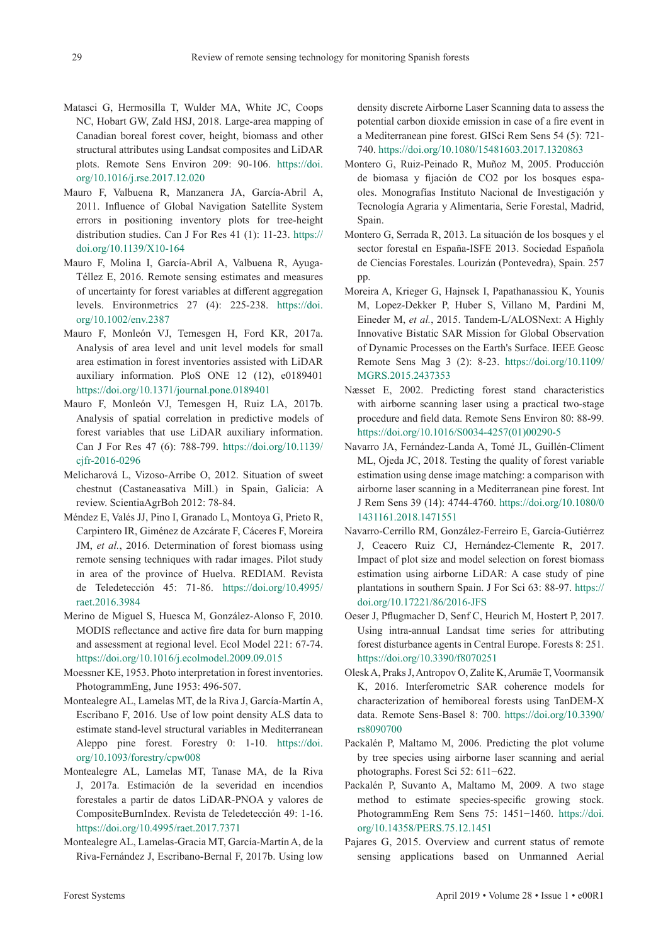- Matasci G, Hermosilla T, Wulder MA, White JC, Coops NC, Hobart GW, Zald HSJ, 2018. Large-area mapping of Canadian boreal forest cover, height, biomass and other structural attributes using Landsat composites and LiDAR plots. Remote Sens Environ 209: 90-106. [https://doi.](https://doi.org/10.1016/j.rse.2017.12.020) [org/10.1016/j.rse.2017.12.020](https://doi.org/10.1016/j.rse.2017.12.020)
- Mauro F, Valbuena R, Manzanera JA, García-Abril A, 2011. Influence of Global Navigation Satellite System errors in positioning inventory plots for tree-height distribution studies. Can J For Res 41 (1): 11-23. [https://](https://doi.org/10.1139/X10-164) [doi.org/10.1139/X10-164](https://doi.org/10.1139/X10-164)
- Mauro F, Molina I, García-Abril A, Valbuena R, Ayuga-Téllez E, 2016. Remote sensing estimates and measures of uncertainty for forest variables at different aggregation levels. Environmetrics 27 (4): 225-238. [https://doi.](https://doi.org/10.1002/env.2387) [org/10.1002/env.2387](https://doi.org/10.1002/env.2387)
- Mauro F, Monleón VJ, Temesgen H, Ford KR, 2017a. Analysis of area level and unit level models for small area estimation in forest inventories assisted with LiDAR auxiliary information. PloS ONE 12 (12), e0189401 <https://doi.org/10.1371/journal.pone.0189401>
- Mauro F, Monleón VJ, Temesgen H, Ruiz LA, 2017b. Analysis of spatial correlation in predictive models of forest variables that use LiDAR auxiliary information. Can J For Res 47 (6): 788-799. [https://doi.org/10.1139/](https://doi.org/10.1139/cjfr-2016-0296) [cjfr-2016-0296](https://doi.org/10.1139/cjfr-2016-0296)
- Melicharová L, Vizoso-Arribe O, 2012. Situation of sweet chestnut (Castaneasativa Mill.) in Spain, Galicia: A review. ScientiaAgrBoh 2012: 78-84.
- Méndez E, Valés JJ, Pino I, Granado L, Montoya G, Prieto R, Carpintero IR, Giménez de Azcárate F, Cáceres F, Moreira JM, *et al.*, 2016. Determination of forest biomass using remote sensing techniques with radar images. Pilot study in area of the province of Huelva. REDIAM. Revista de Teledetección 45: 71-86. [https://doi.org/10.4995/](https://doi.org/10.4995/raet.2016.3984) [raet.2016.3984](https://doi.org/10.4995/raet.2016.3984)
- Merino de Miguel S, Huesca M, González-Alonso F, 2010. MODIS reflectance and active fire data for burn mapping and assessment at regional level. Ecol Model 221: 67-74. <https://doi.org/10.1016/j.ecolmodel.2009.09.015>
- Moessner KE, 1953. Photo interpretation in forest inventories. PhotogrammEng, June 1953: 496-507.
- Montealegre AL, Lamelas MT, de la Riva J, García-Martín A, Escribano F, 2016. Use of low point density ALS data to estimate stand-level structural variables in Mediterranean Aleppo pine forest. Forestry 0: 1-10. [https://doi.](https://doi.org/10.1093/forestry/cpw008) [org/10.1093/forestry/cpw008](https://doi.org/10.1093/forestry/cpw008)
- Montealegre AL, Lamelas MT, Tanase MA, de la Riva J, 2017a. Estimación de la severidad en incendios forestales a partir de datos LiDAR-PNOA y valores de CompositeBurnIndex. Revista de Teledetección 49: 1-16. <https://doi.org/10.4995/raet.2017.7371>
- Montealegre AL, Lamelas-Gracia MT, García-Martín A, de la Riva-Fernández J, Escribano-Bernal F, 2017b. Using low

density discrete Airborne Laser Scanning data to assess the potential carbon dioxide emission in case of a fire event in a Mediterranean pine forest. GISci Rem Sens 54 (5): 721- 740.<https://doi.org/10.1080/15481603.2017.1320863>

- Montero G, Ruiz-Peinado R, Muñoz M, 2005. Producción de biomasa y fijación de CO2 por los bosques espaoles. Monografías Instituto Nacional de Investigación y Tecnología Agraria y Alimentaria, Serie Forestal, Madrid, Spain.
- Montero G, Serrada R, 2013. La situación de los bosques y el sector forestal en España-ISFE 2013. Sociedad Española de Ciencias Forestales. Lourizán (Pontevedra), Spain. 257 pp.
- Moreira A, Krieger G, Hajnsek I, Papathanassiou K, Younis M, Lopez-Dekker P, Huber S, Villano M, Pardini M, Eineder M, *et al.*, 2015. Tandem-L/ALOSNext: A Highly Innovative Bistatic SAR Mission for Global Observation of Dynamic Processes on the Earth's Surface. IEEE Geosc Remote Sens Mag 3 (2): 8-23. [https://doi.org/10.1109/](https://doi.org/10.1109/MGRS.2015.2437353) [MGRS.2015.2437353](https://doi.org/10.1109/MGRS.2015.2437353)
- Næsset E, 2002. Predicting forest stand characteristics with airborne scanning laser using a practical two-stage procedure and field data. Remote Sens Environ 80: 88-99. [https://doi.org/10.1016/S0034-4257\(01\)00290-5](https://doi.org/10.1016/S0034-4257(01)00290-5)
- Navarro JA, Fernández-Landa A, Tomé JL, Guillén-Climent ML, Ojeda JC, 2018. Testing the quality of forest variable estimation using dense image matching: a comparison with airborne laser scanning in a Mediterranean pine forest. Int J Rem Sens 39 (14): 4744-4760. [https://doi.org/10.1080/0](https://doi.org/10.1080/01431161.2018.1471551) [1431161.2018.1471551](https://doi.org/10.1080/01431161.2018.1471551)
- Navarro-Cerrillo RM, González-Ferreiro E, García-Gutiérrez J, Ceacero Ruiz CJ, Hernández-Clemente R, 2017. Impact of plot size and model selection on forest biomass estimation using airborne LiDAR: A case study of pine plantations in southern Spain. J For Sci 63: 88-97. [https://](https://doi.org/10.17221/86/2016-JFS) [doi.org/10.17221/86/2016-JFS](https://doi.org/10.17221/86/2016-JFS)
- Oeser J, Pflugmacher D, Senf C, Heurich M, Hostert P, 2017. Using intra-annual Landsat time series for attributing forest disturbance agents in Central Europe. Forests 8: 251. <https://doi.org/10.3390/f8070251>
- Olesk A, Praks J, Antropov O, Zalite K, Arumäe T, Voormansik K, 2016. Interferometric SAR coherence models for characterization of hemiboreal forests using TanDEM-X data. Remote Sens-Basel 8: 700. [https://doi.org/10.3390/](https://doi.org/10.3390/rs8090700) [rs8090700](https://doi.org/10.3390/rs8090700)
- Packalén P, Maltamo M, 2006. Predicting the plot volume by tree species using airborne laser scanning and aerial photographs. Forest Sci 52: 611−622.
- Packalén P, Suvanto A, Maltamo M, 2009. A two stage method to estimate species-specific growing stock. PhotogrammEng Rem Sens 75: 1451−1460. [https://doi.](https://doi.org/10.14358/PERS.75.12.1451) [org/10.14358/PERS.75.12.1451](https://doi.org/10.14358/PERS.75.12.1451)
- Pajares G, 2015. Overview and current status of remote sensing applications based on Unmanned Aerial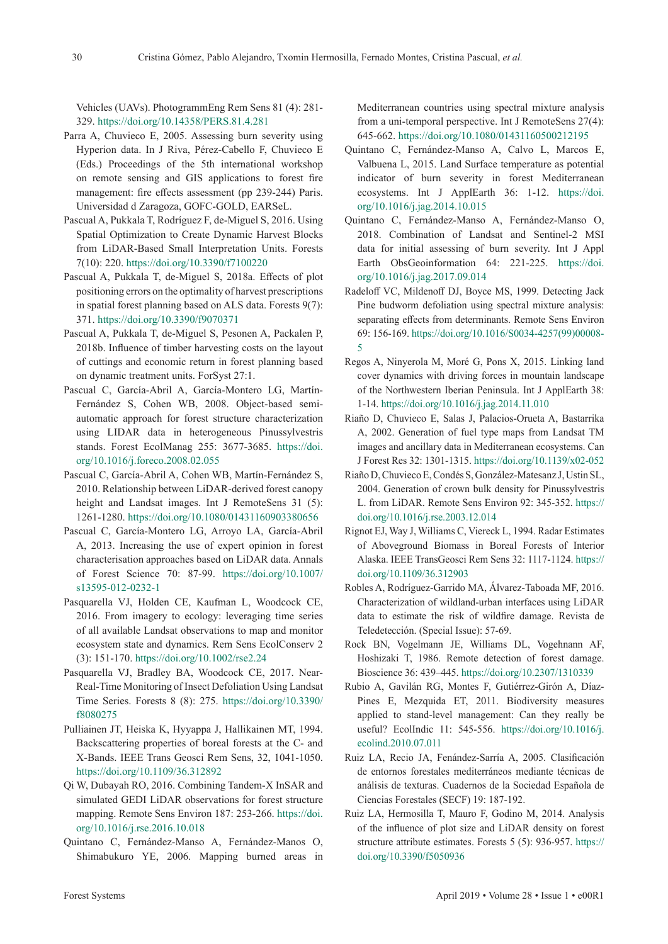Vehicles (UAVs). PhotogrammEng Rem Sens 81 (4): 281- 329.<https://doi.org/10.14358/PERS.81.4.281>

- Parra A, Chuvieco E, 2005. Assessing burn severity using Hyperion data. In J Riva, Pérez-Cabello F, Chuvieco E (Eds.) Proceedings of the 5th international workshop on remote sensing and GIS applications to forest fire management: fire effects assessment (pp 239-244) Paris. Universidad d Zaragoza, GOFC-GOLD, EARSeL.
- Pascual A, Pukkala T, Rodríguez F, de-Miguel S, 2016. Using Spatial Optimization to Create Dynamic Harvest Blocks from LiDAR-Based Small Interpretation Units. Forests 7(10): 220. <https://doi.org/10.3390/f7100220>
- Pascual A, Pukkala T, de-Miguel S, 2018a. Effects of plot positioning errors on the optimality of harvest prescriptions in spatial forest planning based on ALS data. Forests 9(7): 371.<https://doi.org/10.3390/f9070371>
- Pascual A, Pukkala T, de-Miguel S, Pesonen A, Packalen P, 2018b. Influence of timber harvesting costs on the layout of cuttings and economic return in forest planning based on dynamic treatment units. ForSyst 27:1.
- Pascual C, García-Abril A, García-Montero LG, Martín-Fernández S, Cohen WB, 2008. Object-based semiautomatic approach for forest structure characterization using LIDAR data in heterogeneous Pinussylvestris stands. Forest EcolManag 255: 3677-3685. [https://doi.](https://doi.org/10.1016/j.foreco.2008.02.055) [org/10.1016/j.foreco.2008.02.055](https://doi.org/10.1016/j.foreco.2008.02.055)
- Pascual C, García-Abril A, Cohen WB, Martín-Fernández S, 2010. Relationship between LiDAR-derived forest canopy height and Landsat images. Int J RemoteSens 31 (5): 1261-1280. <https://doi.org/10.1080/01431160903380656>
- Pascual C, García-Montero LG, Arroyo LA, García-Abril A, 2013. Increasing the use of expert opinion in forest characterisation approaches based on LiDAR data. Annals of Forest Science 70: 87-99. [https://doi.org/10.1007/](https://doi.org/10.1007/s13595-012-0232-1) [s13595-012-0232-1](https://doi.org/10.1007/s13595-012-0232-1)
- Pasquarella VJ, Holden CE, Kaufman L, Woodcock CE, 2016. From imagery to ecology: leveraging time series of all available Landsat observations to map and monitor ecosystem state and dynamics. Rem Sens EcolConserv 2 (3): 151-170. <https://doi.org/10.1002/rse2.24>
- Pasquarella VJ, Bradley BA, Woodcock CE, 2017. Near-Real-Time Monitoring of Insect Defoliation Using Landsat Time Series. Forests 8 (8): 275. [https://doi.org/10.3390/](https://doi.org/10.3390/f8080275) [f8080275](https://doi.org/10.3390/f8080275)
- Pulliainen JT, Heiska K, Hyyappa J, Hallikainen MT, 1994. Backscattering properties of boreal forests at the C- and X-Bands. IEEE Trans Geosci Rem Sens, 32, 1041-1050. <https://doi.org/10.1109/36.312892>
- Qi W, Dubayah RO, 2016. Combining Tandem-X InSAR and simulated GEDI LiDAR observations for forest structure mapping. Remote Sens Environ 187: 253-266. [https://doi.](https://doi.org/10.1016/j.rse.2016.10.018) [org/10.1016/j.rse.2016.10.018](https://doi.org/10.1016/j.rse.2016.10.018)
- Quintano C, Fernández-Manso A, Fernández-Manos O, Shimabukuro YE, 2006. Mapping burned areas in

Mediterranean countries using spectral mixture analysis from a uni-temporal perspective. Int J RemoteSens 27(4): 645-662.<https://doi.org/10.1080/01431160500212195>

- Quintano C, Fernández-Manso A, Calvo L, Marcos E, Valbuena L, 2015. Land Surface temperature as potential indicator of burn severity in forest Mediterranean ecosystems. Int J ApplEarth 36: 1-12. [https://doi.](https://doi.org/10.1016/j.jag.2014.10.015) [org/10.1016/j.jag.2014.10.015](https://doi.org/10.1016/j.jag.2014.10.015)
- Quintano C, Fernández-Manso A, Fernández-Manso O, 2018. Combination of Landsat and Sentinel-2 MSI data for initial assessing of burn severity. Int J Appl Earth ObsGeoinformation 64: 221-225. [https://doi.](https://doi.org/10.1016/j.jag.2017.09.014) [org/10.1016/j.jag.2017.09.014](https://doi.org/10.1016/j.jag.2017.09.014)
- Radeloff VC, Mildenoff DJ, Boyce MS, 1999. Detecting Jack Pine budworm defoliation using spectral mixture analysis: separating effects from determinants. Remote Sens Environ 69: 156-169. [https://doi.org/10.1016/S0034-4257\(99\)00008-](https://doi.org/10.1016/S0034-4257(99)00008-5) [5](https://doi.org/10.1016/S0034-4257(99)00008-5)
- Regos A, Ninyerola M, Moré G, Pons X, 2015. Linking land cover dynamics with driving forces in mountain landscape of the Northwestern Iberian Peninsula. Int J ApplEarth 38: 1-14. <https://doi.org/10.1016/j.jag.2014.11.010>
- Riaño D, Chuvieco E, Salas J, Palacios-Orueta A, Bastarrika A, 2002. Generation of fuel type maps from Landsat TM images and ancillary data in Mediterranean ecosystems. Can J Forest Res 32: 1301-1315. <https://doi.org/10.1139/x02-052>
- Riaño D, Chuvieco E, Condés S, González-Matesanz J, Ustin SL, 2004. Generation of crown bulk density for Pinussylvestris L. from LiDAR. Remote Sens Environ 92: 345-352. [https://](https://doi.org/10.1016/j.rse.2003.12.014) [doi.org/10.1016/j.rse.2003.12.014](https://doi.org/10.1016/j.rse.2003.12.014)
- Rignot EJ, Way J, Williams C, Viereck L, 1994. Radar Estimates of Aboveground Biomass in Boreal Forests of Interior Alaska. IEEE TransGeosci Rem Sens 32: 1117-1124. [https://](https://doi.org/10.1109/36.312903) [doi.org/10.1109/36.312903](https://doi.org/10.1109/36.312903)
- Robles A, Rodríguez-Garrido MA, Álvarez-Taboada MF, 2016. Characterization of wildland-urban interfaces using LiDAR data to estimate the risk of wildfire damage. Revista de Teledetección. (Special Issue): 57-69.
- Rock BN, Vogelmann JE, Williams DL, Vogehnann AF, Hoshizaki T, 1986. Remote detection of forest damage. Bioscience 36: 439–445.<https://doi.org/10.2307/1310339>
- Rubio A, Gavilán RG, Montes F, Gutiérrez-Girón A, Díaz-Pines E, Mezquida ET, 2011. Biodiversity measures applied to stand-level management: Can they really be useful? EcolIndic 11: 545-556. [https://doi.org/10.1016/j.](https://doi.org/10.1016/j.ecolind.2010.07.011) [ecolind.2010.07.011](https://doi.org/10.1016/j.ecolind.2010.07.011)
- Ruiz LA, Recio JA, Fenández-Sarría A, 2005. Clasificación de entornos forestales mediterráneos mediante técnicas de análisis de texturas. Cuadernos de la Sociedad Española de Ciencias Forestales (SECF) 19: 187-192.
- Ruiz LA, Hermosilla T, Mauro F, Godino M, 2014. Analysis of the influence of plot size and LiDAR density on forest structure attribute estimates. Forests 5 (5): 936-957. [https://](https://doi.org/10.3390/f5050936) [doi.org/10.3390/f5050936](https://doi.org/10.3390/f5050936)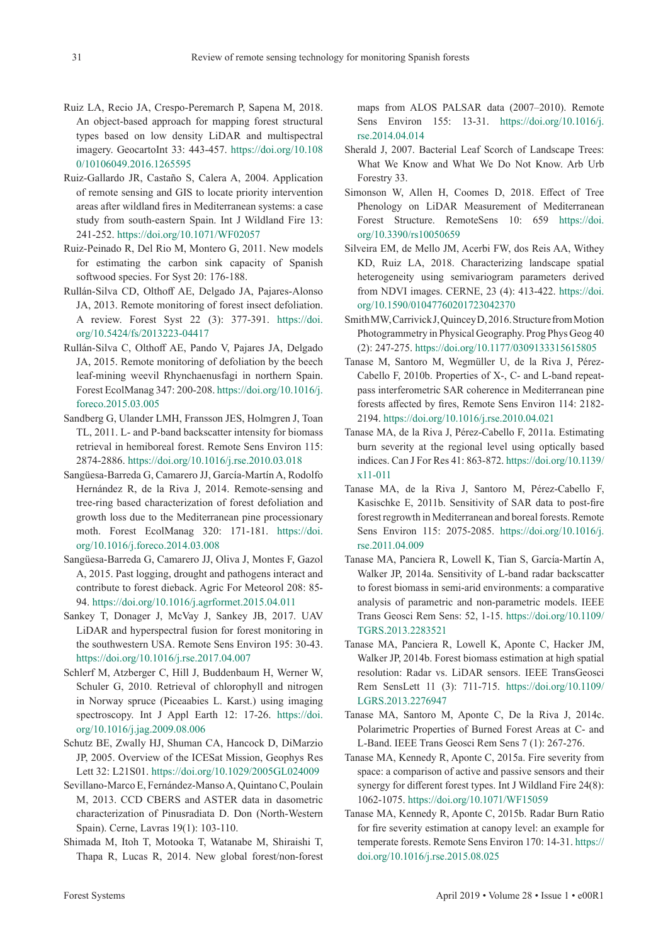- Ruiz LA, Recio JA, Crespo-Peremarch P, Sapena M, 2018. An object-based approach for mapping forest structural types based on low density LiDAR and multispectral imagery. GeocartoInt 33: 443-457. [https://doi.org/10.108](https://doi.org/10.1080/10106049.2016.1265595) [0/10106049.2016.1265595](https://doi.org/10.1080/10106049.2016.1265595)
- Ruiz-Gallardo JR, Castaño S, Calera A, 2004. Application of remote sensing and GIS to locate priority intervention areas after wildland fires in Mediterranean systems: a case study from south-eastern Spain. Int J Wildland Fire 13: 241-252.<https://doi.org/10.1071/WF02057>
- Ruiz-Peinado R, Del Rio M, Montero G, 2011. New models for estimating the carbon sink capacity of Spanish softwood species. For Syst 20: 176-188.
- Rullán-Silva CD, Olthoff AE, Delgado JA, Pajares-Alonso JA, 2013. Remote monitoring of forest insect defoliation. A review. Forest Syst 22 (3): 377-391. [https://doi.](https://doi.org/10.5424/fs/2013223-04417) [org/10.5424/fs/2013223-04417](https://doi.org/10.5424/fs/2013223-04417)
- Rullán-Silva C, Olthoff AE, Pando V, Pajares JA, Delgado JA, 2015. Remote monitoring of defoliation by the beech leaf-mining weevil Rhynchaenusfagi in northern Spain. Forest EcolManag 347: 200-208. [https://doi.org/10.1016/j.](https://doi.org/10.1016/j.foreco.2015.03.005) [foreco.2015.03.005](https://doi.org/10.1016/j.foreco.2015.03.005)
- Sandberg G, Ulander LMH, Fransson JES, Holmgren J, Toan TL, 2011. L- and P-band backscatter intensity for biomass retrieval in hemiboreal forest. Remote Sens Environ 115: 2874-2886. <https://doi.org/10.1016/j.rse.2010.03.018>
- Sangüesa-Barreda G, Camarero JJ, García-Martín A, Rodolfo Hernández R, de la Riva J, 2014. Remote-sensing and tree-ring based characterization of forest defoliation and growth loss due to the Mediterranean pine processionary moth. Forest EcolManag 320: 171-181. [https://doi.](https://doi.org/10.1016/j.foreco.2014.03.008) [org/10.1016/j.foreco.2014.03.008](https://doi.org/10.1016/j.foreco.2014.03.008)
- Sangüesa-Barreda G, Camarero JJ, Oliva J, Montes F, Gazol A, 2015. Past logging, drought and pathogens interact and contribute to forest dieback. Agric For Meteorol 208: 85- 94.<https://doi.org/10.1016/j.agrformet.2015.04.011>
- Sankey T, Donager J, McVay J, Sankey JB, 2017. UAV LiDAR and hyperspectral fusion for forest monitoring in the southwestern USA. Remote Sens Environ 195: 30-43. <https://doi.org/10.1016/j.rse.2017.04.007>
- Schlerf M, Atzberger C, Hill J, Buddenbaum H, Werner W, Schuler G, 2010. Retrieval of chlorophyll and nitrogen in Norway spruce (Piceaabies L. Karst.) using imaging spectroscopy. Int J Appl Earth 12: 17-26. [https://doi.](https://doi.org/10.1016/j.jag.2009.08.006) [org/10.1016/j.jag.2009.08.006](https://doi.org/10.1016/j.jag.2009.08.006)
- Schutz BE, Zwally HJ, Shuman CA, Hancock D, DiMarzio JP, 2005. Overview of the ICESat Mission, Geophys Res Lett 32: L21S01.<https://doi.org/10.1029/2005GL024009>
- Sevillano-Marco E, Fernández-Manso A, Quintano C, Poulain M, 2013. CCD CBERS and ASTER data in dasometric characterization of Pinusradiata D. Don (North-Western Spain). Cerne, Lavras 19(1): 103-110.
- Shimada M, Itoh T, Motooka T, Watanabe M, Shiraishi T, Thapa R, Lucas R, 2014. New global forest/non-forest

maps from ALOS PALSAR data (2007–2010). Remote Sens Environ 155: 13-31. [https://doi.org/10.1016/j.](https://doi.org/10.1016/j.rse.2014.04.014) [rse.2014.04.014](https://doi.org/10.1016/j.rse.2014.04.014)

- Sherald J, 2007. Bacterial Leaf Scorch of Landscape Trees: What We Know and What We Do Not Know. Arb Urb Forestry 33.
- Simonson W, Allen H, Coomes D, 2018. Effect of Tree Phenology on LiDAR Measurement of Mediterranean Forest Structure. RemoteSens 10: 659 [https://doi.](https://doi.org/10.3390/rs10050659) [org/10.3390/rs10050659](https://doi.org/10.3390/rs10050659)
- Silveira EM, de Mello JM, Acerbi FW, dos Reis AA, Withey KD, Ruiz LA, 2018. Characterizing landscape spatial heterogeneity using semivariogram parameters derived from NDVI images. CERNE, 23 (4): 413-422. [https://doi.](https://doi.org/10.1590/01047760201723042370) [org/10.1590/01047760201723042370](https://doi.org/10.1590/01047760201723042370)
- Smith MW, Carrivick J, Quincey D, 2016. Structure from Motion Photogrammetry in Physical Geography. Prog Phys Geog 40 (2): 247-275.<https://doi.org/10.1177/0309133315615805>
- Tanase M, Santoro M, Wegmüller U, de la Riva J, Pérez-Cabello F, 2010b. Properties of X-, C- and L-band repeatpass interferometric SAR coherence in Mediterranean pine forests affected by fires, Remote Sens Environ 114: 2182- 2194. <https://doi.org/10.1016/j.rse.2010.04.021>
- Tanase MA, de la Riva J, Pérez-Cabello F, 2011a. Estimating burn severity at the regional level using optically based indices. Can J For Res 41: 863-872. [https://doi.org/10.1139/](https://doi.org/10.1139/x11-011) [x11-011](https://doi.org/10.1139/x11-011)
- Tanase MA, de la Riva J, Santoro M, Pérez-Cabello F, Kasischke E, 2011b. Sensitivity of SAR data to post-fire forest regrowth in Mediterranean and boreal forests. Remote Sens Environ 115: 2075-2085. [https://doi.org/10.1016/j.](https://doi.org/10.1016/j.rse.2011.04.009) [rse.2011.04.009](https://doi.org/10.1016/j.rse.2011.04.009)
- Tanase MA, Panciera R, Lowell K, Tian S, García-Martín A, Walker JP, 2014a. Sensitivity of L-band radar backscatter to forest biomass in semi-arid environments: a comparative analysis of parametric and non-parametric models. IEEE Trans Geosci Rem Sens: 52, 1-15. [https://doi.org/10.1109/](https://doi.org/10.1109/TGRS.2013.2283521) [TGRS.2013.2283521](https://doi.org/10.1109/TGRS.2013.2283521)
- Tanase MA, Panciera R, Lowell K, Aponte C, Hacker JM, Walker JP, 2014b. Forest biomass estimation at high spatial resolution: Radar vs. LiDAR sensors. IEEE TransGeosci Rem SensLett 11 (3): 711-715. [https://doi.org/10.1109/](https://doi.org/10.1109/LGRS.2013.2276947) [LGRS.2013.2276947](https://doi.org/10.1109/LGRS.2013.2276947)
- Tanase MA, Santoro M, Aponte C, De la Riva J, 2014c. Polarimetric Properties of Burned Forest Areas at C- and L-Band. IEEE Trans Geosci Rem Sens 7 (1): 267-276.
- Tanase MA, Kennedy R, Aponte C, 2015a. Fire severity from space: a comparison of active and passive sensors and their synergy for different forest types. Int J Wildland Fire 24(8): 1062-1075. <https://doi.org/10.1071/WF15059>
- Tanase MA, Kennedy R, Aponte C, 2015b. Radar Burn Ratio for fire severity estimation at canopy level: an example for temperate forests. Remote Sens Environ 170: 14-31. [https://](https://doi.org/10.1016/j.rse.2015.08.025) [doi.org/10.1016/j.rse.2015.08.025](https://doi.org/10.1016/j.rse.2015.08.025)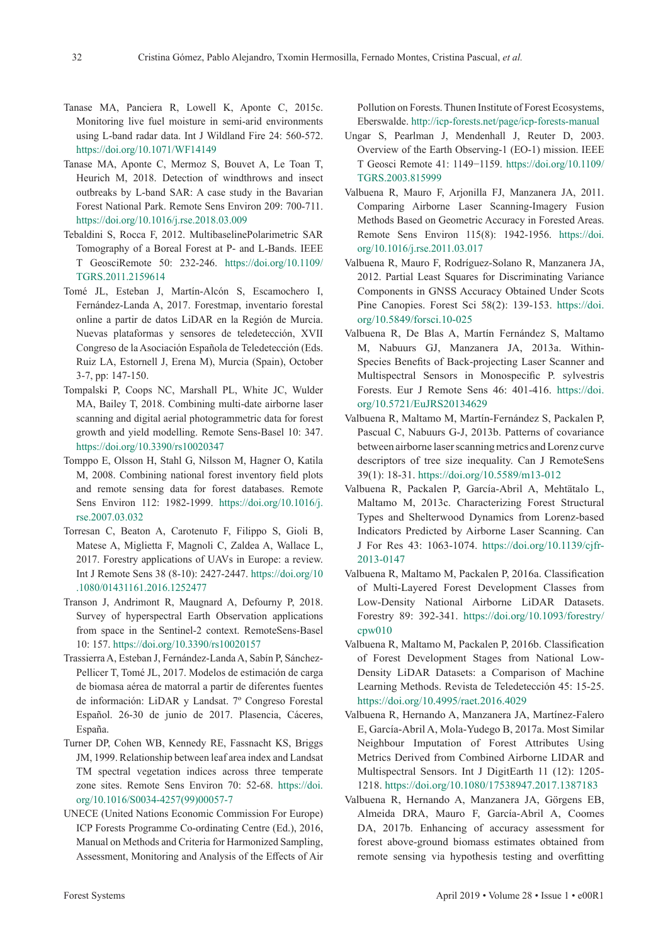- Tanase MA, Panciera R, Lowell K, Aponte C, 2015c. Monitoring live fuel moisture in semi-arid environments using L-band radar data. Int J Wildland Fire 24: 560-572. <https://doi.org/10.1071/WF14149>
- Tanase MA, Aponte C, Mermoz S, Bouvet A, Le Toan T, Heurich M, 2018. Detection of windthrows and insect outbreaks by L-band SAR: A case study in the Bavarian Forest National Park. Remote Sens Environ 209: 700-711. <https://doi.org/10.1016/j.rse.2018.03.009>
- Tebaldini S, Rocca F, 2012. MultibaselinePolarimetric SAR Tomography of a Boreal Forest at P- and L-Bands. IEEE T GeosciRemote 50: 232-246. [https://doi.org/10.1109/](https://doi.org/10.1109/TGRS.2011.2159614) [TGRS.2011.2159614](https://doi.org/10.1109/TGRS.2011.2159614)
- Tomé JL, Esteban J, Martín-Alcón S, Escamochero I, Fernández-Landa A, 2017. Forestmap, inventario forestal online a partir de datos LiDAR en la Región de Murcia. Nuevas plataformas y sensores de teledetección, XVII Congreso de la Asociación Española de Teledetección (Eds. Ruiz LA, Estornell J, Erena M), Murcia (Spain), October 3-7, pp: 147-150.
- Tompalski P, Coops NC, Marshall PL, White JC, Wulder MA, Bailey T, 2018. Combining multi-date airborne laser scanning and digital aerial photogrammetric data for forest growth and yield modelling. Remote Sens-Basel 10: 347. <https://doi.org/10.3390/rs10020347>
- Tomppo E, Olsson H, Stahl G, Nilsson M, Hagner O, Katila M, 2008. Combining national forest inventory field plots and remote sensing data for forest databases. Remote Sens Environ 112: 1982-1999. [https://doi.org/10.1016/j.](https://doi.org/10.1016/j.rse.2007.03.032) [rse.2007.03.032](https://doi.org/10.1016/j.rse.2007.03.032)
- Torresan C, Beaton A, Carotenuto F, Filippo S, Gioli B, Matese A, Miglietta F, Magnoli C, Zaldea A, Wallace L, 2017. Forestry applications of UAVs in Europe: a review. Int J Remote Sens 38 (8-10): 2427-2447. [https://doi.org/10](https://doi.org/10.1080/01431161.2016.1252477) [.1080/01431161.2016.1252477](https://doi.org/10.1080/01431161.2016.1252477)
- Transon J, Andrimont R, Maugnard A, Defourny P, 2018. Survey of hyperspectral Earth Observation applications from space in the Sentinel-2 context. RemoteSens-Basel 10: 157. <https://doi.org/10.3390/rs10020157>
- Trassierra A, Esteban J, Fernández-Landa A, Sabín P, Sánchez-Pellicer T, Tomé JL, 2017. Modelos de estimación de carga de biomasa aérea de matorral a partir de diferentes fuentes de información: LiDAR y Landsat. 7º Congreso Forestal Español. 26-30 de junio de 2017. Plasencia, Cáceres, España.
- Turner DP, Cohen WB, Kennedy RE, Fassnacht KS, Briggs JM, 1999. Relationship between leaf area index and Landsat TM spectral vegetation indices across three temperate zone sites. Remote Sens Environ 70: 52-68. [https://doi.](https://doi.org/10.1016/S0034-4257(99)00057-7) [org/10.1016/S0034-4257\(99\)00057-7](https://doi.org/10.1016/S0034-4257(99)00057-7)
- UNECE (United Nations Economic Commission For Europe) ICP Forests Programme Co-ordinating Centre (Ed.), 2016, Manual on Methods and Criteria for Harmonized Sampling, Assessment, Monitoring and Analysis of the Effects of Air

Pollution on Forests. Thunen Institute of Forest Ecosystems, Eberswalde. <http://icp-forests.net/page/icp-forests-manual>

- Ungar S, Pearlman J, Mendenhall J, Reuter D, 2003. Overview of the Earth Observing-1 (EO-1) mission. IEEE T Geosci Remote 41: 1149−1159. [https://doi.org/10.1109/](https://doi.org/10.1109/TGRS.2003.815999) [TGRS.2003.815999](https://doi.org/10.1109/TGRS.2003.815999)
- Valbuena R, Mauro F, Arjonilla FJ, Manzanera JA, 2011. Comparing Airborne Laser Scanning-Imagery Fusion Methods Based on Geometric Accuracy in Forested Areas. Remote Sens Environ 115(8): 1942-1956. [https://doi.](https://doi.org/10.1016/j.rse.2011.03.017) [org/10.1016/j.rse.2011.03.017](https://doi.org/10.1016/j.rse.2011.03.017)
- Valbuena R, Mauro F, Rodríguez-Solano R, Manzanera JA, 2012. Partial Least Squares for Discriminating Variance Components in GNSS Accuracy Obtained Under Scots Pine Canopies. Forest Sci 58(2): 139-153. [https://doi.](https://doi.org/10.5849/forsci.10-025) [org/10.5849/forsci.10-025](https://doi.org/10.5849/forsci.10-025)
- Valbuena R, De Blas A, Martín Fernández S, Maltamo M, Nabuurs GJ, Manzanera JA, 2013a. Within-Species Benefits of Back-projecting Laser Scanner and Multispectral Sensors in Monospecific P. sylvestris Forests. Eur J Remote Sens 46: 401-416. [https://doi.](https://doi.org/10.5721/EuJRS20134629) [org/10.5721/EuJRS20134629](https://doi.org/10.5721/EuJRS20134629)
- Valbuena R, Maltamo M, Martín-Fernández S, Packalen P, Pascual C, Nabuurs G-J, 2013b. Patterns of covariance between airborne laser scanning metrics and Lorenz curve descriptors of tree size inequality. Can J RemoteSens 39(1): 18-31. <https://doi.org/10.5589/m13-012>
- Valbuena R, Packalen P, García-Abril A, Mehtätalo L, Maltamo M, 2013c. Characterizing Forest Structural Types and Shelterwood Dynamics from Lorenz-based Indicators Predicted by Airborne Laser Scanning. Can J For Res 43: 1063-1074. [https://doi.org/10.1139/cjfr-](https://doi.org/10.1139/cjfr-2013-0147)[2013-0147](https://doi.org/10.1139/cjfr-2013-0147)
- Valbuena R, Maltamo M, Packalen P, 2016a. Classification of Multi-Layered Forest Development Classes from Low-Density National Airborne LiDAR Datasets. Forestry 89: 392-341. [https://doi.org/10.1093/forestry/](https://doi.org/10.1093/forestry/cpw010) [cpw010](https://doi.org/10.1093/forestry/cpw010)
- Valbuena R, Maltamo M, Packalen P, 2016b. Classification of Forest Development Stages from National Low-Density LiDAR Datasets: a Comparison of Machine Learning Methods. Revista de Teledetección 45: 15-25. <https://doi.org/10.4995/raet.2016.4029>
- Valbuena R, Hernando A, Manzanera JA, Martínez-Falero E, García-Abril A, Mola-Yudego B, 2017a. Most Similar Neighbour Imputation of Forest Attributes Using Metrics Derived from Combined Airborne LIDAR and Multispectral Sensors. Int J DigitEarth 11 (12): 1205- 1218.<https://doi.org/10.1080/17538947.2017.1387183>
- Valbuena R, Hernando A, Manzanera JA, Görgens EB, Almeida DRA, Mauro F, García-Abril A, Coomes DA, 2017b. Enhancing of accuracy assessment for forest above-ground biomass estimates obtained from remote sensing via hypothesis testing and overfitting